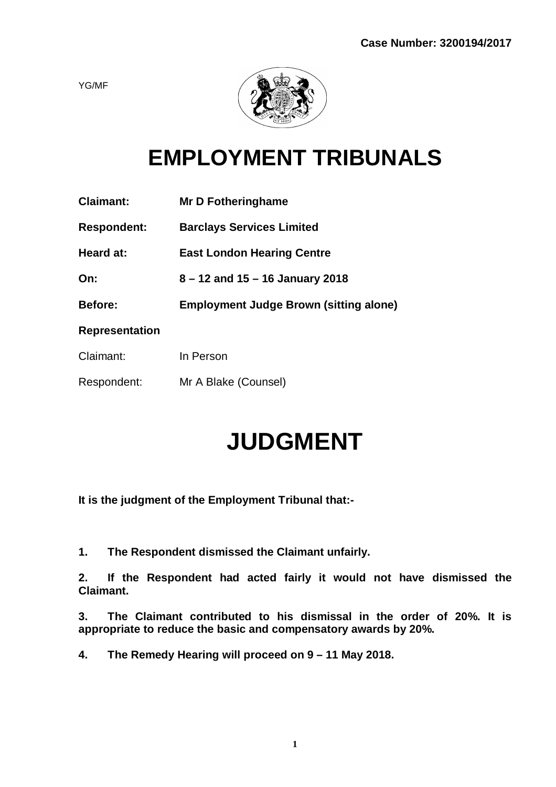YG/MF



# **EMPLOYMENT TRIBUNALS**

| <b>Claimant:</b>      | <b>Mr D Fotheringhame</b>                     |
|-----------------------|-----------------------------------------------|
| <b>Respondent:</b>    | <b>Barclays Services Limited</b>              |
| Heard at:             | <b>East London Hearing Centre</b>             |
| On:                   | $8 - 12$ and $15 - 16$ January 2018           |
|                       |                                               |
| Before:               | <b>Employment Judge Brown (sitting alone)</b> |
| <b>Representation</b> |                                               |
| Claimant:             | In Person                                     |
| Respondent:           | Mr A Blake (Counsel)                          |

# **JUDGMENT**

**It is the judgment of the Employment Tribunal that:-**

**1. The Respondent dismissed the Claimant unfairly.**

**2. If the Respondent had acted fairly it would not have dismissed the Claimant.**

**3. The Claimant contributed to his dismissal in the order of 20%. It is appropriate to reduce the basic and compensatory awards by 20%.**

**4. The Remedy Hearing will proceed on 9 – 11 May 2018.**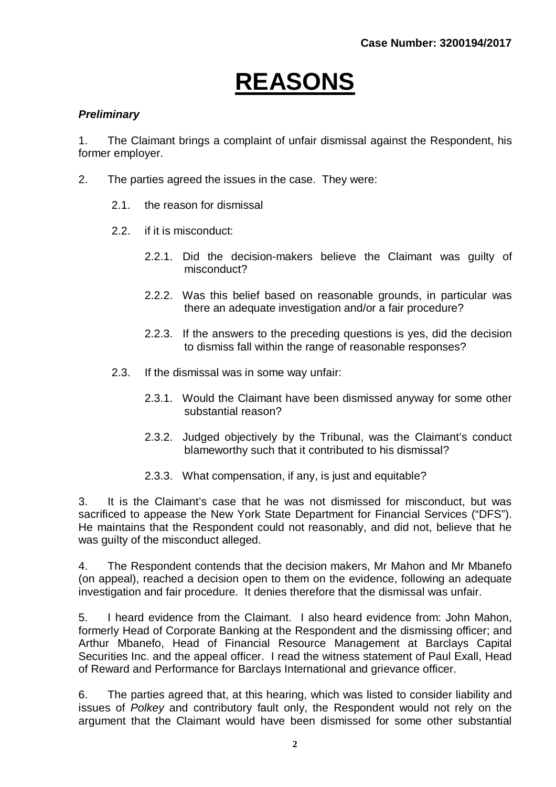# **REASONS**

## *Preliminary*

1. The Claimant brings a complaint of unfair dismissal against the Respondent, his former employer.

- 2. The parties agreed the issues in the case. They were:
	- 2.1. the reason for dismissal
	- 2.2. if it is misconduct:
		- 2.2.1. Did the decision-makers believe the Claimant was guilty of misconduct?
		- 2.2.2. Was this belief based on reasonable grounds, in particular was there an adequate investigation and/or a fair procedure?
		- 2.2.3. If the answers to the preceding questions is yes, did the decision to dismiss fall within the range of reasonable responses?
	- 2.3. If the dismissal was in some way unfair:
		- 2.3.1. Would the Claimant have been dismissed anyway for some other substantial reason?
		- 2.3.2. Judged objectively by the Tribunal, was the Claimant's conduct blameworthy such that it contributed to his dismissal?
		- 2.3.3. What compensation, if any, is just and equitable?

3. It is the Claimant's case that he was not dismissed for misconduct, but was sacrificed to appease the New York State Department for Financial Services ("DFS"). He maintains that the Respondent could not reasonably, and did not, believe that he was quilty of the misconduct alleged.

4. The Respondent contends that the decision makers, Mr Mahon and Mr Mbanefo (on appeal), reached a decision open to them on the evidence, following an adequate investigation and fair procedure. It denies therefore that the dismissal was unfair.

5. I heard evidence from the Claimant. I also heard evidence from: John Mahon, formerly Head of Corporate Banking at the Respondent and the dismissing officer; and Arthur Mbanefo, Head of Financial Resource Management at Barclays Capital Securities Inc. and the appeal officer. I read the witness statement of Paul Exall, Head of Reward and Performance for Barclays International and grievance officer.

6. The parties agreed that, at this hearing, which was listed to consider liability and issues of *Polkey* and contributory fault only, the Respondent would not rely on the argument that the Claimant would have been dismissed for some other substantial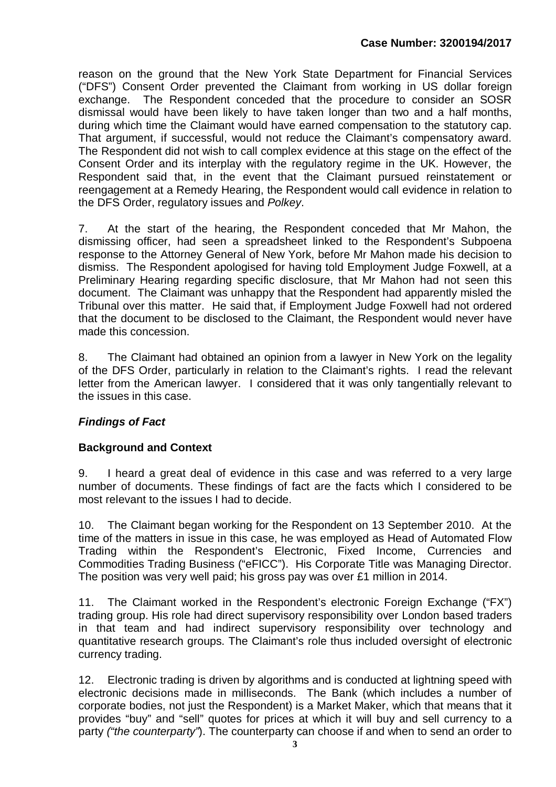reason on the ground that the New York State Department for Financial Services ("DFS") Consent Order prevented the Claimant from working in US dollar foreign exchange. The Respondent conceded that the procedure to consider an SOSR dismissal would have been likely to have taken longer than two and a half months, during which time the Claimant would have earned compensation to the statutory cap. That argument, if successful, would not reduce the Claimant's compensatory award. The Respondent did not wish to call complex evidence at this stage on the effect of the Consent Order and its interplay with the regulatory regime in the UK. However, the Respondent said that, in the event that the Claimant pursued reinstatement or reengagement at a Remedy Hearing, the Respondent would call evidence in relation to the DFS Order, regulatory issues and *Polkey*.

7. At the start of the hearing, the Respondent conceded that Mr Mahon, the dismissing officer, had seen a spreadsheet linked to the Respondent's Subpoena response to the Attorney General of New York, before Mr Mahon made his decision to dismiss. The Respondent apologised for having told Employment Judge Foxwell, at a Preliminary Hearing regarding specific disclosure, that Mr Mahon had not seen this document. The Claimant was unhappy that the Respondent had apparently misled the Tribunal over this matter. He said that, if Employment Judge Foxwell had not ordered that the document to be disclosed to the Claimant, the Respondent would never have made this concession.

8. The Claimant had obtained an opinion from a lawyer in New York on the legality of the DFS Order, particularly in relation to the Claimant's rights. I read the relevant letter from the American lawyer. I considered that it was only tangentially relevant to the issues in this case.

# *Findings of Fact*

# **Background and Context**

9. I heard a great deal of evidence in this case and was referred to a very large number of documents. These findings of fact are the facts which I considered to be most relevant to the issues I had to decide.

10. The Claimant began working for the Respondent on 13 September 2010. At the time of the matters in issue in this case, he was employed as Head of Automated Flow Trading within the Respondent's Electronic, Fixed Income, Currencies and Commodities Trading Business ("eFICC"). His Corporate Title was Managing Director. The position was very well paid; his gross pay was over £1 million in 2014.

11. The Claimant worked in the Respondent's electronic Foreign Exchange ("FX") trading group. His role had direct supervisory responsibility over London based traders in that team and had indirect supervisory responsibility over technology and quantitative research groups. The Claimant's role thus included oversight of electronic currency trading.

12. Electronic trading is driven by algorithms and is conducted at lightning speed with electronic decisions made in milliseconds. The Bank (which includes a number of corporate bodies, not just the Respondent) is a Market Maker, which that means that it provides "buy" and "sell" quotes for prices at which it will buy and sell currency to a party *("the counterparty"*). The counterparty can choose if and when to send an order to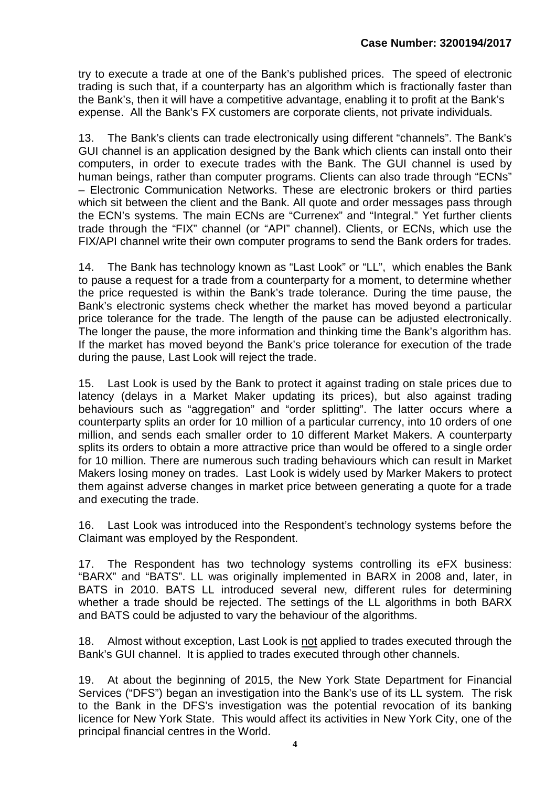try to execute a trade at one of the Bank's published prices. The speed of electronic trading is such that, if a counterparty has an algorithm which is fractionally faster than the Bank's, then it will have a competitive advantage, enabling it to profit at the Bank's expense. All the Bank's FX customers are corporate clients, not private individuals.

13. The Bank's clients can trade electronically using different "channels". The Bank's GUI channel is an application designed by the Bank which clients can install onto their computers, in order to execute trades with the Bank. The GUI channel is used by human beings, rather than computer programs. Clients can also trade through "ECNs" – Electronic Communication Networks. These are electronic brokers or third parties which sit between the client and the Bank. All quote and order messages pass through the ECN's systems. The main ECNs are "Currenex" and "Integral." Yet further clients trade through the "FIX" channel (or "API" channel). Clients, or ECNs, which use the FIX/API channel write their own computer programs to send the Bank orders for trades.

14. The Bank has technology known as "Last Look" or "LL", which enables the Bank to pause a request for a trade from a counterparty for a moment, to determine whether the price requested is within the Bank's trade tolerance. During the time pause, the Bank's electronic systems check whether the market has moved beyond a particular price tolerance for the trade. The length of the pause can be adjusted electronically. The longer the pause, the more information and thinking time the Bank's algorithm has. If the market has moved beyond the Bank's price tolerance for execution of the trade during the pause, Last Look will reject the trade.

15. Last Look is used by the Bank to protect it against trading on stale prices due to latency (delays in a Market Maker updating its prices), but also against trading behaviours such as "aggregation" and "order splitting". The latter occurs where a counterparty splits an order for 10 million of a particular currency, into 10 orders of one million, and sends each smaller order to 10 different Market Makers. A counterparty splits its orders to obtain a more attractive price than would be offered to a single order for 10 million. There are numerous such trading behaviours which can result in Market Makers losing money on trades. Last Look is widely used by Marker Makers to protect them against adverse changes in market price between generating a quote for a trade and executing the trade.

16. Last Look was introduced into the Respondent's technology systems before the Claimant was employed by the Respondent.

17. The Respondent has two technology systems controlling its eFX business: "BARX" and "BATS". LL was originally implemented in BARX in 2008 and, later, in BATS in 2010. BATS LL introduced several new, different rules for determining whether a trade should be rejected. The settings of the LL algorithms in both BARX and BATS could be adjusted to vary the behaviour of the algorithms.

18. Almost without exception, Last Look is not applied to trades executed through the Bank's GUI channel. It is applied to trades executed through other channels.

19. At about the beginning of 2015, the New York State Department for Financial Services ("DFS") began an investigation into the Bank's use of its LL system. The risk to the Bank in the DFS's investigation was the potential revocation of its banking licence for New York State. This would affect its activities in New York City, one of the principal financial centres in the World.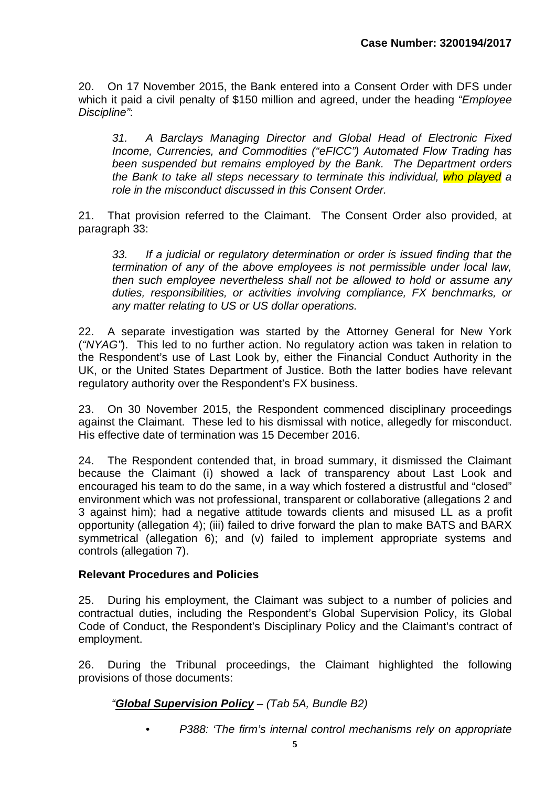20. On 17 November 2015, the Bank entered into a Consent Order with DFS under which it paid a civil penalty of \$150 million and agreed, under the heading *"Employee Discipline"*:

*31. A Barclays Managing Director and Global Head of Electronic Fixed Income, Currencies, and Commodities ("eFICC") Automated Flow Trading has been suspended but remains employed by the Bank. The Department orders the Bank to take all steps necessary to terminate this individual, who played a role in the misconduct discussed in this Consent Order.*

21. That provision referred to the Claimant. The Consent Order also provided, at paragraph 33:

*33. If a judicial or regulatory determination or order is issued finding that the termination of any of the above employees is not permissible under local law, then such employee nevertheless shall not be allowed to hold or assume any duties, responsibilities, or activities involving compliance, FX benchmarks, or any matter relating to US or US dollar operations.*

22. A separate investigation was started by the Attorney General for New York (*"NYAG"*). This led to no further action. No regulatory action was taken in relation to the Respondent's use of Last Look by, either the Financial Conduct Authority in the UK, or the United States Department of Justice. Both the latter bodies have relevant regulatory authority over the Respondent's FX business.

23. On 30 November 2015, the Respondent commenced disciplinary proceedings against the Claimant. These led to his dismissal with notice, allegedly for misconduct. His effective date of termination was 15 December 2016.

24. The Respondent contended that, in broad summary, it dismissed the Claimant because the Claimant (i) showed a lack of transparency about Last Look and encouraged his team to do the same, in a way which fostered a distrustful and "closed" environment which was not professional, transparent or collaborative (allegations 2 and 3 against him); had a negative attitude towards clients and misused LL as a profit opportunity (allegation 4); (iii) failed to drive forward the plan to make BATS and BARX symmetrical (allegation 6); and (v) failed to implement appropriate systems and controls (allegation 7).

## **Relevant Procedures and Policies**

25. During his employment, the Claimant was subject to a number of policies and contractual duties, including the Respondent's Global Supervision Policy, its Global Code of Conduct, the Respondent's Disciplinary Policy and the Claimant's contract of employment.

26. During the Tribunal proceedings, the Claimant highlighted the following provisions of those documents:

# *"Global Supervision Policy – (Tab 5A, Bundle B2)*

*• P388: 'The firm's internal control mechanisms rely on appropriate*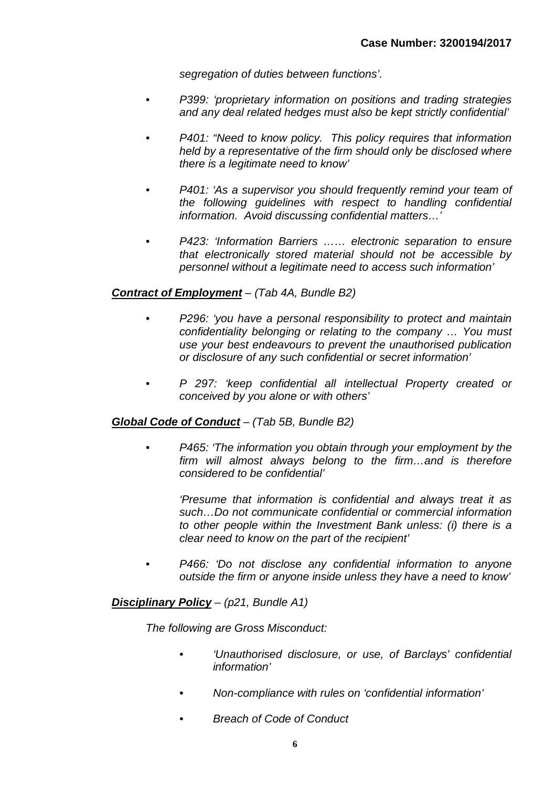*segregation of duties between functions'.*

- *• P399: 'proprietary information on positions and trading strategies and any deal related hedges must also be kept strictly confidential'*
- *• P401: "Need to know policy. This policy requires that information held by a representative of the firm should only be disclosed where there is a legitimate need to know'*
- *• P401: 'As a supervisor you should frequently remind your team of the following guidelines with respect to handling confidential information. Avoid discussing confidential matters…'*
- *• P423: 'Information Barriers …… electronic separation to ensure that electronically stored material should not be accessible by personnel without a legitimate need to access such information'*

## *Contract of Employment – (Tab 4A, Bundle B2)*

- *• P296: 'you have a personal responsibility to protect and maintain confidentiality belonging or relating to the company … You must use your best endeavours to prevent the unauthorised publication or disclosure of any such confidential or secret information'*
- *• P 297: 'keep confidential all intellectual Property created or conceived by you alone or with others'*

## *Global Code of Conduct – (Tab 5B, Bundle B2)*

*• P465: 'The information you obtain through your employment by the firm will almost always belong to the firm…and is therefore considered to be confidential'*

*'Presume that information is confidential and always treat it as such…Do not communicate confidential or commercial information to other people within the Investment Bank unless: (i) there is a clear need to know on the part of the recipient'*

*• P466: 'Do not disclose any confidential information to anyone outside the firm or anyone inside unless they have a need to know'* 

*Disciplinary Policy – (p21, Bundle A1)*

*The following are Gross Misconduct:*

- *• 'Unauthorised disclosure, or use, of Barclays' confidential information'*
- *• Non-compliance with rules on 'confidential information'*
- *• Breach of Code of Conduct*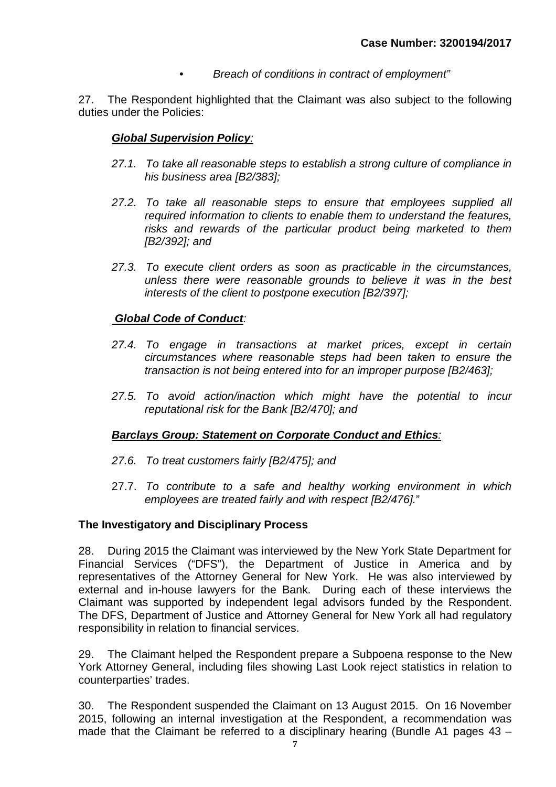*• Breach of conditions in contract of employment"*

27. The Respondent highlighted that the Claimant was also subject to the following duties under the Policies:

## *Global Supervision Policy:*

- *27.1. To take all reasonable steps to establish a strong culture of compliance in his business area [B2/383];*
- *27.2. To take all reasonable steps to ensure that employees supplied all required information to clients to enable them to understand the features, risks and rewards of the particular product being marketed to them [B2/392]; and*
- *27.3. To execute client orders as soon as practicable in the circumstances, unless there were reasonable grounds to believe it was in the best interests of the client to postpone execution [B2/397];*

## *Global Code of Conduct:*

- *27.4. To engage in transactions at market prices, except in certain circumstances where reasonable steps had been taken to ensure the transaction is not being entered into for an improper purpose [B2/463];*
- *27.5. To avoid action/inaction which might have the potential to incur reputational risk for the Bank [B2/470]; and*

## *Barclays Group: Statement on Corporate Conduct and Ethics:*

- *27.6. To treat customers fairly [B2/475]; and*
- 27.7. *To contribute to a safe and healthy working environment in which employees are treated fairly and with respect [B2/476].*"

#### **The Investigatory and Disciplinary Process**

28. During 2015 the Claimant was interviewed by the New York State Department for Financial Services ("DFS"), the Department of Justice in America and by representatives of the Attorney General for New York. He was also interviewed by external and in-house lawyers for the Bank. During each of these interviews the Claimant was supported by independent legal advisors funded by the Respondent. The DFS, Department of Justice and Attorney General for New York all had regulatory responsibility in relation to financial services.

29. The Claimant helped the Respondent prepare a Subpoena response to the New York Attorney General, including files showing Last Look reject statistics in relation to counterparties' trades.

30. The Respondent suspended the Claimant on 13 August 2015. On 16 November 2015, following an internal investigation at the Respondent, a recommendation was made that the Claimant be referred to a disciplinary hearing (Bundle A1 pages 43 –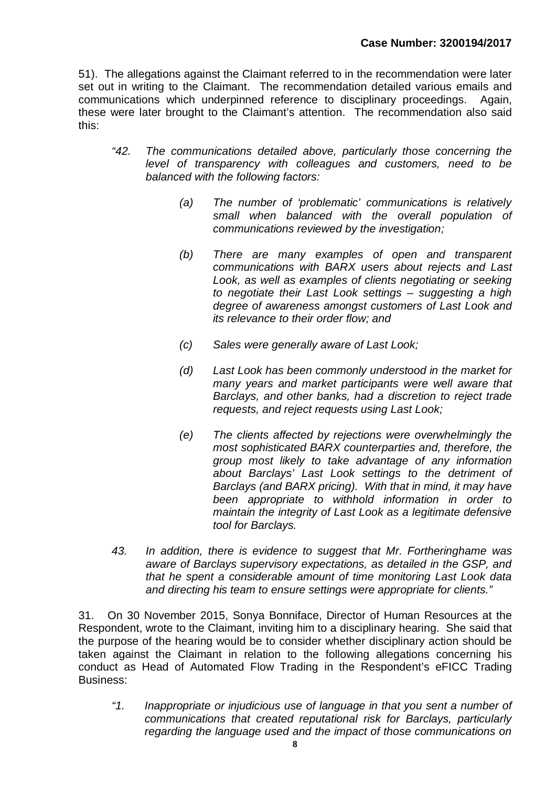51). The allegations against the Claimant referred to in the recommendation were later set out in writing to the Claimant. The recommendation detailed various emails and communications which underpinned reference to disciplinary proceedings. Again, these were later brought to the Claimant's attention. The recommendation also said this:

- *"42. The communications detailed above, particularly those concerning the level of transparency with colleagues and customers, need to be balanced with the following factors:*
	- *(a) The number of 'problematic' communications is relatively small when balanced with the overall population of communications reviewed by the investigation;*
	- *(b) There are many examples of open and transparent communications with BARX users about rejects and Last*  Look, as well as examples of clients negotiating or seeking *to negotiate their Last Look settings – suggesting a high degree of awareness amongst customers of Last Look and its relevance to their order flow; and*
	- *(c) Sales were generally aware of Last Look;*
	- *(d) Last Look has been commonly understood in the market for many years and market participants were well aware that Barclays, and other banks, had a discretion to reject trade requests, and reject requests using Last Look;*
	- *(e) The clients affected by rejections were overwhelmingly the most sophisticated BARX counterparties and, therefore, the group most likely to take advantage of any information about Barclays' Last Look settings to the detriment of Barclays (and BARX pricing). With that in mind, it may have been appropriate to withhold information in order to maintain the integrity of Last Look as a legitimate defensive tool for Barclays.*
- *43. In addition, there is evidence to suggest that Mr. Fortheringhame was aware of Barclays supervisory expectations, as detailed in the GSP, and that he spent a considerable amount of time monitoring Last Look data and directing his team to ensure settings were appropriate for clients."*

31. On 30 November 2015, Sonya Bonniface, Director of Human Resources at the Respondent, wrote to the Claimant, inviting him to a disciplinary hearing. She said that the purpose of the hearing would be to consider whether disciplinary action should be taken against the Claimant in relation to the following allegations concerning his conduct as Head of Automated Flow Trading in the Respondent's eFICC Trading Business:

*"1. Inappropriate or injudicious use of language in that you sent a number of communications that created reputational risk for Barclays, particularly regarding the language used and the impact of those communications on*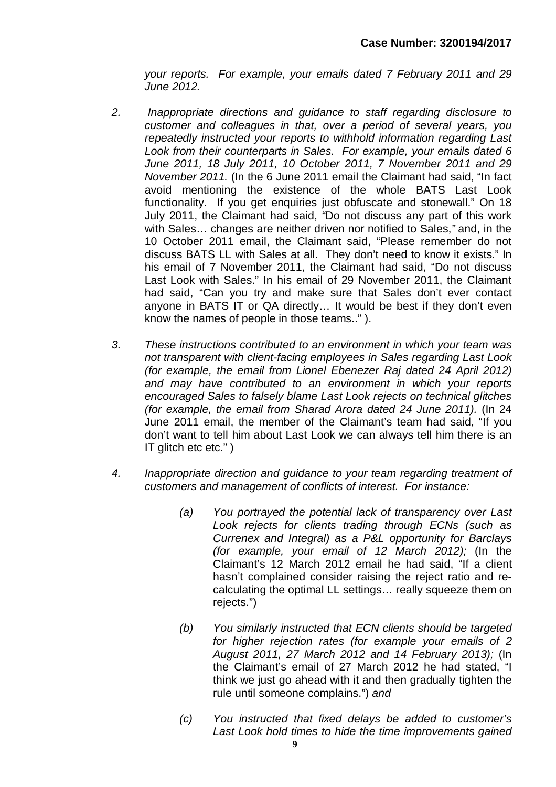*your reports. For example, your emails dated 7 February 2011 and 29 June 2012.*

- *2. Inappropriate directions and guidance to staff regarding disclosure to customer and colleagues in that, over a period of several years, you repeatedly instructed your reports to withhold information regarding Last Look from their counterparts in Sales. For example, your emails dated 6 June 2011, 18 July 2011, 10 October 2011, 7 November 2011 and 29 November 2011.* (In the 6 June 2011 email the Claimant had said, "In fact avoid mentioning the existence of the whole BATS Last Look functionality. If you get enquiries just obfuscate and stonewall." On 18 July 2011, the Claimant had said, *"*Do not discuss any part of this work with Sales… changes are neither driven nor notified to Sales,*"* and, in the 10 October 2011 email, the Claimant said, "Please remember do not discuss BATS LL with Sales at all. They don't need to know it exists." In his email of 7 November 2011, the Claimant had said, "Do not discuss Last Look with Sales." In his email of 29 November 2011, the Claimant had said, "Can you try and make sure that Sales don't ever contact anyone in BATS IT or QA directly… It would be best if they don't even know the names of people in those teams.." ).
- *3. These instructions contributed to an environment in which your team was not transparent with client-facing employees in Sales regarding Last Look (for example, the email from Lionel Ebenezer Raj dated 24 April 2012) and may have contributed to an environment in which your reports encouraged Sales to falsely blame Last Look rejects on technical glitches (for example, the email from Sharad Arora dated 24 June 2011).* (In 24 June 2011 email, the member of the Claimant's team had said, "If you don't want to tell him about Last Look we can always tell him there is an IT glitch etc etc.")
- *4. Inappropriate direction and guidance to your team regarding treatment of customers and management of conflicts of interest. For instance:*
	- *(a) You portrayed the potential lack of transparency over Last Look rejects for clients trading through ECNs (such as Currenex and Integral) as a P&L opportunity for Barclays (for example, your email of 12 March 2012);* (In the Claimant's 12 March 2012 email he had said, "If a client hasn't complained consider raising the reject ratio and recalculating the optimal LL settings… really squeeze them on rejects.")
	- *(b) You similarly instructed that ECN clients should be targeted for higher rejection rates (for example your emails of 2 August 2011, 27 March 2012 and 14 February 2013);* (In the Claimant's email of 27 March 2012 he had stated, "I think we just go ahead with it and then gradually tighten the rule until someone complains.") *and*
	- *(c) You instructed that fixed delays be added to customer's Last Look hold times to hide the time improvements gained*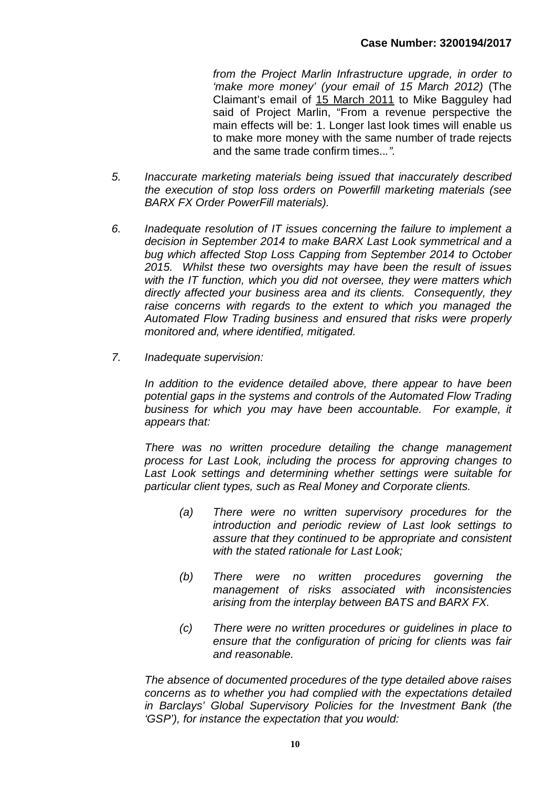*from the Project Marlin Infrastructure upgrade, in order to 'make more money' (your email of 15 March 2012)* (The Claimant's email of 15 March 2011 to Mike Bagguley had said of Project Marlin, "From a revenue perspective the main effects will be: 1. Longer last look times will enable us to make more money with the same number of trade rejects and the same trade confirm times..*.".*

- *5. Inaccurate marketing materials being issued that inaccurately described the execution of stop loss orders on Powerfill marketing materials (see BARX FX Order PowerFill materials).*
- *6. Inadequate resolution of IT issues concerning the failure to implement a decision in September 2014 to make BARX Last Look symmetrical and a bug which affected Stop Loss Capping from September 2014 to October 2015. Whilst these two oversights may have been the result of issues with the IT function, which you did not oversee, they were matters which directly affected your business area and its clients. Consequently, they raise concerns with regards to the extent to which you managed the Automated Flow Trading business and ensured that risks were properly monitored and, where identified, mitigated.*
- *7. Inadequate supervision:*

*In addition to the evidence detailed above, there appear to have been potential gaps in the systems and controls of the Automated Flow Trading business for which you may have been accountable. For example, it appears that:*

*There was no written procedure detailing the change management process for Last Look, including the process for approving changes to Last Look settings and determining whether settings were suitable for particular client types, such as Real Money and Corporate clients.* 

- *(a) There were no written supervisory procedures for the introduction and periodic review of Last look settings to assure that they continued to be appropriate and consistent with the stated rationale for Last Look;*
- *(b) There were no written procedures governing the management of risks associated with inconsistencies arising from the interplay between BATS and BARX FX.*
- *(c) There were no written procedures or guidelines in place to ensure that the configuration of pricing for clients was fair and reasonable.*

*The absence of documented procedures of the type detailed above raises concerns as to whether you had complied with the expectations detailed in Barclays' Global Supervisory Policies for the Investment Bank (the 'GSP'), for instance the expectation that you would:*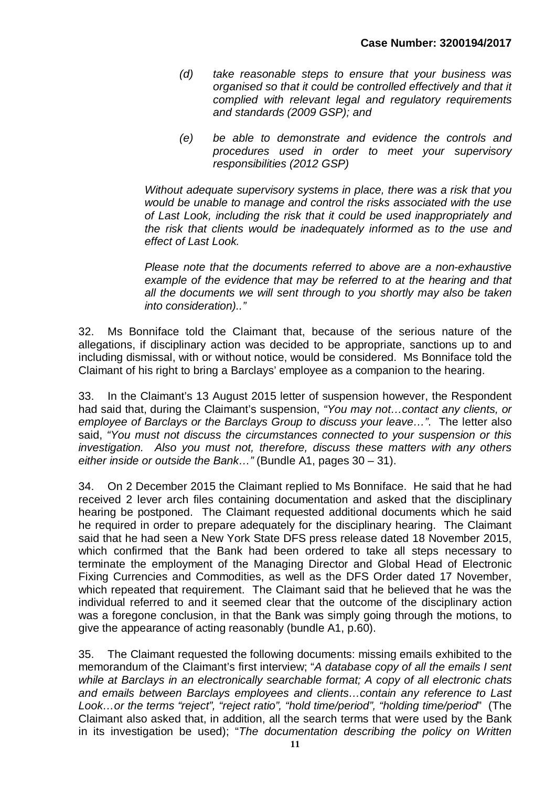- *(d) take reasonable steps to ensure that your business was organised so that it could be controlled effectively and that it complied with relevant legal and regulatory requirements and standards (2009 GSP); and*
- *(e) be able to demonstrate and evidence the controls and procedures used in order to meet your supervisory responsibilities (2012 GSP)*

*Without adequate supervisory systems in place, there was a risk that you would be unable to manage and control the risks associated with the use of Last Look, including the risk that it could be used inappropriately and the risk that clients would be inadequately informed as to the use and effect of Last Look.*

*Please note that the documents referred to above are a non-exhaustive example of the evidence that may be referred to at the hearing and that all the documents we will sent through to you shortly may also be taken into consideration).."*

32. Ms Bonniface told the Claimant that, because of the serious nature of the allegations, if disciplinary action was decided to be appropriate, sanctions up to and including dismissal, with or without notice, would be considered. Ms Bonniface told the Claimant of his right to bring a Barclays' employee as a companion to the hearing.

33. In the Claimant's 13 August 2015 letter of suspension however, the Respondent had said that, during the Claimant's suspension, *"You may not…contact any clients, or employee of Barclays or the Barclays Group to discuss your leave…"*. The letter also said, *"You must not discuss the circumstances connected to your suspension or this investigation. Also you must not, therefore, discuss these matters with any others either inside or outside the Bank…"* (Bundle A1, pages 30 – 31).

34. On 2 December 2015 the Claimant replied to Ms Bonniface. He said that he had received 2 lever arch files containing documentation and asked that the disciplinary hearing be postponed. The Claimant requested additional documents which he said he required in order to prepare adequately for the disciplinary hearing. The Claimant said that he had seen a New York State DFS press release dated 18 November 2015, which confirmed that the Bank had been ordered to take all steps necessary to terminate the employment of the Managing Director and Global Head of Electronic Fixing Currencies and Commodities, as well as the DFS Order dated 17 November, which repeated that requirement. The Claimant said that he believed that he was the individual referred to and it seemed clear that the outcome of the disciplinary action was a foregone conclusion, in that the Bank was simply going through the motions, to give the appearance of acting reasonably (bundle A1, p.60).

35. The Claimant requested the following documents: missing emails exhibited to the memorandum of the Claimant's first interview; "*A database copy of all the emails I sent while at Barclays in an electronically searchable format; A copy of all electronic chats and emails between Barclays employees and clients…contain any reference to Last Look…or the terms "reject", "reject ratio", "hold time/period", "holding time/period*" (The Claimant also asked that, in addition, all the search terms that were used by the Bank in its investigation be used); "*The documentation describing the policy on Written*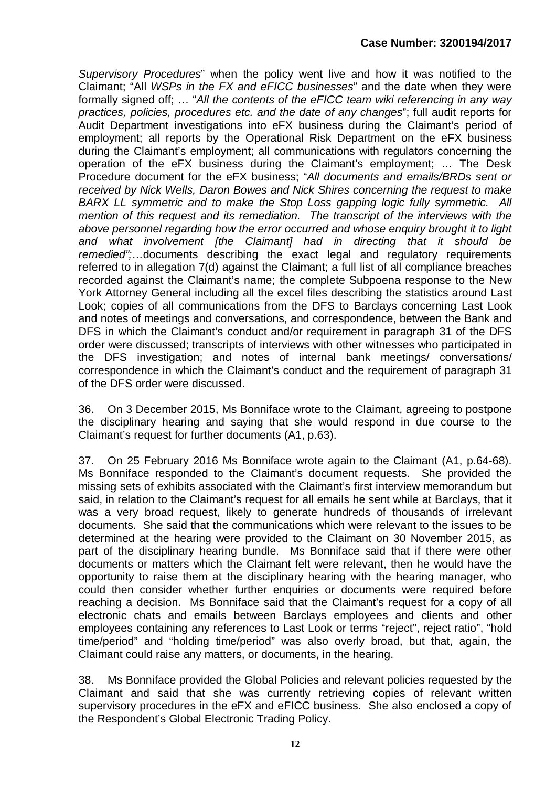*Supervisory Procedures*" when the policy went live and how it was notified to the Claimant; "All *WSPs in the FX and eFICC businesses*" and the date when they were formally signed off; … "*All the contents of the eFICC team wiki referencing in any way practices, policies, procedures etc. and the date of any changes*"; full audit reports for Audit Department investigations into eFX business during the Claimant's period of employment; all reports by the Operational Risk Department on the eFX business during the Claimant's employment; all communications with regulators concerning the operation of the eFX business during the Claimant's employment; … The Desk Procedure document for the eFX business; "*All documents and emails/BRDs sent or received by Nick Wells, Daron Bowes and Nick Shires concerning the request to make BARX LL symmetric and to make the Stop Loss gapping logic fully symmetric. All mention of this request and its remediation. The transcript of the interviews with the above personnel regarding how the error occurred and whose enquiry brought it to light and what involvement [the Claimant] had in directing that it should be remedied";*…documents describing the exact legal and regulatory requirements referred to in allegation 7(d) against the Claimant; a full list of all compliance breaches recorded against the Claimant's name; the complete Subpoena response to the New York Attorney General including all the excel files describing the statistics around Last Look; copies of all communications from the DFS to Barclays concerning Last Look and notes of meetings and conversations, and correspondence, between the Bank and DFS in which the Claimant's conduct and/or requirement in paragraph 31 of the DFS order were discussed; transcripts of interviews with other witnesses who participated in the DFS investigation; and notes of internal bank meetings/ conversations/ correspondence in which the Claimant's conduct and the requirement of paragraph 31 of the DFS order were discussed.

36. On 3 December 2015, Ms Bonniface wrote to the Claimant, agreeing to postpone the disciplinary hearing and saying that she would respond in due course to the Claimant's request for further documents (A1, p.63).

37. On 25 February 2016 Ms Bonniface wrote again to the Claimant (A1, p.64-68). Ms Bonniface responded to the Claimant's document requests. She provided the missing sets of exhibits associated with the Claimant's first interview memorandum but said, in relation to the Claimant's request for all emails he sent while at Barclays, that it was a very broad request, likely to generate hundreds of thousands of irrelevant documents. She said that the communications which were relevant to the issues to be determined at the hearing were provided to the Claimant on 30 November 2015, as part of the disciplinary hearing bundle. Ms Bonniface said that if there were other documents or matters which the Claimant felt were relevant, then he would have the opportunity to raise them at the disciplinary hearing with the hearing manager, who could then consider whether further enquiries or documents were required before reaching a decision. Ms Bonniface said that the Claimant's request for a copy of all electronic chats and emails between Barclays employees and clients and other employees containing any references to Last Look or terms "reject", reject ratio", "hold time/period" and "holding time/period" was also overly broad, but that, again, the Claimant could raise any matters, or documents, in the hearing.

38. Ms Bonniface provided the Global Policies and relevant policies requested by the Claimant and said that she was currently retrieving copies of relevant written supervisory procedures in the eFX and eFICC business. She also enclosed a copy of the Respondent's Global Electronic Trading Policy.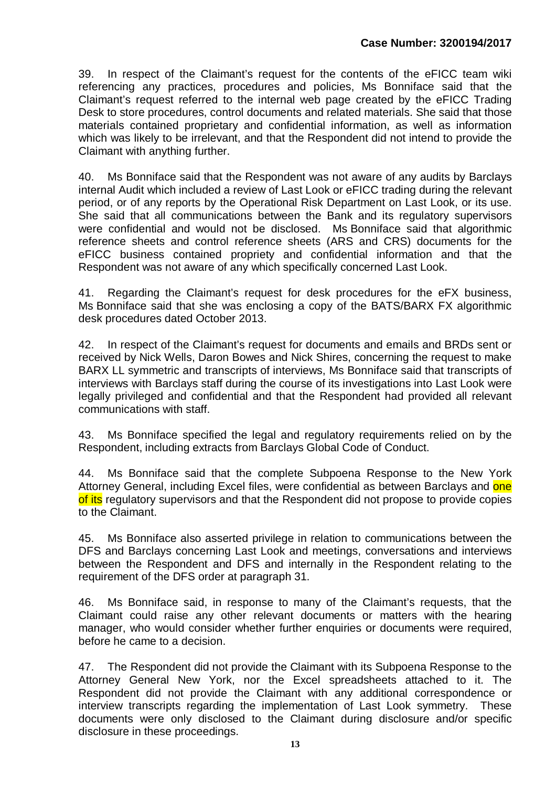39. In respect of the Claimant's request for the contents of the eFICC team wiki referencing any practices, procedures and policies, Ms Bonniface said that the Claimant's request referred to the internal web page created by the eFICC Trading Desk to store procedures, control documents and related materials. She said that those materials contained proprietary and confidential information, as well as information which was likely to be irrelevant, and that the Respondent did not intend to provide the Claimant with anything further.

40. Ms Bonniface said that the Respondent was not aware of any audits by Barclays internal Audit which included a review of Last Look or eFICC trading during the relevant period, or of any reports by the Operational Risk Department on Last Look, or its use. She said that all communications between the Bank and its regulatory supervisors were confidential and would not be disclosed. Ms Bonniface said that algorithmic reference sheets and control reference sheets (ARS and CRS) documents for the eFICC business contained propriety and confidential information and that the Respondent was not aware of any which specifically concerned Last Look.

41. Regarding the Claimant's request for desk procedures for the eFX business, Ms Bonniface said that she was enclosing a copy of the BATS/BARX FX algorithmic desk procedures dated October 2013.

42. In respect of the Claimant's request for documents and emails and BRDs sent or received by Nick Wells, Daron Bowes and Nick Shires, concerning the request to make BARX LL symmetric and transcripts of interviews, Ms Bonniface said that transcripts of interviews with Barclays staff during the course of its investigations into Last Look were legally privileged and confidential and that the Respondent had provided all relevant communications with staff.

43. Ms Bonniface specified the legal and regulatory requirements relied on by the Respondent, including extracts from Barclays Global Code of Conduct.

44. Ms Bonniface said that the complete Subpoena Response to the New York Attorney General, including Excel files, were confidential as between Barclays and one of its regulatory supervisors and that the Respondent did not propose to provide copies to the Claimant.

45. Ms Bonniface also asserted privilege in relation to communications between the DFS and Barclays concerning Last Look and meetings, conversations and interviews between the Respondent and DFS and internally in the Respondent relating to the requirement of the DFS order at paragraph 31.

46. Ms Bonniface said, in response to many of the Claimant's requests, that the Claimant could raise any other relevant documents or matters with the hearing manager, who would consider whether further enquiries or documents were required, before he came to a decision.

47. The Respondent did not provide the Claimant with its Subpoena Response to the Attorney General New York, nor the Excel spreadsheets attached to it. The Respondent did not provide the Claimant with any additional correspondence or interview transcripts regarding the implementation of Last Look symmetry. These documents were only disclosed to the Claimant during disclosure and/or specific disclosure in these proceedings.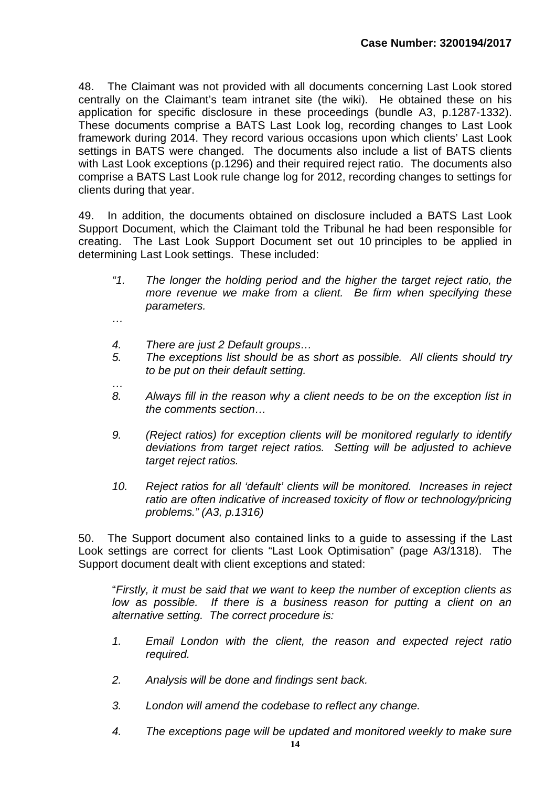48. The Claimant was not provided with all documents concerning Last Look stored centrally on the Claimant's team intranet site (the wiki). He obtained these on his application for specific disclosure in these proceedings (bundle A3, p.1287-1332). These documents comprise a BATS Last Look log, recording changes to Last Look framework during 2014. They record various occasions upon which clients' Last Look settings in BATS were changed. The documents also include a list of BATS clients with Last Look exceptions (p.1296) and their required reject ratio. The documents also comprise a BATS Last Look rule change log for 2012, recording changes to settings for clients during that year.

49. In addition, the documents obtained on disclosure included a BATS Last Look Support Document, which the Claimant told the Tribunal he had been responsible for creating. The Last Look Support Document set out 10 principles to be applied in determining Last Look settings. These included:

- *"1. The longer the holding period and the higher the target reject ratio, the more revenue we make from a client. Be firm when specifying these parameters.*
- *…*

*…*

- *4. There are just 2 Default groups…*
- *5. The exceptions list should be as short as possible. All clients should try to be put on their default setting.*
- *8. Always fill in the reason why a client needs to be on the exception list in the comments section…*
- *9. (Reject ratios) for exception clients will be monitored regularly to identify deviations from target reject ratios. Setting will be adjusted to achieve target reject ratios.*
- *10. Reject ratios for all 'default' clients will be monitored. Increases in reject ratio are often indicative of increased toxicity of flow or technology/pricing problems." (A3, p.1316)*

50. The Support document also contained links to a guide to assessing if the Last Look settings are correct for clients "Last Look Optimisation" (page A3/1318). The Support document dealt with client exceptions and stated:

"*Firstly, it must be said that we want to keep the number of exception clients as low as possible.* If there is a business reason for putting a client on an *alternative setting. The correct procedure is:*

- *1. Email London with the client, the reason and expected reject ratio required.*
- *2. Analysis will be done and findings sent back.*
- *3. London will amend the codebase to reflect any change.*
- *4. The exceptions page will be updated and monitored weekly to make sure*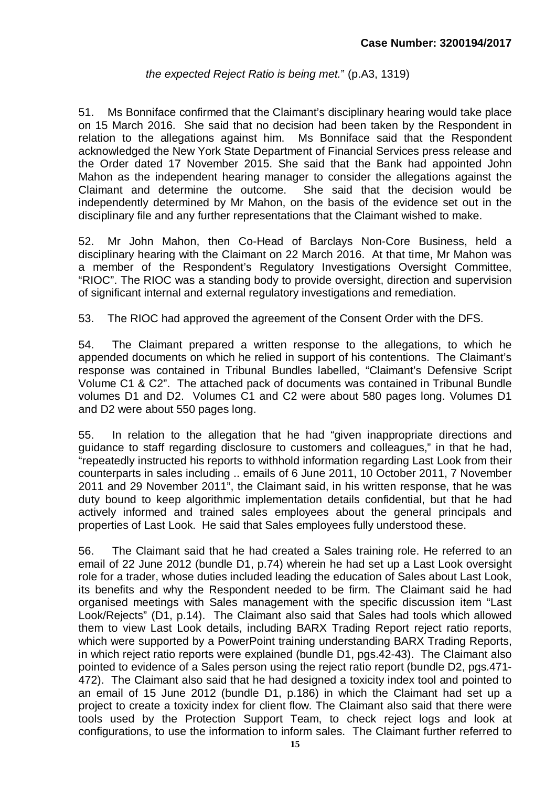## *the expected Reject Ratio is being met.*" (p.A3, 1319)

51. Ms Bonniface confirmed that the Claimant's disciplinary hearing would take place on 15 March 2016. She said that no decision had been taken by the Respondent in relation to the allegations against him. Ms Bonniface said that the Respondent acknowledged the New York State Department of Financial Services press release and the Order dated 17 November 2015. She said that the Bank had appointed John Mahon as the independent hearing manager to consider the allegations against the Claimant and determine the outcome. She said that the decision would be independently determined by Mr Mahon, on the basis of the evidence set out in the disciplinary file and any further representations that the Claimant wished to make.

52. Mr John Mahon, then Co-Head of Barclays Non-Core Business, held a disciplinary hearing with the Claimant on 22 March 2016. At that time, Mr Mahon was a member of the Respondent's Regulatory Investigations Oversight Committee, "RIOC". The RIOC was a standing body to provide oversight, direction and supervision of significant internal and external regulatory investigations and remediation.

53. The RIOC had approved the agreement of the Consent Order with the DFS.

54. The Claimant prepared a written response to the allegations, to which he appended documents on which he relied in support of his contentions. The Claimant's response was contained in Tribunal Bundles labelled, "Claimant's Defensive Script Volume C1 & C2". The attached pack of documents was contained in Tribunal Bundle volumes D1 and D2. Volumes C1 and C2 were about 580 pages long. Volumes D1 and D2 were about 550 pages long.

55. In relation to the allegation that he had "given inappropriate directions and guidance to staff regarding disclosure to customers and colleagues," in that he had, "repeatedly instructed his reports to withhold information regarding Last Look from their counterparts in sales including .. emails of 6 June 2011, 10 October 2011, 7 November 2011 and 29 November 2011", the Claimant said, in his written response, that he was duty bound to keep algorithmic implementation details confidential, but that he had actively informed and trained sales employees about the general principals and properties of Last Look. He said that Sales employees fully understood these.

56. The Claimant said that he had created a Sales training role. He referred to an email of 22 June 2012 (bundle D1, p.74) wherein he had set up a Last Look oversight role for a trader, whose duties included leading the education of Sales about Last Look, its benefits and why the Respondent needed to be firm. The Claimant said he had organised meetings with Sales management with the specific discussion item "Last Look/Rejects" (D1, p.14). The Claimant also said that Sales had tools which allowed them to view Last Look details, including BARX Trading Report reject ratio reports, which were supported by a PowerPoint training understanding BARX Trading Reports, in which reject ratio reports were explained (bundle D1, pgs.42-43). The Claimant also pointed to evidence of a Sales person using the reject ratio report (bundle D2, pgs.471- 472). The Claimant also said that he had designed a toxicity index tool and pointed to an email of 15 June 2012 (bundle D1, p.186) in which the Claimant had set up a project to create a toxicity index for client flow. The Claimant also said that there were tools used by the Protection Support Team, to check reject logs and look at configurations, to use the information to inform sales. The Claimant further referred to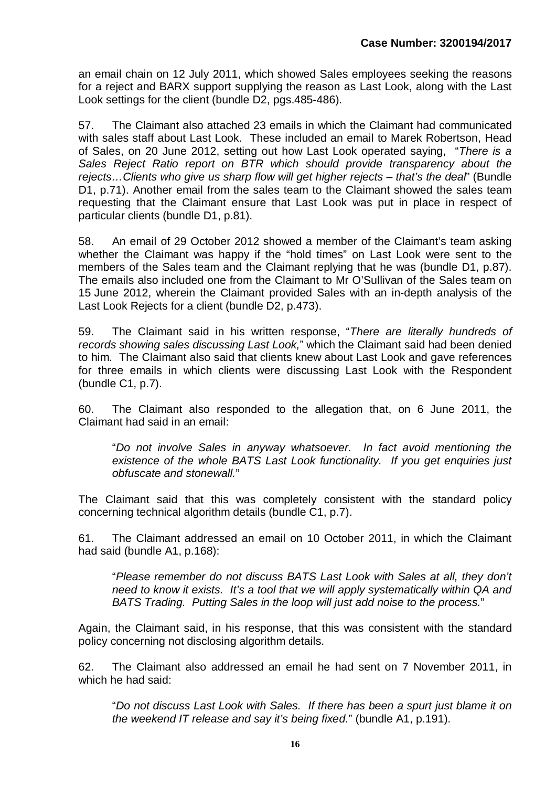an email chain on 12 July 2011, which showed Sales employees seeking the reasons for a reject and BARX support supplying the reason as Last Look, along with the Last Look settings for the client (bundle D2, pgs.485-486).

57. The Claimant also attached 23 emails in which the Claimant had communicated with sales staff about Last Look. These included an email to Marek Robertson, Head of Sales, on 20 June 2012, setting out how Last Look operated saying, "*There is a Sales Reject Ratio report on BTR which should provide transparency about the rejects…Clients who give us sharp flow will get higher rejects – that's the deal*" (Bundle D1, p.71). Another email from the sales team to the Claimant showed the sales team requesting that the Claimant ensure that Last Look was put in place in respect of particular clients (bundle D1, p.81).

58. An email of 29 October 2012 showed a member of the Claimant's team asking whether the Claimant was happy if the "hold times" on Last Look were sent to the members of the Sales team and the Claimant replying that he was (bundle D1, p.87). The emails also included one from the Claimant to Mr O'Sullivan of the Sales team on 15 June 2012, wherein the Claimant provided Sales with an in-depth analysis of the Last Look Rejects for a client (bundle D2, p.473).

59. The Claimant said in his written response, "*There are literally hundreds of records showing sales discussing Last Look,*" which the Claimant said had been denied to him. The Claimant also said that clients knew about Last Look and gave references for three emails in which clients were discussing Last Look with the Respondent (bundle C1, p.7).

60. The Claimant also responded to the allegation that, on 6 June 2011, the Claimant had said in an email:

"*Do not involve Sales in anyway whatsoever. In fact avoid mentioning the existence of the whole BATS Last Look functionality. If you get enquiries just obfuscate and stonewall.*"

The Claimant said that this was completely consistent with the standard policy concerning technical algorithm details (bundle C1, p.7).

61. The Claimant addressed an email on 10 October 2011, in which the Claimant had said (bundle A1, p.168):

"*Please remember do not discuss BATS Last Look with Sales at all, they don't need to know it exists. It's a tool that we will apply systematically within QA and BATS Trading. Putting Sales in the loop will just add noise to the process.*"

Again, the Claimant said, in his response, that this was consistent with the standard policy concerning not disclosing algorithm details.

62. The Claimant also addressed an email he had sent on 7 November 2011, in which he had said:

"*Do not discuss Last Look with Sales. If there has been a spurt just blame it on the weekend IT release and say it's being fixed.*" (bundle A1, p.191).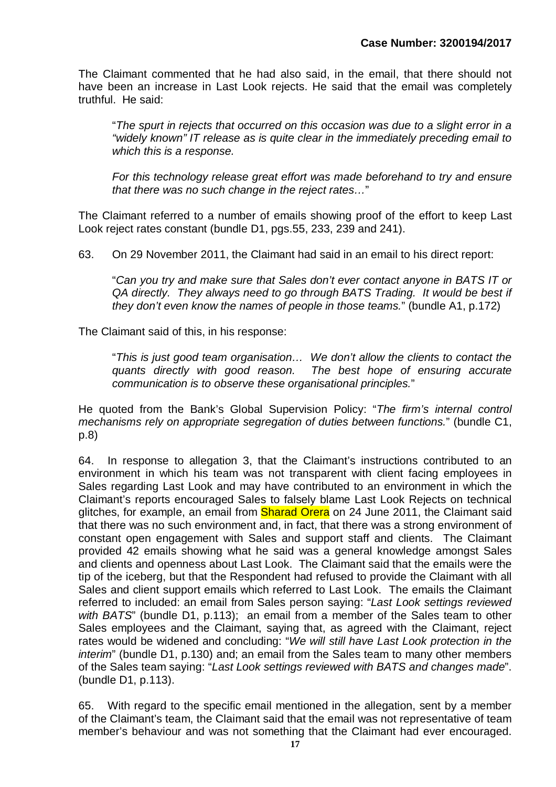The Claimant commented that he had also said, in the email, that there should not have been an increase in Last Look rejects. He said that the email was completely truthful. He said:

"*The spurt in rejects that occurred on this occasion was due to a slight error in a "widely known" IT release as is quite clear in the immediately preceding email to which this is a response.*

*For this technology release great effort was made beforehand to try and ensure that there was no such change in the reject rates…*"

The Claimant referred to a number of emails showing proof of the effort to keep Last Look reject rates constant (bundle D1, pgs.55, 233, 239 and 241).

63. On 29 November 2011, the Claimant had said in an email to his direct report:

"*Can you try and make sure that Sales don't ever contact anyone in BATS IT or QA directly. They always need to go through BATS Trading. It would be best if they don't even know the names of people in those teams.*" (bundle A1, p.172)

The Claimant said of this, in his response:

"*This is just good team organisation… We don't allow the clients to contact the quants directly with good reason. The best hope of ensuring accurate communication is to observe these organisational principles.*"

He quoted from the Bank's Global Supervision Policy: "*The firm's internal control mechanisms rely on appropriate segregation of duties between functions.*" (bundle C1, p.8)

64. In response to allegation 3, that the Claimant's instructions contributed to an environment in which his team was not transparent with client facing employees in Sales regarding Last Look and may have contributed to an environment in which the Claimant's reports encouraged Sales to falsely blame Last Look Rejects on technical glitches, for example, an email from **Sharad Orera** on 24 June 2011, the Claimant said that there was no such environment and, in fact, that there was a strong environment of constant open engagement with Sales and support staff and clients. The Claimant provided 42 emails showing what he said was a general knowledge amongst Sales and clients and openness about Last Look. The Claimant said that the emails were the tip of the iceberg, but that the Respondent had refused to provide the Claimant with all Sales and client support emails which referred to Last Look. The emails the Claimant referred to included: an email from Sales person saying: "*Last Look settings reviewed with BATS*" (bundle D1, p.113); an email from a member of the Sales team to other Sales employees and the Claimant, saying that, as agreed with the Claimant, reject rates would be widened and concluding: "*We will still have Last Look protection in the interim*" (bundle D1, p.130) and; an email from the Sales team to many other members of the Sales team saying: "*Last Look settings reviewed with BATS and changes made*". (bundle D1, p.113).

65. With regard to the specific email mentioned in the allegation, sent by a member of the Claimant's team, the Claimant said that the email was not representative of team member's behaviour and was not something that the Claimant had ever encouraged.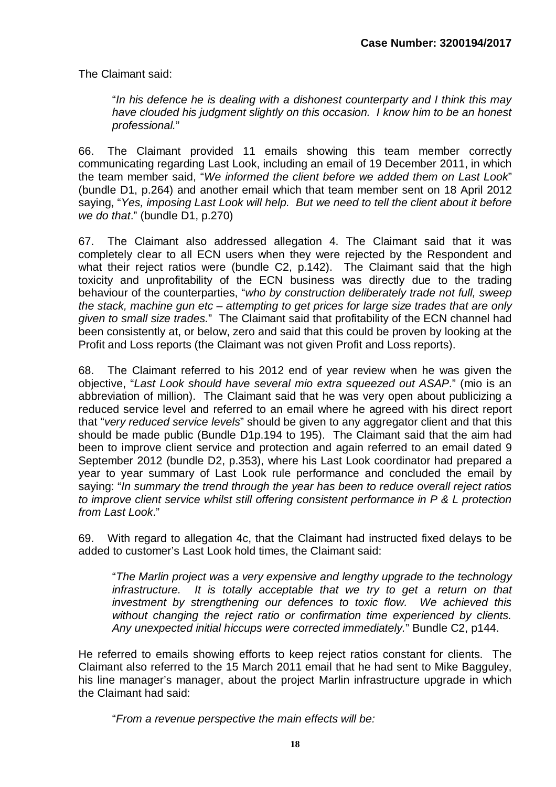The Claimant said:

"*In his defence he is dealing with a dishonest counterparty and I think this may have clouded his judgment slightly on this occasion. I know him to be an honest professional.*"

66. The Claimant provided 11 emails showing this team member correctly communicating regarding Last Look, including an email of 19 December 2011, in which the team member said, "*We informed the client before we added them on Last Look*" (bundle D1, p.264) and another email which that team member sent on 18 April 2012 saying, "*Yes, imposing Last Look will help. But we need to tell the client about it before we do that*." (bundle D1, p.270)

67. The Claimant also addressed allegation 4. The Claimant said that it was completely clear to all ECN users when they were rejected by the Respondent and what their reject ratios were (bundle C2, p.142). The Claimant said that the high toxicity and unprofitability of the ECN business was directly due to the trading behaviour of the counterparties, "*who by construction deliberately trade not full, sweep the stack, machine gun etc – attempting to get prices for large size trades that are only given to small size trades.*" The Claimant said that profitability of the ECN channel had been consistently at, or below, zero and said that this could be proven by looking at the Profit and Loss reports (the Claimant was not given Profit and Loss reports).

68. The Claimant referred to his 2012 end of year review when he was given the objective, "*Last Look should have several mio extra squeezed out ASAP*." (mio is an abbreviation of million). The Claimant said that he was very open about publicizing a reduced service level and referred to an email where he agreed with his direct report that "*very reduced service levels*" should be given to any aggregator client and that this should be made public (Bundle D1p.194 to 195). The Claimant said that the aim had been to improve client service and protection and again referred to an email dated 9 September 2012 (bundle D2, p.353), where his Last Look coordinator had prepared a year to year summary of Last Look rule performance and concluded the email by saying: "*In summary the trend through the year has been to reduce overall reject ratios to improve client service whilst still offering consistent performance in P & L protection from Last Look*."

69. With regard to allegation 4c, that the Claimant had instructed fixed delays to be added to customer's Last Look hold times, the Claimant said:

"*The Marlin project was a very expensive and lengthy upgrade to the technology infrastructure.* It is totally acceptable that we try to get a return on that *investment by strengthening our defences to toxic flow. We achieved this without changing the reject ratio or confirmation time experienced by clients. Any unexpected initial hiccups were corrected immediately.*" Bundle C2, p144.

He referred to emails showing efforts to keep reject ratios constant for clients. The Claimant also referred to the 15 March 2011 email that he had sent to Mike Bagguley, his line manager's manager, about the project Marlin infrastructure upgrade in which the Claimant had said:

"*From a revenue perspective the main effects will be:*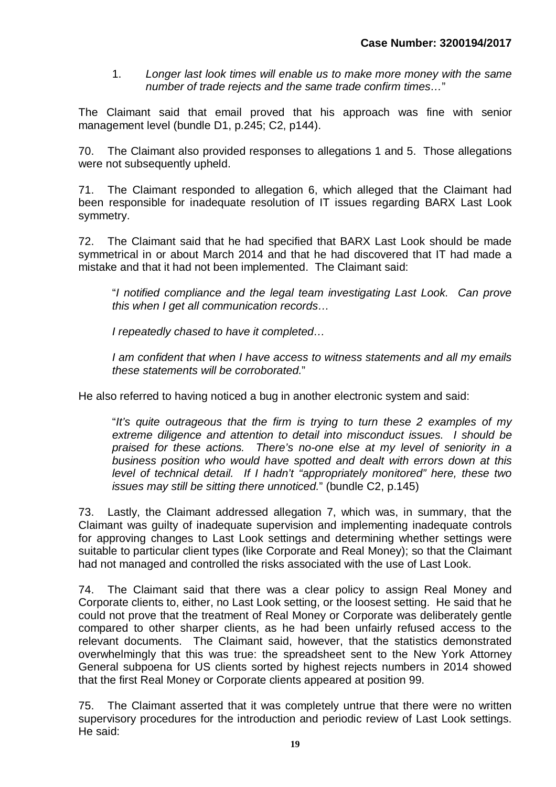1. *Longer last look times will enable us to make more money with the same number of trade rejects and the same trade confirm times…*"

The Claimant said that email proved that his approach was fine with senior management level (bundle D1, p.245; C2, p144).

70. The Claimant also provided responses to allegations 1 and 5. Those allegations were not subsequently upheld.

71. The Claimant responded to allegation 6, which alleged that the Claimant had been responsible for inadequate resolution of IT issues regarding BARX Last Look symmetry.

72. The Claimant said that he had specified that BARX Last Look should be made symmetrical in or about March 2014 and that he had discovered that IT had made a mistake and that it had not been implemented. The Claimant said:

"*I notified compliance and the legal team investigating Last Look. Can prove this when I get all communication records…*

*I repeatedly chased to have it completed…*

*I am confident that when I have access to witness statements and all my emails these statements will be corroborated.*"

He also referred to having noticed a bug in another electronic system and said:

"*It's quite outrageous that the firm is trying to turn these 2 examples of my extreme diligence and attention to detail into misconduct issues. I should be praised for these actions. There's no-one else at my level of seniority in a business position who would have spotted and dealt with errors down at this level of technical detail. If I hadn't "appropriately monitored" here, these two issues may still be sitting there unnoticed.*" (bundle C2, p.145)

73. Lastly, the Claimant addressed allegation 7, which was, in summary, that the Claimant was guilty of inadequate supervision and implementing inadequate controls for approving changes to Last Look settings and determining whether settings were suitable to particular client types (like Corporate and Real Money); so that the Claimant had not managed and controlled the risks associated with the use of Last Look.

74. The Claimant said that there was a clear policy to assign Real Money and Corporate clients to, either, no Last Look setting, or the loosest setting. He said that he could not prove that the treatment of Real Money or Corporate was deliberately gentle compared to other sharper clients, as he had been unfairly refused access to the relevant documents. The Claimant said, however, that the statistics demonstrated overwhelmingly that this was true: the spreadsheet sent to the New York Attorney General subpoena for US clients sorted by highest rejects numbers in 2014 showed that the first Real Money or Corporate clients appeared at position 99.

75. The Claimant asserted that it was completely untrue that there were no written supervisory procedures for the introduction and periodic review of Last Look settings. He said: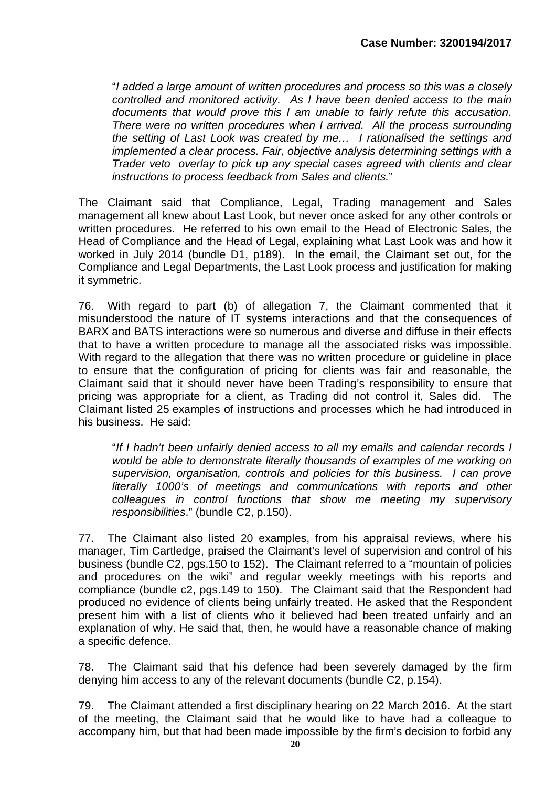"*I added a large amount of written procedures and process so this was a closely controlled and monitored activity. As I have been denied access to the main documents that would prove this I am unable to fairly refute this accusation. There were no written procedures when I arrived. All the process surrounding the setting of Last Look was created by me… I rationalised the settings and implemented a clear process. Fair, objective analysis determining settings with a Trader veto overlay to pick up any special cases agreed with clients and clear instructions to process feedback from Sales and clients.*"

The Claimant said that Compliance, Legal, Trading management and Sales management all knew about Last Look, but never once asked for any other controls or written procedures. He referred to his own email to the Head of Electronic Sales, the Head of Compliance and the Head of Legal, explaining what Last Look was and how it worked in July 2014 (bundle D1, p189). In the email, the Claimant set out, for the Compliance and Legal Departments, the Last Look process and justification for making it symmetric.

76. With regard to part (b) of allegation 7, the Claimant commented that it misunderstood the nature of IT systems interactions and that the consequences of BARX and BATS interactions were so numerous and diverse and diffuse in their effects that to have a written procedure to manage all the associated risks was impossible. With regard to the allegation that there was no written procedure or guideline in place to ensure that the configuration of pricing for clients was fair and reasonable, the Claimant said that it should never have been Trading's responsibility to ensure that pricing was appropriate for a client, as Trading did not control it, Sales did. The Claimant listed 25 examples of instructions and processes which he had introduced in his business. He said:

"*If I hadn't been unfairly denied access to all my emails and calendar records I would be able to demonstrate literally thousands of examples of me working on supervision, organisation, controls and policies for this business. I can prove literally 1000's of meetings and communications with reports and other colleagues in control functions that show me meeting my supervisory responsibilities*." (bundle C2, p.150).

77. The Claimant also listed 20 examples, from his appraisal reviews, where his manager, Tim Cartledge, praised the Claimant's level of supervision and control of his business (bundle C2, pgs.150 to 152). The Claimant referred to a "mountain of policies and procedures on the wiki" and regular weekly meetings with his reports and compliance (bundle c2, pgs.149 to 150). The Claimant said that the Respondent had produced no evidence of clients being unfairly treated. He asked that the Respondent present him with a list of clients who it believed had been treated unfairly and an explanation of why. He said that, then, he would have a reasonable chance of making a specific defence.

78. The Claimant said that his defence had been severely damaged by the firm denying him access to any of the relevant documents (bundle C2, p.154).

79. The Claimant attended a first disciplinary hearing on 22 March 2016. At the start of the meeting, the Claimant said that he would like to have had a colleague to accompany him, but that had been made impossible by the firm's decision to forbid any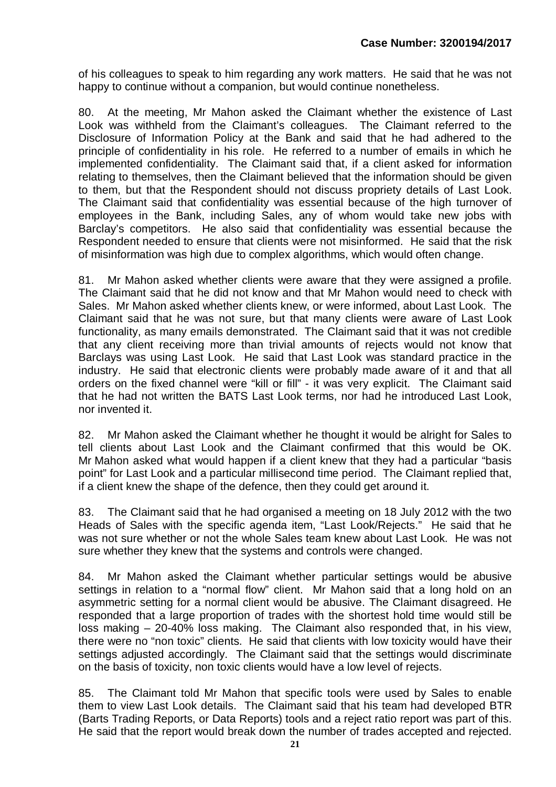of his colleagues to speak to him regarding any work matters. He said that he was not happy to continue without a companion, but would continue nonetheless.

80. At the meeting, Mr Mahon asked the Claimant whether the existence of Last Look was withheld from the Claimant's colleagues. The Claimant referred to the Disclosure of Information Policy at the Bank and said that he had adhered to the principle of confidentiality in his role. He referred to a number of emails in which he implemented confidentiality. The Claimant said that, if a client asked for information relating to themselves, then the Claimant believed that the information should be given to them, but that the Respondent should not discuss propriety details of Last Look. The Claimant said that confidentiality was essential because of the high turnover of employees in the Bank, including Sales, any of whom would take new jobs with Barclay's competitors. He also said that confidentiality was essential because the Respondent needed to ensure that clients were not misinformed. He said that the risk of misinformation was high due to complex algorithms, which would often change.

81. Mr Mahon asked whether clients were aware that they were assigned a profile. The Claimant said that he did not know and that Mr Mahon would need to check with Sales. Mr Mahon asked whether clients knew, or were informed, about Last Look. The Claimant said that he was not sure, but that many clients were aware of Last Look functionality, as many emails demonstrated. The Claimant said that it was not credible that any client receiving more than trivial amounts of rejects would not know that Barclays was using Last Look. He said that Last Look was standard practice in the industry. He said that electronic clients were probably made aware of it and that all orders on the fixed channel were "kill or fill" - it was very explicit. The Claimant said that he had not written the BATS Last Look terms, nor had he introduced Last Look, nor invented it.

82. Mr Mahon asked the Claimant whether he thought it would be alright for Sales to tell clients about Last Look and the Claimant confirmed that this would be OK. Mr Mahon asked what would happen if a client knew that they had a particular "basis point" for Last Look and a particular millisecond time period. The Claimant replied that, if a client knew the shape of the defence, then they could get around it.

83. The Claimant said that he had organised a meeting on 18 July 2012 with the two Heads of Sales with the specific agenda item, "Last Look/Rejects." He said that he was not sure whether or not the whole Sales team knew about Last Look. He was not sure whether they knew that the systems and controls were changed.

84. Mr Mahon asked the Claimant whether particular settings would be abusive settings in relation to a "normal flow" client. Mr Mahon said that a long hold on an asymmetric setting for a normal client would be abusive. The Claimant disagreed. He responded that a large proportion of trades with the shortest hold time would still be loss making – 20-40% loss making. The Claimant also responded that, in his view, there were no "non toxic" clients. He said that clients with low toxicity would have their settings adjusted accordingly. The Claimant said that the settings would discriminate on the basis of toxicity, non toxic clients would have a low level of rejects.

85. The Claimant told Mr Mahon that specific tools were used by Sales to enable them to view Last Look details. The Claimant said that his team had developed BTR (Barts Trading Reports, or Data Reports) tools and a reject ratio report was part of this. He said that the report would break down the number of trades accepted and rejected.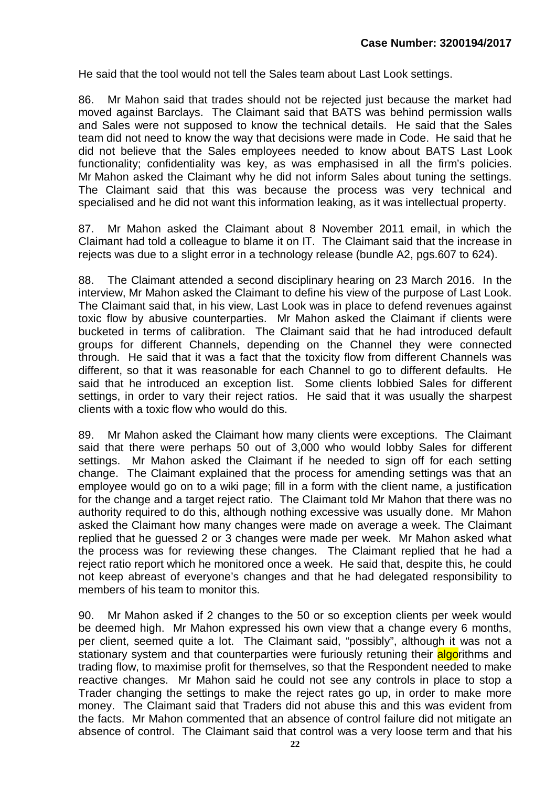He said that the tool would not tell the Sales team about Last Look settings.

86. Mr Mahon said that trades should not be rejected just because the market had moved against Barclays. The Claimant said that BATS was behind permission walls and Sales were not supposed to know the technical details. He said that the Sales team did not need to know the way that decisions were made in Code. He said that he did not believe that the Sales employees needed to know about BATS Last Look functionality; confidentiality was key, as was emphasised in all the firm's policies. Mr Mahon asked the Claimant why he did not inform Sales about tuning the settings. The Claimant said that this was because the process was very technical and specialised and he did not want this information leaking, as it was intellectual property.

87. Mr Mahon asked the Claimant about 8 November 2011 email, in which the Claimant had told a colleague to blame it on IT. The Claimant said that the increase in rejects was due to a slight error in a technology release (bundle A2, pgs.607 to 624).

88. The Claimant attended a second disciplinary hearing on 23 March 2016. In the interview, Mr Mahon asked the Claimant to define his view of the purpose of Last Look. The Claimant said that, in his view, Last Look was in place to defend revenues against toxic flow by abusive counterparties. Mr Mahon asked the Claimant if clients were bucketed in terms of calibration. The Claimant said that he had introduced default groups for different Channels, depending on the Channel they were connected through. He said that it was a fact that the toxicity flow from different Channels was different, so that it was reasonable for each Channel to go to different defaults. He said that he introduced an exception list. Some clients lobbied Sales for different settings, in order to vary their reject ratios. He said that it was usually the sharpest clients with a toxic flow who would do this.

89. Mr Mahon asked the Claimant how many clients were exceptions. The Claimant said that there were perhaps 50 out of 3,000 who would lobby Sales for different settings. Mr Mahon asked the Claimant if he needed to sign off for each setting change. The Claimant explained that the process for amending settings was that an employee would go on to a wiki page; fill in a form with the client name, a justification for the change and a target reject ratio. The Claimant told Mr Mahon that there was no authority required to do this, although nothing excessive was usually done. Mr Mahon asked the Claimant how many changes were made on average a week. The Claimant replied that he guessed 2 or 3 changes were made per week. Mr Mahon asked what the process was for reviewing these changes. The Claimant replied that he had a reject ratio report which he monitored once a week. He said that, despite this, he could not keep abreast of everyone's changes and that he had delegated responsibility to members of his team to monitor this.

90. Mr Mahon asked if 2 changes to the 50 or so exception clients per week would be deemed high. Mr Mahon expressed his own view that a change every 6 months, per client, seemed quite a lot. The Claimant said, "possibly", although it was not a stationary system and that counterparties were furiously retuning their algorithms and trading flow, to maximise profit for themselves, so that the Respondent needed to make reactive changes. Mr Mahon said he could not see any controls in place to stop a Trader changing the settings to make the reject rates go up, in order to make more money. The Claimant said that Traders did not abuse this and this was evident from the facts. Mr Mahon commented that an absence of control failure did not mitigate an absence of control. The Claimant said that control was a very loose term and that his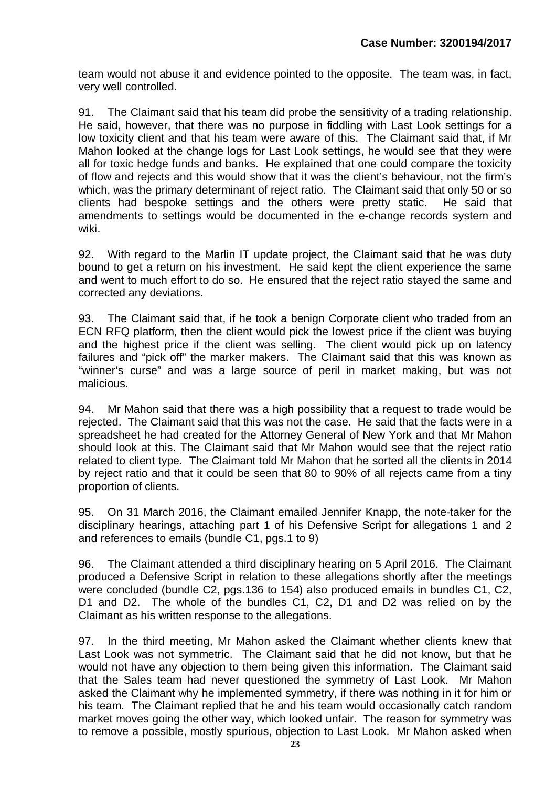team would not abuse it and evidence pointed to the opposite. The team was, in fact, very well controlled.

91. The Claimant said that his team did probe the sensitivity of a trading relationship. He said, however, that there was no purpose in fiddling with Last Look settings for a low toxicity client and that his team were aware of this. The Claimant said that, if Mr Mahon looked at the change logs for Last Look settings, he would see that they were all for toxic hedge funds and banks. He explained that one could compare the toxicity of flow and rejects and this would show that it was the client's behaviour, not the firm's which, was the primary determinant of reject ratio. The Claimant said that only 50 or so clients had bespoke settings and the others were pretty static. He said that amendments to settings would be documented in the e-change records system and wiki.

92. With regard to the Marlin IT update project, the Claimant said that he was duty bound to get a return on his investment. He said kept the client experience the same and went to much effort to do so. He ensured that the reject ratio stayed the same and corrected any deviations.

93. The Claimant said that, if he took a benign Corporate client who traded from an ECN RFQ platform, then the client would pick the lowest price if the client was buying and the highest price if the client was selling. The client would pick up on latency failures and "pick off" the marker makers. The Claimant said that this was known as "winner's curse" and was a large source of peril in market making, but was not malicious.

94. Mr Mahon said that there was a high possibility that a request to trade would be rejected. The Claimant said that this was not the case. He said that the facts were in a spreadsheet he had created for the Attorney General of New York and that Mr Mahon should look at this. The Claimant said that Mr Mahon would see that the reject ratio related to client type. The Claimant told Mr Mahon that he sorted all the clients in 2014 by reject ratio and that it could be seen that 80 to 90% of all rejects came from a tiny proportion of clients.

95. On 31 March 2016, the Claimant emailed Jennifer Knapp, the note-taker for the disciplinary hearings, attaching part 1 of his Defensive Script for allegations 1 and 2 and references to emails (bundle C1, pgs.1 to 9)

96. The Claimant attended a third disciplinary hearing on 5 April 2016. The Claimant produced a Defensive Script in relation to these allegations shortly after the meetings were concluded (bundle C2, pgs.136 to 154) also produced emails in bundles C1, C2, D1 and D2. The whole of the bundles C1, C2, D1 and D2 was relied on by the Claimant as his written response to the allegations.

97. In the third meeting, Mr Mahon asked the Claimant whether clients knew that Last Look was not symmetric. The Claimant said that he did not know, but that he would not have any objection to them being given this information. The Claimant said that the Sales team had never questioned the symmetry of Last Look. Mr Mahon asked the Claimant why he implemented symmetry, if there was nothing in it for him or his team. The Claimant replied that he and his team would occasionally catch random market moves going the other way, which looked unfair. The reason for symmetry was to remove a possible, mostly spurious, objection to Last Look. Mr Mahon asked when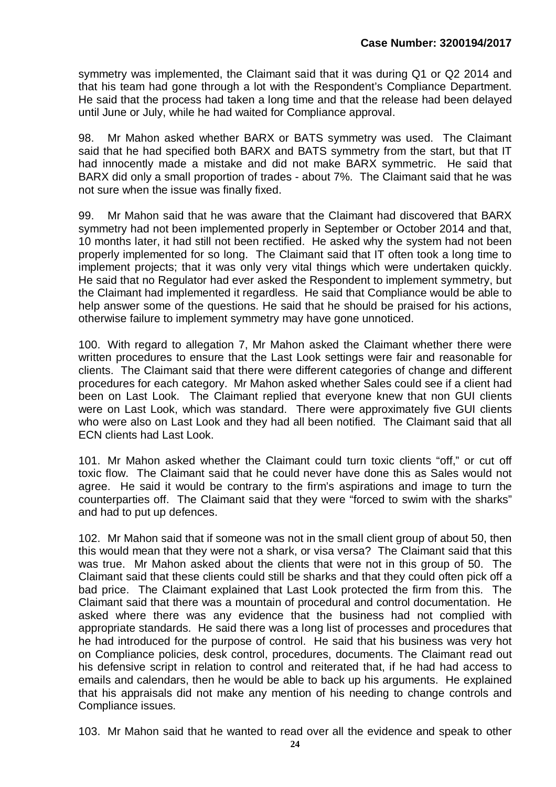symmetry was implemented, the Claimant said that it was during Q1 or Q2 2014 and that his team had gone through a lot with the Respondent's Compliance Department. He said that the process had taken a long time and that the release had been delayed until June or July, while he had waited for Compliance approval.

98. Mr Mahon asked whether BARX or BATS symmetry was used. The Claimant said that he had specified both BARX and BATS symmetry from the start, but that IT had innocently made a mistake and did not make BARX symmetric. He said that BARX did only a small proportion of trades - about 7%. The Claimant said that he was not sure when the issue was finally fixed.

99. Mr Mahon said that he was aware that the Claimant had discovered that BARX symmetry had not been implemented properly in September or October 2014 and that, 10 months later, it had still not been rectified. He asked why the system had not been properly implemented for so long. The Claimant said that IT often took a long time to implement projects; that it was only very vital things which were undertaken quickly. He said that no Regulator had ever asked the Respondent to implement symmetry, but the Claimant had implemented it regardless. He said that Compliance would be able to help answer some of the questions. He said that he should be praised for his actions, otherwise failure to implement symmetry may have gone unnoticed.

100. With regard to allegation 7, Mr Mahon asked the Claimant whether there were written procedures to ensure that the Last Look settings were fair and reasonable for clients. The Claimant said that there were different categories of change and different procedures for each category. Mr Mahon asked whether Sales could see if a client had been on Last Look. The Claimant replied that everyone knew that non GUI clients were on Last Look, which was standard. There were approximately five GUI clients who were also on Last Look and they had all been notified. The Claimant said that all ECN clients had Last Look.

101. Mr Mahon asked whether the Claimant could turn toxic clients "off," or cut off toxic flow. The Claimant said that he could never have done this as Sales would not agree. He said it would be contrary to the firm's aspirations and image to turn the counterparties off. The Claimant said that they were "forced to swim with the sharks" and had to put up defences.

102. Mr Mahon said that if someone was not in the small client group of about 50, then this would mean that they were not a shark, or visa versa? The Claimant said that this was true. Mr Mahon asked about the clients that were not in this group of 50. The Claimant said that these clients could still be sharks and that they could often pick off a bad price. The Claimant explained that Last Look protected the firm from this. The Claimant said that there was a mountain of procedural and control documentation. He asked where there was any evidence that the business had not complied with appropriate standards. He said there was a long list of processes and procedures that he had introduced for the purpose of control. He said that his business was very hot on Compliance policies, desk control, procedures, documents. The Claimant read out his defensive script in relation to control and reiterated that, if he had had access to emails and calendars, then he would be able to back up his arguments. He explained that his appraisals did not make any mention of his needing to change controls and Compliance issues.

103. Mr Mahon said that he wanted to read over all the evidence and speak to other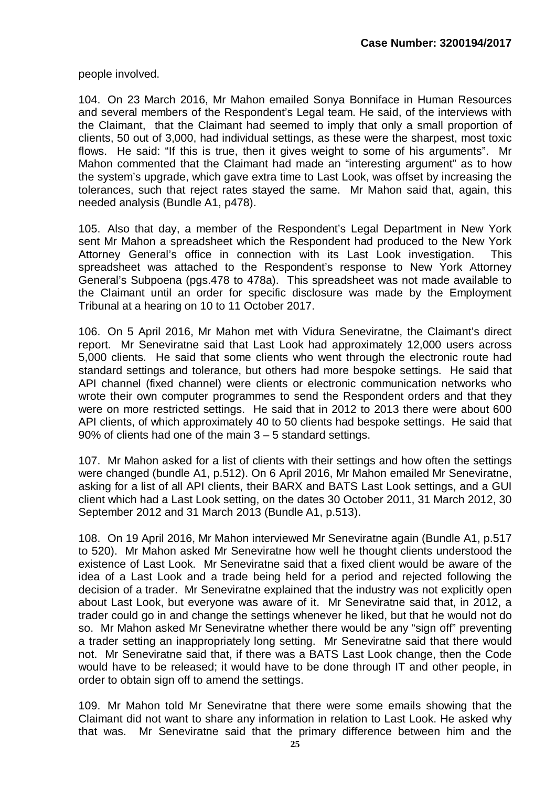people involved.

104. On 23 March 2016, Mr Mahon emailed Sonya Bonniface in Human Resources and several members of the Respondent's Legal team. He said, of the interviews with the Claimant, that the Claimant had seemed to imply that only a small proportion of clients, 50 out of 3,000, had individual settings, as these were the sharpest, most toxic flows. He said: "If this is true, then it gives weight to some of his arguments". Mr Mahon commented that the Claimant had made an "interesting argument" as to how the system's upgrade, which gave extra time to Last Look, was offset by increasing the tolerances, such that reject rates stayed the same. Mr Mahon said that, again, this needed analysis (Bundle A1, p478).

105. Also that day, a member of the Respondent's Legal Department in New York sent Mr Mahon a spreadsheet which the Respondent had produced to the New York Attorney General's office in connection with its Last Look investigation. This spreadsheet was attached to the Respondent's response to New York Attorney General's Subpoena (pgs.478 to 478a). This spreadsheet was not made available to the Claimant until an order for specific disclosure was made by the Employment Tribunal at a hearing on 10 to 11 October 2017.

106. On 5 April 2016, Mr Mahon met with Vidura Seneviratne, the Claimant's direct report. Mr Seneviratne said that Last Look had approximately 12,000 users across 5,000 clients. He said that some clients who went through the electronic route had standard settings and tolerance, but others had more bespoke settings. He said that API channel (fixed channel) were clients or electronic communication networks who wrote their own computer programmes to send the Respondent orders and that they were on more restricted settings. He said that in 2012 to 2013 there were about 600 API clients, of which approximately 40 to 50 clients had bespoke settings. He said that 90% of clients had one of the main 3 – 5 standard settings.

107. Mr Mahon asked for a list of clients with their settings and how often the settings were changed (bundle A1, p.512). On 6 April 2016, Mr Mahon emailed Mr Seneviratne, asking for a list of all API clients, their BARX and BATS Last Look settings, and a GUI client which had a Last Look setting, on the dates 30 October 2011, 31 March 2012, 30 September 2012 and 31 March 2013 (Bundle A1, p.513).

108. On 19 April 2016, Mr Mahon interviewed Mr Seneviratne again (Bundle A1, p.517 to 520). Mr Mahon asked Mr Seneviratne how well he thought clients understood the existence of Last Look. Mr Seneviratne said that a fixed client would be aware of the idea of a Last Look and a trade being held for a period and rejected following the decision of a trader. Mr Seneviratne explained that the industry was not explicitly open about Last Look, but everyone was aware of it. Mr Seneviratne said that, in 2012, a trader could go in and change the settings whenever he liked, but that he would not do so. Mr Mahon asked Mr Seneviratne whether there would be any "sign off" preventing a trader setting an inappropriately long setting. Mr Seneviratne said that there would not. Mr Seneviratne said that, if there was a BATS Last Look change, then the Code would have to be released; it would have to be done through IT and other people, in order to obtain sign off to amend the settings.

109. Mr Mahon told Mr Seneviratne that there were some emails showing that the Claimant did not want to share any information in relation to Last Look. He asked why that was. Mr Seneviratne said that the primary difference between him and the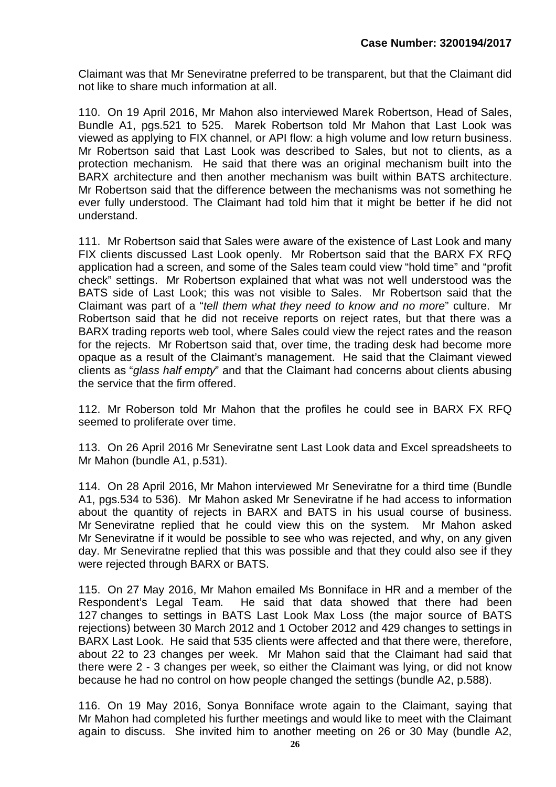Claimant was that Mr Seneviratne preferred to be transparent, but that the Claimant did not like to share much information at all.

110. On 19 April 2016, Mr Mahon also interviewed Marek Robertson, Head of Sales, Bundle A1, pgs.521 to 525. Marek Robertson told Mr Mahon that Last Look was viewed as applying to FIX channel, or API flow: a high volume and low return business. Mr Robertson said that Last Look was described to Sales, but not to clients, as a protection mechanism. He said that there was an original mechanism built into the BARX architecture and then another mechanism was built within BATS architecture. Mr Robertson said that the difference between the mechanisms was not something he ever fully understood. The Claimant had told him that it might be better if he did not understand.

111. Mr Robertson said that Sales were aware of the existence of Last Look and many FIX clients discussed Last Look openly. Mr Robertson said that the BARX FX RFQ application had a screen, and some of the Sales team could view "hold time" and "profit check" settings. Mr Robertson explained that what was not well understood was the BATS side of Last Look; this was not visible to Sales. Mr Robertson said that the Claimant was part of a "*tell them what they need to know and no more*" culture. Mr Robertson said that he did not receive reports on reject rates, but that there was a BARX trading reports web tool, where Sales could view the reject rates and the reason for the rejects. Mr Robertson said that, over time, the trading desk had become more opaque as a result of the Claimant's management. He said that the Claimant viewed clients as "*glass half empty*" and that the Claimant had concerns about clients abusing the service that the firm offered.

112. Mr Roberson told Mr Mahon that the profiles he could see in BARX FX RFQ seemed to proliferate over time.

113. On 26 April 2016 Mr Seneviratne sent Last Look data and Excel spreadsheets to Mr Mahon (bundle A1, p.531).

114. On 28 April 2016, Mr Mahon interviewed Mr Seneviratne for a third time (Bundle A1, pgs.534 to 536). Mr Mahon asked Mr Seneviratne if he had access to information about the quantity of rejects in BARX and BATS in his usual course of business. Mr Seneviratne replied that he could view this on the system. Mr Mahon asked Mr Seneviratne if it would be possible to see who was rejected, and why, on any given day. Mr Seneviratne replied that this was possible and that they could also see if they were rejected through BARX or BATS.

115. On 27 May 2016, Mr Mahon emailed Ms Bonniface in HR and a member of the Respondent's Legal Team. He said that data showed that there had been 127 changes to settings in BATS Last Look Max Loss (the major source of BATS rejections) between 30 March 2012 and 1 October 2012 and 429 changes to settings in BARX Last Look. He said that 535 clients were affected and that there were, therefore, about 22 to 23 changes per week. Mr Mahon said that the Claimant had said that there were 2 - 3 changes per week, so either the Claimant was lying, or did not know because he had no control on how people changed the settings (bundle A2, p.588).

116. On 19 May 2016, Sonya Bonniface wrote again to the Claimant, saying that Mr Mahon had completed his further meetings and would like to meet with the Claimant again to discuss. She invited him to another meeting on 26 or 30 May (bundle A2,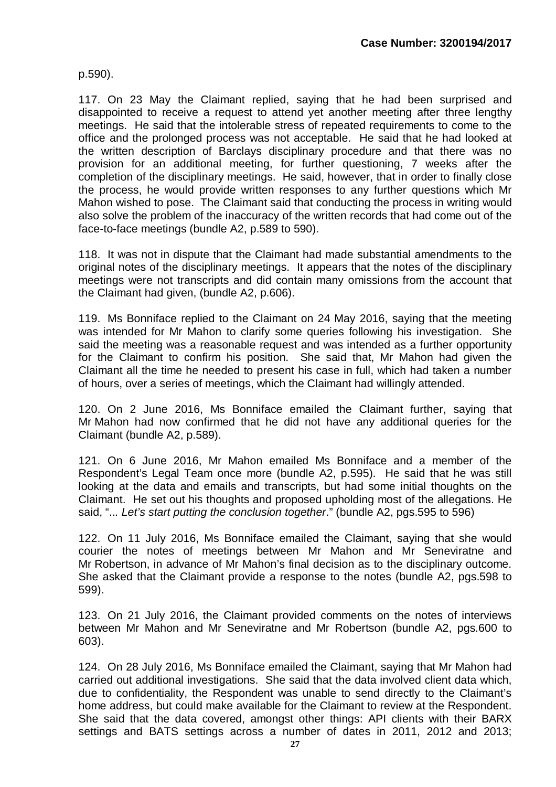p.590).

117. On 23 May the Claimant replied, saying that he had been surprised and disappointed to receive a request to attend yet another meeting after three lengthy meetings. He said that the intolerable stress of repeated requirements to come to the office and the prolonged process was not acceptable. He said that he had looked at the written description of Barclays disciplinary procedure and that there was no provision for an additional meeting, for further questioning, 7 weeks after the completion of the disciplinary meetings. He said, however, that in order to finally close the process, he would provide written responses to any further questions which Mr Mahon wished to pose. The Claimant said that conducting the process in writing would also solve the problem of the inaccuracy of the written records that had come out of the face-to-face meetings (bundle A2, p.589 to 590).

118. It was not in dispute that the Claimant had made substantial amendments to the original notes of the disciplinary meetings. It appears that the notes of the disciplinary meetings were not transcripts and did contain many omissions from the account that the Claimant had given, (bundle A2, p.606).

119. Ms Bonniface replied to the Claimant on 24 May 2016, saying that the meeting was intended for Mr Mahon to clarify some queries following his investigation. She said the meeting was a reasonable request and was intended as a further opportunity for the Claimant to confirm his position. She said that, Mr Mahon had given the Claimant all the time he needed to present his case in full, which had taken a number of hours, over a series of meetings, which the Claimant had willingly attended.

120. On 2 June 2016, Ms Bonniface emailed the Claimant further, saying that Mr Mahon had now confirmed that he did not have any additional queries for the Claimant (bundle A2, p.589).

121. On 6 June 2016, Mr Mahon emailed Ms Bonniface and a member of the Respondent's Legal Team once more (bundle A2, p.595). He said that he was still looking at the data and emails and transcripts, but had some initial thoughts on the Claimant. He set out his thoughts and proposed upholding most of the allegations. He said, "..*. Let's start putting the conclusion together*." (bundle A2, pgs.595 to 596)

122. On 11 July 2016, Ms Bonniface emailed the Claimant, saying that she would courier the notes of meetings between Mr Mahon and Mr Seneviratne and Mr Robertson, in advance of Mr Mahon's final decision as to the disciplinary outcome. She asked that the Claimant provide a response to the notes (bundle A2, pgs.598 to 599).

123. On 21 July 2016, the Claimant provided comments on the notes of interviews between Mr Mahon and Mr Seneviratne and Mr Robertson (bundle A2, pgs.600 to 603).

124. On 28 July 2016, Ms Bonniface emailed the Claimant, saying that Mr Mahon had carried out additional investigations. She said that the data involved client data which, due to confidentiality, the Respondent was unable to send directly to the Claimant's home address, but could make available for the Claimant to review at the Respondent. She said that the data covered, amongst other things: API clients with their BARX settings and BATS settings across a number of dates in 2011, 2012 and 2013;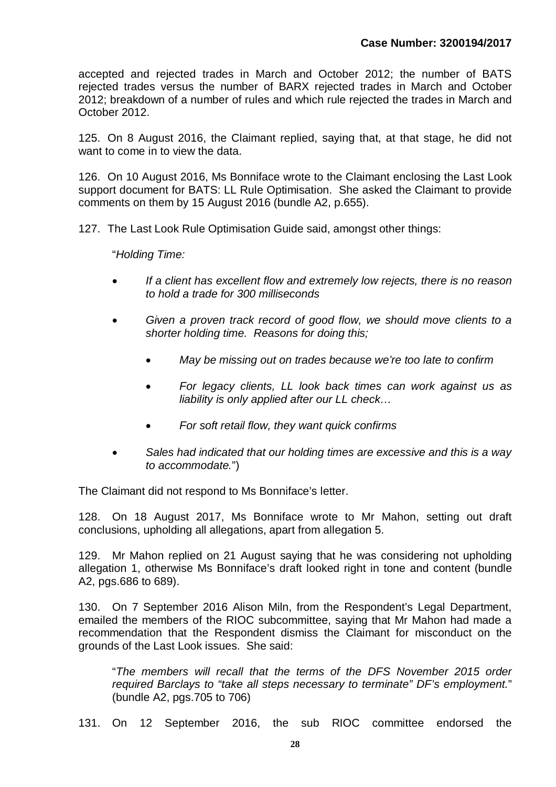accepted and rejected trades in March and October 2012; the number of BATS rejected trades versus the number of BARX rejected trades in March and October 2012; breakdown of a number of rules and which rule rejected the trades in March and October 2012.

125. On 8 August 2016, the Claimant replied, saying that, at that stage, he did not want to come in to view the data.

126. On 10 August 2016, Ms Bonniface wrote to the Claimant enclosing the Last Look support document for BATS: LL Rule Optimisation. She asked the Claimant to provide comments on them by 15 August 2016 (bundle A2, p.655).

127. The Last Look Rule Optimisation Guide said, amongst other things:

"*Holding Time:*

- *If a client has excellent flow and extremely low rejects, there is no reason to hold a trade for 300 milliseconds*
- *Given a proven track record of good flow, we should move clients to a shorter holding time. Reasons for doing this;*
	- *May be missing out on trades because we're too late to confirm*
	- *For legacy clients, LL look back times can work against us as liability is only applied after our LL check…*
	- *For soft retail flow, they want quick confirms*
- *Sales had indicated that our holding times are excessive and this is a way to accommodate.*")

The Claimant did not respond to Ms Bonniface's letter.

128. On 18 August 2017, Ms Bonniface wrote to Mr Mahon, setting out draft conclusions, upholding all allegations, apart from allegation 5.

129. Mr Mahon replied on 21 August saying that he was considering not upholding allegation 1, otherwise Ms Bonniface's draft looked right in tone and content (bundle A2, pgs.686 to 689).

130. On 7 September 2016 Alison Miln, from the Respondent's Legal Department, emailed the members of the RIOC subcommittee, saying that Mr Mahon had made a recommendation that the Respondent dismiss the Claimant for misconduct on the grounds of the Last Look issues. She said:

"*The members will recall that the terms of the DFS November 2015 order required Barclays to "take all steps necessary to terminate" DF's employment.*" (bundle A2, pgs.705 to 706)

131. On 12 September 2016, the sub RIOC committee endorsed the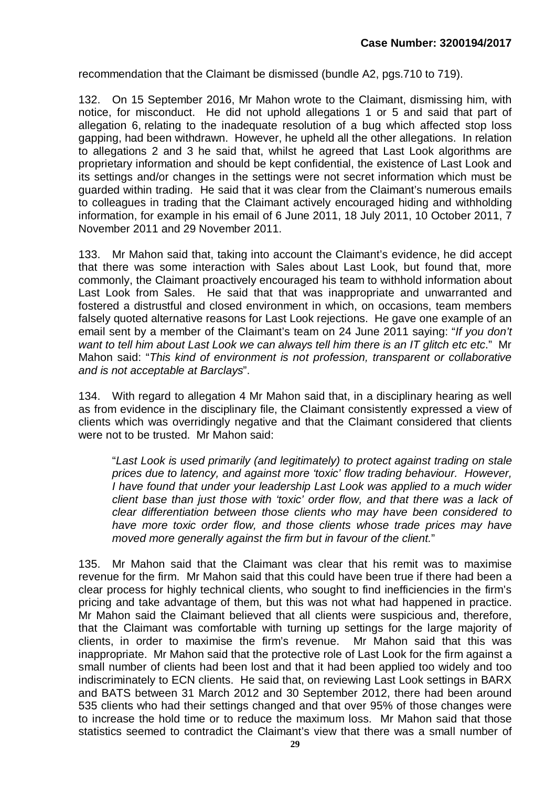recommendation that the Claimant be dismissed (bundle A2, pgs.710 to 719).

132. On 15 September 2016, Mr Mahon wrote to the Claimant, dismissing him, with notice, for misconduct. He did not uphold allegations 1 or 5 and said that part of allegation 6, relating to the inadequate resolution of a bug which affected stop loss gapping, had been withdrawn. However, he upheld all the other allegations. In relation to allegations 2 and 3 he said that, whilst he agreed that Last Look algorithms are proprietary information and should be kept confidential, the existence of Last Look and its settings and/or changes in the settings were not secret information which must be guarded within trading. He said that it was clear from the Claimant's numerous emails to colleagues in trading that the Claimant actively encouraged hiding and withholding information, for example in his email of 6 June 2011, 18 July 2011, 10 October 2011, 7 November 2011 and 29 November 2011.

133. Mr Mahon said that, taking into account the Claimant's evidence, he did accept that there was some interaction with Sales about Last Look, but found that, more commonly, the Claimant proactively encouraged his team to withhold information about Last Look from Sales. He said that that was inappropriate and unwarranted and fostered a distrustful and closed environment in which, on occasions, team members falsely quoted alternative reasons for Last Look rejections. He gave one example of an email sent by a member of the Claimant's team on 24 June 2011 saying: "*If you don't want to tell him about Last Look we can always tell him there is an IT glitch etc etc*." Mr Mahon said: "*This kind of environment is not profession, transparent or collaborative and is not acceptable at Barclays*".

134. With regard to allegation 4 Mr Mahon said that, in a disciplinary hearing as well as from evidence in the disciplinary file, the Claimant consistently expressed a view of clients which was overridingly negative and that the Claimant considered that clients were not to be trusted. Mr Mahon said:

"*Last Look is used primarily (and legitimately) to protect against trading on stale prices due to latency, and against more 'toxic' flow trading behaviour. However, I have found that under your leadership Last Look was applied to a much wider client base than just those with 'toxic' order flow, and that there was a lack of clear differentiation between those clients who may have been considered to have more toxic order flow, and those clients whose trade prices may have moved more generally against the firm but in favour of the client.*"

135. Mr Mahon said that the Claimant was clear that his remit was to maximise revenue for the firm. Mr Mahon said that this could have been true if there had been a clear process for highly technical clients, who sought to find inefficiencies in the firm's pricing and take advantage of them, but this was not what had happened in practice. Mr Mahon said the Claimant believed that all clients were suspicious and, therefore, that the Claimant was comfortable with turning up settings for the large majority of clients, in order to maximise the firm's revenue. Mr Mahon said that this was inappropriate. Mr Mahon said that the protective role of Last Look for the firm against a small number of clients had been lost and that it had been applied too widely and too indiscriminately to ECN clients. He said that, on reviewing Last Look settings in BARX and BATS between 31 March 2012 and 30 September 2012, there had been around 535 clients who had their settings changed and that over 95% of those changes were to increase the hold time or to reduce the maximum loss. Mr Mahon said that those statistics seemed to contradict the Claimant's view that there was a small number of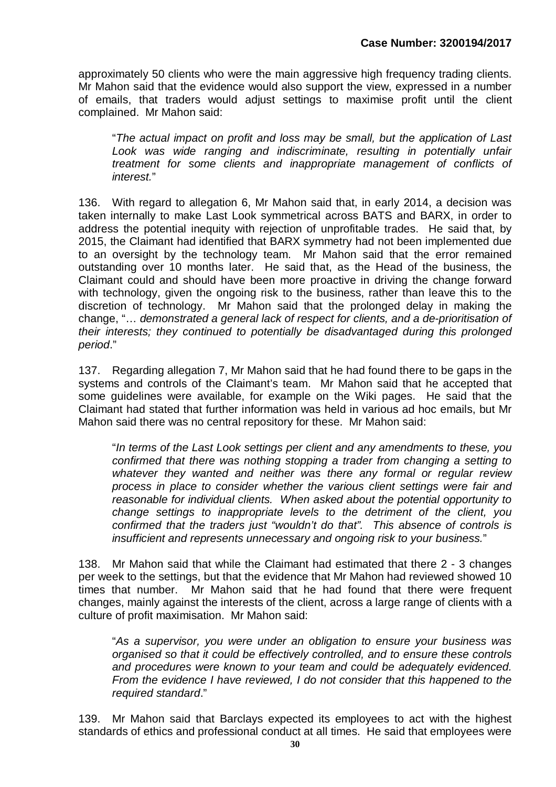approximately 50 clients who were the main aggressive high frequency trading clients. Mr Mahon said that the evidence would also support the view, expressed in a number of emails, that traders would adjust settings to maximise profit until the client complained. Mr Mahon said:

"*The actual impact on profit and loss may be small, but the application of Last Look was wide ranging and indiscriminate, resulting in potentially unfair treatment for some clients and inappropriate management of conflicts of interest.*"

136. With regard to allegation 6, Mr Mahon said that, in early 2014, a decision was taken internally to make Last Look symmetrical across BATS and BARX, in order to address the potential inequity with rejection of unprofitable trades. He said that, by 2015, the Claimant had identified that BARX symmetry had not been implemented due to an oversight by the technology team. Mr Mahon said that the error remained outstanding over 10 months later. He said that, as the Head of the business, the Claimant could and should have been more proactive in driving the change forward with technology, given the ongoing risk to the business, rather than leave this to the discretion of technology. Mr Mahon said that the prolonged delay in making the change, "… *demonstrated a general lack of respect for clients, and a de-prioritisation of their interests; they continued to potentially be disadvantaged during this prolonged period*."

137. Regarding allegation 7, Mr Mahon said that he had found there to be gaps in the systems and controls of the Claimant's team. Mr Mahon said that he accepted that some guidelines were available, for example on the Wiki pages. He said that the Claimant had stated that further information was held in various ad hoc emails, but Mr Mahon said there was no central repository for these. Mr Mahon said:

"*In terms of the Last Look settings per client and any amendments to these, you confirmed that there was nothing stopping a trader from changing a setting to whatever they wanted and neither was there any formal or regular review process in place to consider whether the various client settings were fair and reasonable for individual clients. When asked about the potential opportunity to change settings to inappropriate levels to the detriment of the client, you confirmed that the traders just "wouldn't do that". This absence of controls is insufficient and represents unnecessary and ongoing risk to your business.*"

138. Mr Mahon said that while the Claimant had estimated that there 2 - 3 changes per week to the settings, but that the evidence that Mr Mahon had reviewed showed 10 times that number. Mr Mahon said that he had found that there were frequent changes, mainly against the interests of the client, across a large range of clients with a culture of profit maximisation. Mr Mahon said:

"*As a supervisor, you were under an obligation to ensure your business was organised so that it could be effectively controlled, and to ensure these controls and procedures were known to your team and could be adequately evidenced. From the evidence I have reviewed, I do not consider that this happened to the required standard*."

139. Mr Mahon said that Barclays expected its employees to act with the highest standards of ethics and professional conduct at all times. He said that employees were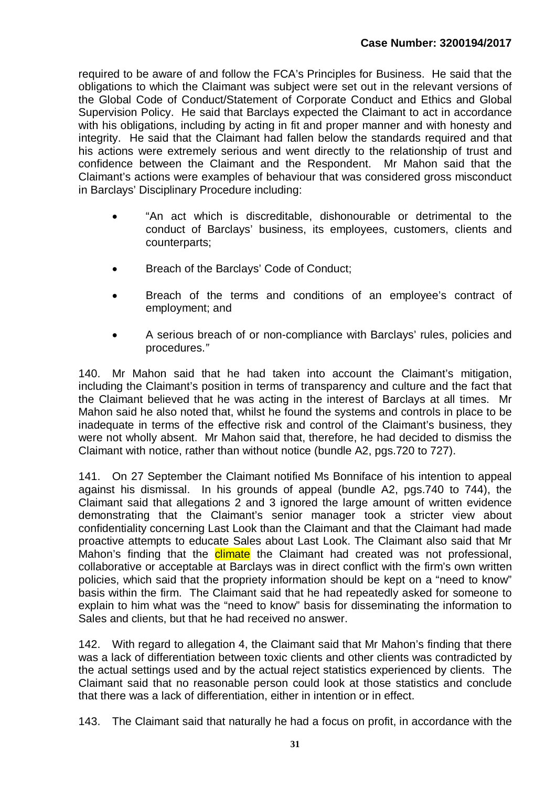required to be aware of and follow the FCA's Principles for Business. He said that the obligations to which the Claimant was subject were set out in the relevant versions of the Global Code of Conduct/Statement of Corporate Conduct and Ethics and Global Supervision Policy. He said that Barclays expected the Claimant to act in accordance with his obligations, including by acting in fit and proper manner and with honesty and integrity. He said that the Claimant had fallen below the standards required and that his actions were extremely serious and went directly to the relationship of trust and confidence between the Claimant and the Respondent. Mr Mahon said that the Claimant's actions were examples of behaviour that was considered gross misconduct in Barclays' Disciplinary Procedure including:

- "An act which is discreditable, dishonourable or detrimental to the conduct of Barclays' business, its employees, customers, clients and counterparts;
- Breach of the Barclays' Code of Conduct;
- Breach of the terms and conditions of an employee's contract of employment; and
- A serious breach of or non-compliance with Barclays' rules, policies and procedures.*"*

140. Mr Mahon said that he had taken into account the Claimant's mitigation, including the Claimant's position in terms of transparency and culture and the fact that the Claimant believed that he was acting in the interest of Barclays at all times. Mr Mahon said he also noted that, whilst he found the systems and controls in place to be inadequate in terms of the effective risk and control of the Claimant's business, they were not wholly absent. Mr Mahon said that, therefore, he had decided to dismiss the Claimant with notice, rather than without notice (bundle A2, pgs.720 to 727).

141. On 27 September the Claimant notified Ms Bonniface of his intention to appeal against his dismissal. In his grounds of appeal (bundle A2, pgs.740 to 744), the Claimant said that allegations 2 and 3 ignored the large amount of written evidence demonstrating that the Claimant's senior manager took a stricter view about confidentiality concerning Last Look than the Claimant and that the Claimant had made proactive attempts to educate Sales about Last Look. The Claimant also said that Mr Mahon's finding that the climate the Claimant had created was not professional, collaborative or acceptable at Barclays was in direct conflict with the firm's own written policies, which said that the propriety information should be kept on a "need to know" basis within the firm. The Claimant said that he had repeatedly asked for someone to explain to him what was the "need to know" basis for disseminating the information to Sales and clients, but that he had received no answer.

142. With regard to allegation 4, the Claimant said that Mr Mahon's finding that there was a lack of differentiation between toxic clients and other clients was contradicted by the actual settings used and by the actual reject statistics experienced by clients. The Claimant said that no reasonable person could look at those statistics and conclude that there was a lack of differentiation, either in intention or in effect.

143. The Claimant said that naturally he had a focus on profit, in accordance with the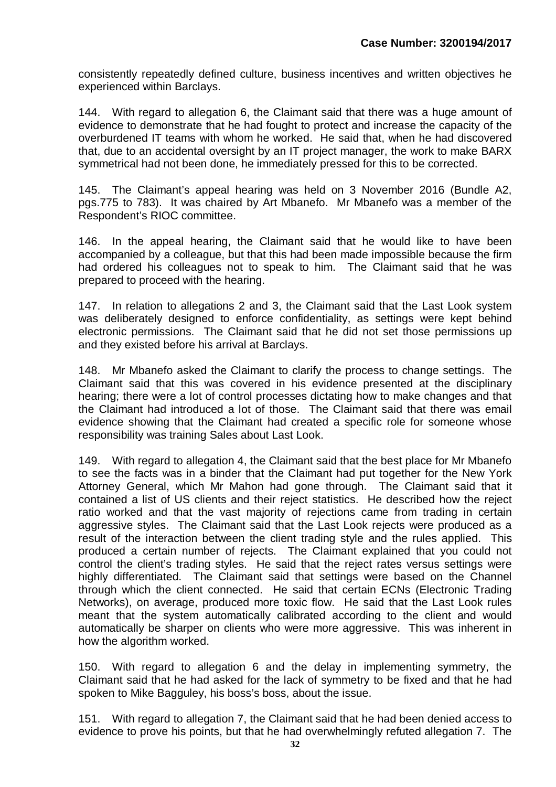consistently repeatedly defined culture, business incentives and written objectives he experienced within Barclays.

144. With regard to allegation 6, the Claimant said that there was a huge amount of evidence to demonstrate that he had fought to protect and increase the capacity of the overburdened IT teams with whom he worked. He said that, when he had discovered that, due to an accidental oversight by an IT project manager, the work to make BARX symmetrical had not been done, he immediately pressed for this to be corrected.

145. The Claimant's appeal hearing was held on 3 November 2016 (Bundle A2, pgs.775 to 783). It was chaired by Art Mbanefo. Mr Mbanefo was a member of the Respondent's RIOC committee.

146. In the appeal hearing, the Claimant said that he would like to have been accompanied by a colleague, but that this had been made impossible because the firm had ordered his colleagues not to speak to him. The Claimant said that he was prepared to proceed with the hearing.

147. In relation to allegations 2 and 3, the Claimant said that the Last Look system was deliberately designed to enforce confidentiality, as settings were kept behind electronic permissions. The Claimant said that he did not set those permissions up and they existed before his arrival at Barclays.

148. Mr Mbanefo asked the Claimant to clarify the process to change settings. The Claimant said that this was covered in his evidence presented at the disciplinary hearing; there were a lot of control processes dictating how to make changes and that the Claimant had introduced a lot of those. The Claimant said that there was email evidence showing that the Claimant had created a specific role for someone whose responsibility was training Sales about Last Look.

149. With regard to allegation 4, the Claimant said that the best place for Mr Mbanefo to see the facts was in a binder that the Claimant had put together for the New York Attorney General, which Mr Mahon had gone through. The Claimant said that it contained a list of US clients and their reject statistics. He described how the reject ratio worked and that the vast majority of rejections came from trading in certain aggressive styles. The Claimant said that the Last Look rejects were produced as a result of the interaction between the client trading style and the rules applied. This produced a certain number of rejects. The Claimant explained that you could not control the client's trading styles. He said that the reject rates versus settings were highly differentiated. The Claimant said that settings were based on the Channel through which the client connected. He said that certain ECNs (Electronic Trading Networks), on average, produced more toxic flow. He said that the Last Look rules meant that the system automatically calibrated according to the client and would automatically be sharper on clients who were more aggressive. This was inherent in how the algorithm worked.

150. With regard to allegation 6 and the delay in implementing symmetry, the Claimant said that he had asked for the lack of symmetry to be fixed and that he had spoken to Mike Bagguley, his boss's boss, about the issue.

151. With regard to allegation 7, the Claimant said that he had been denied access to evidence to prove his points, but that he had overwhelmingly refuted allegation 7. The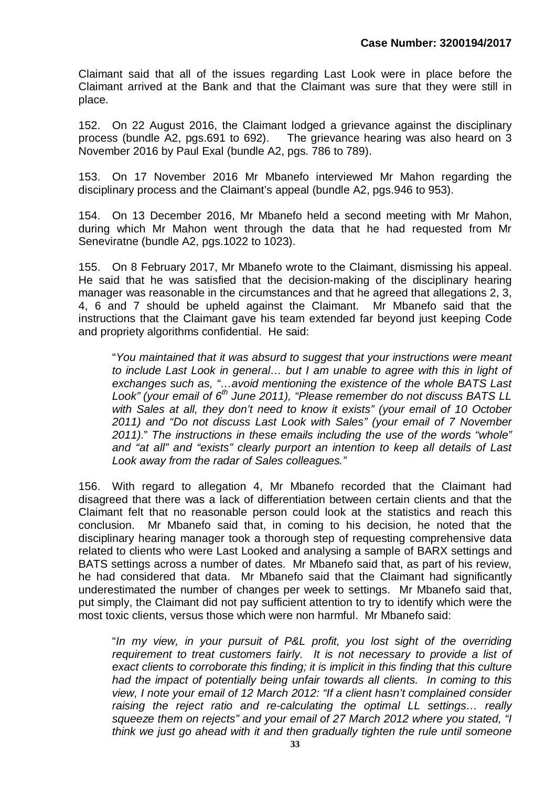Claimant said that all of the issues regarding Last Look were in place before the Claimant arrived at the Bank and that the Claimant was sure that they were still in place.

152. On 22 August 2016, the Claimant lodged a grievance against the disciplinary process (bundle A2, pgs.691 to 692). The grievance hearing was also heard on 3 The grievance hearing was also heard on  $3$ November 2016 by Paul Exal (bundle A2, pgs. 786 to 789).

153. On 17 November 2016 Mr Mbanefo interviewed Mr Mahon regarding the disciplinary process and the Claimant's appeal (bundle A2, pgs.946 to 953).

154. On 13 December 2016, Mr Mbanefo held a second meeting with Mr Mahon, during which Mr Mahon went through the data that he had requested from Mr Seneviratne (bundle A2, pgs.1022 to 1023).

155. On 8 February 2017, Mr Mbanefo wrote to the Claimant, dismissing his appeal. He said that he was satisfied that the decision-making of the disciplinary hearing manager was reasonable in the circumstances and that he agreed that allegations 2, 3, 4, 6 and 7 should be upheld against the Claimant. Mr Mbanefo said that the instructions that the Claimant gave his team extended far beyond just keeping Code and propriety algorithms confidential. He said:

"*You maintained that it was absurd to suggest that your instructions were meant to include Last Look in general… but I am unable to agree with this in light of exchanges such as, "…avoid mentioning the existence of the whole BATS Last Look" (your email of 6th June 2011), "Please remember do not discuss BATS LL with Sales at all, they don't need to know it exists" (your email of 10 October 2011) and "Do not discuss Last Look with Sales" (your email of 7 November 2011).*" *The instructions in these emails including the use of the words "whole" and "at all" and "exists" clearly purport an intention to keep all details of Last Look away from the radar of Sales colleagues."*

156. With regard to allegation 4, Mr Mbanefo recorded that the Claimant had disagreed that there was a lack of differentiation between certain clients and that the Claimant felt that no reasonable person could look at the statistics and reach this conclusion. Mr Mbanefo said that, in coming to his decision, he noted that the disciplinary hearing manager took a thorough step of requesting comprehensive data related to clients who were Last Looked and analysing a sample of BARX settings and BATS settings across a number of dates. Mr Mbanefo said that, as part of his review, he had considered that data. Mr Mbanefo said that the Claimant had significantly underestimated the number of changes per week to settings. Mr Mbanefo said that, put simply, the Claimant did not pay sufficient attention to try to identify which were the most toxic clients, versus those which were non harmful. Mr Mbanefo said:

"*In my view, in your pursuit of P&L profit, you lost sight of the overriding requirement to treat customers fairly. It is not necessary to provide a list of exact clients to corroborate this finding; it is implicit in this finding that this culture had the impact of potentially being unfair towards all clients. In coming to this view, I note your email of 12 March 2012: "If a client hasn't complained consider raising the reject ratio and re-calculating the optimal LL settings… really squeeze them on rejects" and your email of 27 March 2012 where you stated, "I think we just go ahead with it and then gradually tighten the rule until someone*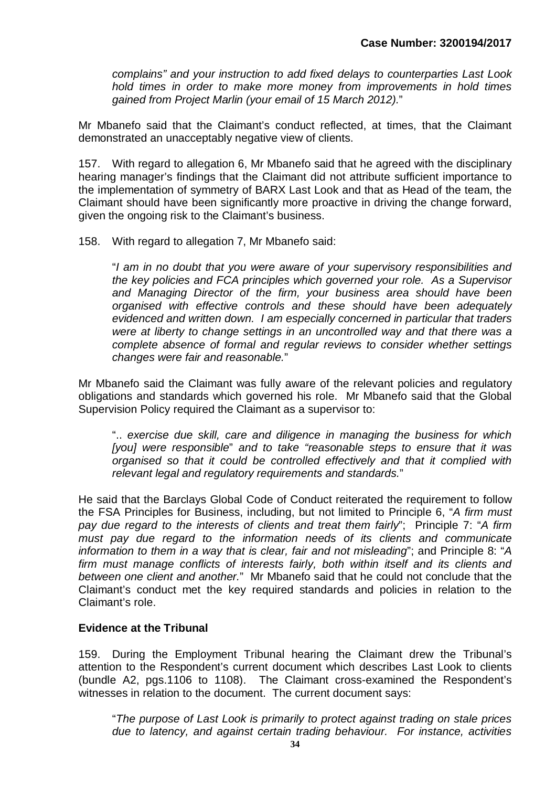*complains" and your instruction to add fixed delays to counterparties Last Look hold times in order to make more money from improvements in hold times gained from Project Marlin (your email of 15 March 2012).*"

Mr Mbanefo said that the Claimant's conduct reflected, at times, that the Claimant demonstrated an unacceptably negative view of clients.

157. With regard to allegation 6, Mr Mbanefo said that he agreed with the disciplinary hearing manager's findings that the Claimant did not attribute sufficient importance to the implementation of symmetry of BARX Last Look and that as Head of the team, the Claimant should have been significantly more proactive in driving the change forward, given the ongoing risk to the Claimant's business.

158. With regard to allegation 7, Mr Mbanefo said:

"*I am in no doubt that you were aware of your supervisory responsibilities and the key policies and FCA principles which governed your role. As a Supervisor and Managing Director of the firm, your business area should have been organised with effective controls and these should have been adequately evidenced and written down. I am especially concerned in particular that traders were at liberty to change settings in an uncontrolled way and that there was a complete absence of formal and regular reviews to consider whether settings changes were fair and reasonable.*"

Mr Mbanefo said the Claimant was fully aware of the relevant policies and regulatory obligations and standards which governed his role. Mr Mbanefo said that the Global Supervision Policy required the Claimant as a supervisor to:

".. *exercise due skill, care and diligence in managing the business for which [you] were responsible*" *and to take "reasonable steps to ensure that it was organised so that it could be controlled effectively and that it complied with relevant legal and regulatory requirements and standards.*"

He said that the Barclays Global Code of Conduct reiterated the requirement to follow the FSA Principles for Business, including, but not limited to Principle 6, "*A firm must pay due regard to the interests of clients and treat them fairly*"; Principle 7: "*A firm must pay due regard to the information needs of its clients and communicate information to them in a way that is clear, fair and not misleading*"; and Principle 8: "*A firm must manage conflicts of interests fairly, both within itself and its clients and between one client and another.*" Mr Mbanefo said that he could not conclude that the Claimant's conduct met the key required standards and policies in relation to the Claimant's role.

#### **Evidence at the Tribunal**

159. During the Employment Tribunal hearing the Claimant drew the Tribunal's attention to the Respondent's current document which describes Last Look to clients (bundle A2, pgs.1106 to 1108). The Claimant cross-examined the Respondent's witnesses in relation to the document. The current document says:

"*The purpose of Last Look is primarily to protect against trading on stale prices due to latency, and against certain trading behaviour. For instance, activities*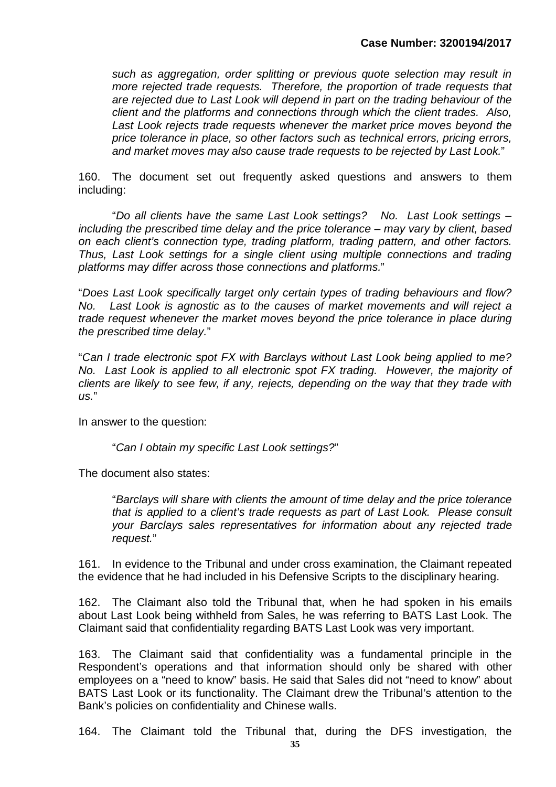*such as aggregation, order splitting or previous quote selection may result in more rejected trade requests. Therefore, the proportion of trade requests that are rejected due to Last Look will depend in part on the trading behaviour of the client and the platforms and connections through which the client trades. Also,*  Last Look rejects trade requests whenever the market price moves beyond the *price tolerance in place, so other factors such as technical errors, pricing errors, and market moves may also cause trade requests to be rejected by Last Look.*"

160. The document set out frequently asked questions and answers to them including:

"*Do all clients have the same Last Look settings? No. Last Look settings – including the prescribed time delay and the price tolerance – may vary by client, based on each client's connection type, trading platform, trading pattern, and other factors. Thus, Last Look settings for a single client using multiple connections and trading platforms may differ across those connections and platforms.*"

"*Does Last Look specifically target only certain types of trading behaviours and flow? No. Last Look is agnostic as to the causes of market movements and will reject a trade request whenever the market moves beyond the price tolerance in place during the prescribed time delay.*"

"*Can I trade electronic spot FX with Barclays without Last Look being applied to me? No. Last Look is applied to all electronic spot FX trading. However, the majority of clients are likely to see few, if any, rejects, depending on the way that they trade with us.*"

In answer to the question:

"*Can I obtain my specific Last Look settings?*"

The document also states:

"*Barclays will share with clients the amount of time delay and the price tolerance that is applied to a client's trade requests as part of Last Look. Please consult your Barclays sales representatives for information about any rejected trade request.*"

161. In evidence to the Tribunal and under cross examination, the Claimant repeated the evidence that he had included in his Defensive Scripts to the disciplinary hearing.

162. The Claimant also told the Tribunal that, when he had spoken in his emails about Last Look being withheld from Sales, he was referring to BATS Last Look. The Claimant said that confidentiality regarding BATS Last Look was very important.

163. The Claimant said that confidentiality was a fundamental principle in the Respondent's operations and that information should only be shared with other employees on a "need to know" basis. He said that Sales did not "need to know" about BATS Last Look or its functionality. The Claimant drew the Tribunal's attention to the Bank's policies on confidentiality and Chinese walls.

164. The Claimant told the Tribunal that, during the DFS investigation, the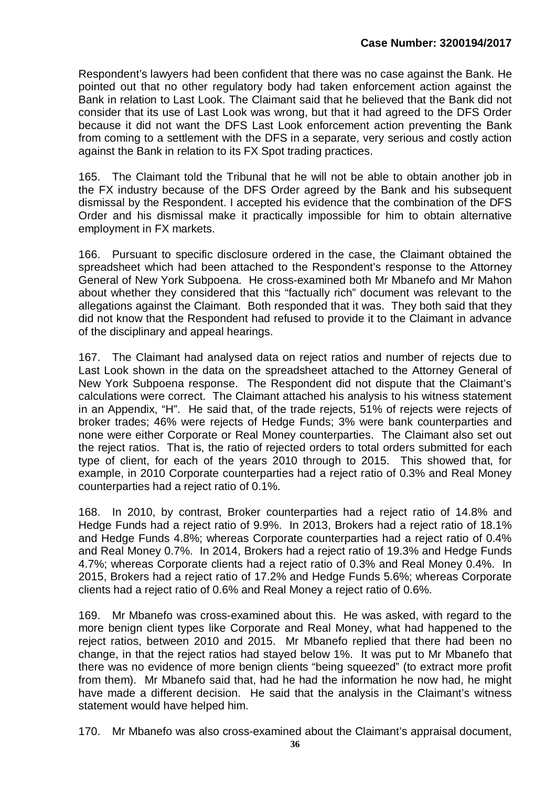Respondent's lawyers had been confident that there was no case against the Bank. He pointed out that no other regulatory body had taken enforcement action against the Bank in relation to Last Look. The Claimant said that he believed that the Bank did not consider that its use of Last Look was wrong, but that it had agreed to the DFS Order because it did not want the DFS Last Look enforcement action preventing the Bank from coming to a settlement with the DFS in a separate, very serious and costly action against the Bank in relation to its FX Spot trading practices.

165. The Claimant told the Tribunal that he will not be able to obtain another job in the FX industry because of the DFS Order agreed by the Bank and his subsequent dismissal by the Respondent. I accepted his evidence that the combination of the DFS Order and his dismissal make it practically impossible for him to obtain alternative employment in FX markets.

166. Pursuant to specific disclosure ordered in the case, the Claimant obtained the spreadsheet which had been attached to the Respondent's response to the Attorney General of New York Subpoena. He cross-examined both Mr Mbanefo and Mr Mahon about whether they considered that this "factually rich" document was relevant to the allegations against the Claimant. Both responded that it was. They both said that they did not know that the Respondent had refused to provide it to the Claimant in advance of the disciplinary and appeal hearings.

167. The Claimant had analysed data on reject ratios and number of rejects due to Last Look shown in the data on the spreadsheet attached to the Attorney General of New York Subpoena response. The Respondent did not dispute that the Claimant's calculations were correct. The Claimant attached his analysis to his witness statement in an Appendix, "H". He said that, of the trade rejects, 51% of rejects were rejects of broker trades; 46% were rejects of Hedge Funds; 3% were bank counterparties and none were either Corporate or Real Money counterparties. The Claimant also set out the reject ratios. That is, the ratio of rejected orders to total orders submitted for each type of client, for each of the years 2010 through to 2015. This showed that, for example, in 2010 Corporate counterparties had a reject ratio of 0.3% and Real Money counterparties had a reject ratio of 0.1%.

168. In 2010, by contrast, Broker counterparties had a reject ratio of 14.8% and Hedge Funds had a reject ratio of 9.9%. In 2013, Brokers had a reject ratio of 18.1% and Hedge Funds 4.8%; whereas Corporate counterparties had a reject ratio of 0.4% and Real Money 0.7%. In 2014, Brokers had a reject ratio of 19.3% and Hedge Funds 4.7%; whereas Corporate clients had a reject ratio of 0.3% and Real Money 0.4%. In 2015, Brokers had a reject ratio of 17.2% and Hedge Funds 5.6%; whereas Corporate clients had a reject ratio of 0.6% and Real Money a reject ratio of 0.6%.

169. Mr Mbanefo was cross-examined about this. He was asked, with regard to the more benign client types like Corporate and Real Money, what had happened to the reject ratios, between 2010 and 2015. Mr Mbanefo replied that there had been no change, in that the reject ratios had stayed below 1%. It was put to Mr Mbanefo that there was no evidence of more benign clients "being squeezed" (to extract more profit from them). Mr Mbanefo said that, had he had the information he now had, he might have made a different decision. He said that the analysis in the Claimant's witness statement would have helped him.

170. Mr Mbanefo was also cross-examined about the Claimant's appraisal document,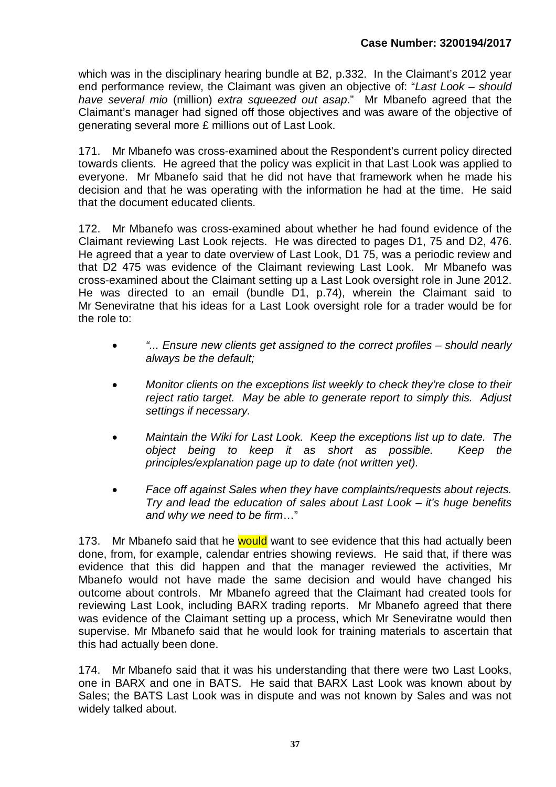which was in the disciplinary hearing bundle at B2, p.332. In the Claimant's 2012 year end performance review, the Claimant was given an objective of: "*Last Look – should have several mio* (million) *extra squeezed out asap*." Mr Mbanefo agreed that the Claimant's manager had signed off those objectives and was aware of the objective of generating several more £ millions out of Last Look.

171. Mr Mbanefo was cross-examined about the Respondent's current policy directed towards clients. He agreed that the policy was explicit in that Last Look was applied to everyone. Mr Mbanefo said that he did not have that framework when he made his decision and that he was operating with the information he had at the time. He said that the document educated clients.

172. Mr Mbanefo was cross-examined about whether he had found evidence of the Claimant reviewing Last Look rejects. He was directed to pages D1, 75 and D2, 476. He agreed that a year to date overview of Last Look, D1 75, was a periodic review and that D2 475 was evidence of the Claimant reviewing Last Look. Mr Mbanefo was cross-examined about the Claimant setting up a Last Look oversight role in June 2012. He was directed to an email (bundle D1, p.74), wherein the Claimant said to Mr Seneviratne that his ideas for a Last Look oversight role for a trader would be for the role to:

- *"... Ensure new clients get assigned to the correct profiles should nearly always be the default;*
- *Monitor clients on the exceptions list weekly to check they're close to their reject ratio target. May be able to generate report to simply this. Adjust settings if necessary.*
- *Maintain the Wiki for Last Look. Keep the exceptions list up to date. The object being to keep it as short as possible. Keep the principles/explanation page up to date (not written yet).*
- *Face off against Sales when they have complaints/requests about rejects. Try and lead the education of sales about Last Look – it's huge benefits and why we need to be firm*…"

173. Mr Mbanefo said that he would want to see evidence that this had actually been done, from, for example, calendar entries showing reviews. He said that, if there was evidence that this did happen and that the manager reviewed the activities, Mr Mbanefo would not have made the same decision and would have changed his outcome about controls. Mr Mbanefo agreed that the Claimant had created tools for reviewing Last Look, including BARX trading reports. Mr Mbanefo agreed that there was evidence of the Claimant setting up a process, which Mr Seneviratne would then supervise. Mr Mbanefo said that he would look for training materials to ascertain that this had actually been done.

174. Mr Mbanefo said that it was his understanding that there were two Last Looks, one in BARX and one in BATS. He said that BARX Last Look was known about by Sales; the BATS Last Look was in dispute and was not known by Sales and was not widely talked about.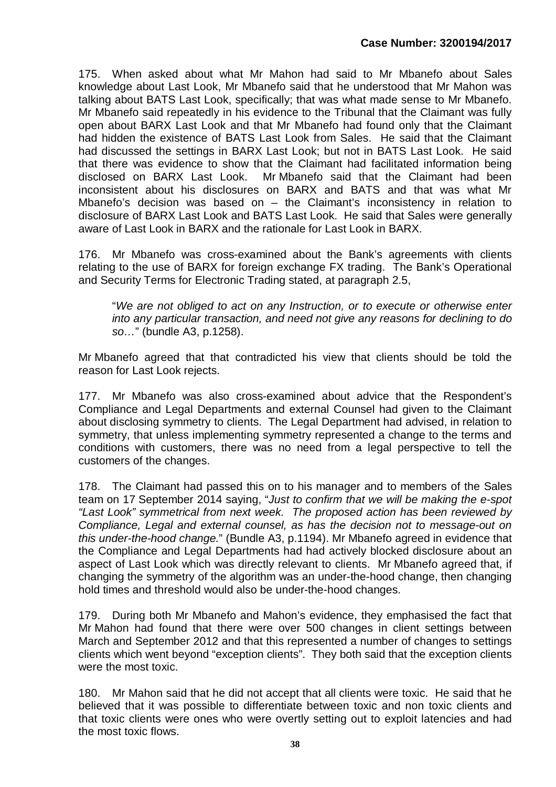175. When asked about what Mr Mahon had said to Mr Mbanefo about Sales knowledge about Last Look, Mr Mbanefo said that he understood that Mr Mahon was talking about BATS Last Look, specifically; that was what made sense to Mr Mbanefo. Mr Mbanefo said repeatedly in his evidence to the Tribunal that the Claimant was fully open about BARX Last Look and that Mr Mbanefo had found only that the Claimant had hidden the existence of BATS Last Look from Sales. He said that the Claimant had discussed the settings in BARX Last Look; but not in BATS Last Look. He said that there was evidence to show that the Claimant had facilitated information being disclosed on BARX Last Look. Mr Mbanefo said that the Claimant had been inconsistent about his disclosures on BARX and BATS and that was what Mr Mbanefo's decision was based on – the Claimant's inconsistency in relation to disclosure of BARX Last Look and BATS Last Look. He said that Sales were generally aware of Last Look in BARX and the rationale for Last Look in BARX.

176. Mr Mbanefo was cross-examined about the Bank's agreements with clients relating to the use of BARX for foreign exchange FX trading. The Bank's Operational and Security Terms for Electronic Trading stated, at paragraph 2.5,

"*We are not obliged to act on any Instruction, or to execute or otherwise enter into any particular transaction, and need not give any reasons for declining to do so…*" (bundle A3, p.1258).

Mr Mbanefo agreed that that contradicted his view that clients should be told the reason for Last Look rejects.

177. Mr Mbanefo was also cross-examined about advice that the Respondent's Compliance and Legal Departments and external Counsel had given to the Claimant about disclosing symmetry to clients. The Legal Department had advised, in relation to symmetry, that unless implementing symmetry represented a change to the terms and conditions with customers, there was no need from a legal perspective to tell the customers of the changes.

178. The Claimant had passed this on to his manager and to members of the Sales team on 17 September 2014 saying, "*Just to confirm that we will be making the e-spot "Last Look" symmetrical from next week. The proposed action has been reviewed by Compliance, Legal and external counsel, as has the decision not to message-out on this under-the-hood change.*" (Bundle A3, p.1194). Mr Mbanefo agreed in evidence that the Compliance and Legal Departments had had actively blocked disclosure about an aspect of Last Look which was directly relevant to clients. Mr Mbanefo agreed that, if changing the symmetry of the algorithm was an under-the-hood change, then changing hold times and threshold would also be under-the-hood changes.

179. During both Mr Mbanefo and Mahon's evidence, they emphasised the fact that Mr Mahon had found that there were over 500 changes in client settings between March and September 2012 and that this represented a number of changes to settings clients which went beyond "exception clients". They both said that the exception clients were the most toxic.

180. Mr Mahon said that he did not accept that all clients were toxic. He said that he believed that it was possible to differentiate between toxic and non toxic clients and that toxic clients were ones who were overtly setting out to exploit latencies and had the most toxic flows.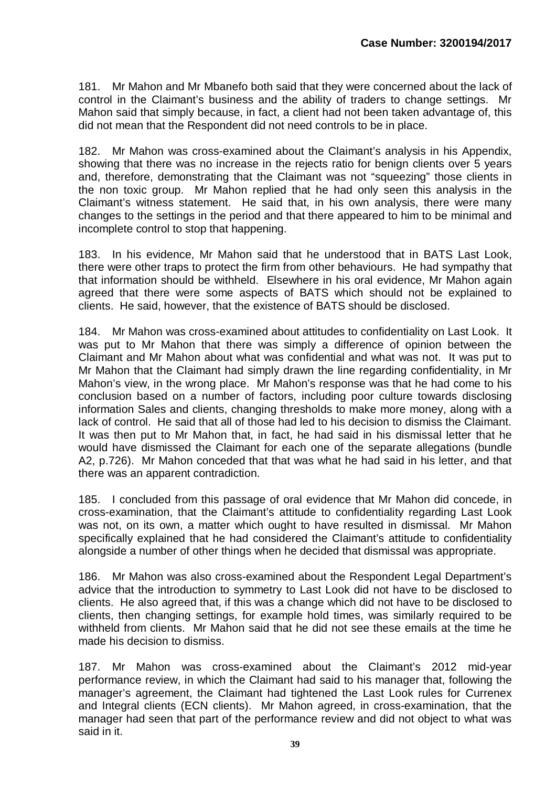181. Mr Mahon and Mr Mbanefo both said that they were concerned about the lack of control in the Claimant's business and the ability of traders to change settings. Mr Mahon said that simply because, in fact, a client had not been taken advantage of, this did not mean that the Respondent did not need controls to be in place.

182. Mr Mahon was cross-examined about the Claimant's analysis in his Appendix, showing that there was no increase in the rejects ratio for benign clients over 5 years and, therefore, demonstrating that the Claimant was not "squeezing" those clients in the non toxic group. Mr Mahon replied that he had only seen this analysis in the Claimant's witness statement. He said that, in his own analysis, there were many changes to the settings in the period and that there appeared to him to be minimal and incomplete control to stop that happening.

183. In his evidence, Mr Mahon said that he understood that in BATS Last Look, there were other traps to protect the firm from other behaviours. He had sympathy that that information should be withheld. Elsewhere in his oral evidence, Mr Mahon again agreed that there were some aspects of BATS which should not be explained to clients. He said, however, that the existence of BATS should be disclosed.

184. Mr Mahon was cross-examined about attitudes to confidentiality on Last Look. It was put to Mr Mahon that there was simply a difference of opinion between the Claimant and Mr Mahon about what was confidential and what was not. It was put to Mr Mahon that the Claimant had simply drawn the line regarding confidentiality, in Mr Mahon's view, in the wrong place. Mr Mahon's response was that he had come to his conclusion based on a number of factors, including poor culture towards disclosing information Sales and clients, changing thresholds to make more money, along with a lack of control. He said that all of those had led to his decision to dismiss the Claimant. It was then put to Mr Mahon that, in fact, he had said in his dismissal letter that he would have dismissed the Claimant for each one of the separate allegations (bundle A2, p.726). Mr Mahon conceded that that was what he had said in his letter, and that there was an apparent contradiction.

185. I concluded from this passage of oral evidence that Mr Mahon did concede, in cross-examination, that the Claimant's attitude to confidentiality regarding Last Look was not, on its own, a matter which ought to have resulted in dismissal. Mr Mahon specifically explained that he had considered the Claimant's attitude to confidentiality alongside a number of other things when he decided that dismissal was appropriate.

186. Mr Mahon was also cross-examined about the Respondent Legal Department's advice that the introduction to symmetry to Last Look did not have to be disclosed to clients. He also agreed that, if this was a change which did not have to be disclosed to clients, then changing settings, for example hold times, was similarly required to be withheld from clients. Mr Mahon said that he did not see these emails at the time he made his decision to dismiss.

187. Mr Mahon was cross-examined about the Claimant's 2012 mid-year performance review, in which the Claimant had said to his manager that, following the manager's agreement, the Claimant had tightened the Last Look rules for Currenex and Integral clients (ECN clients). Mr Mahon agreed, in cross-examination, that the manager had seen that part of the performance review and did not object to what was said in it.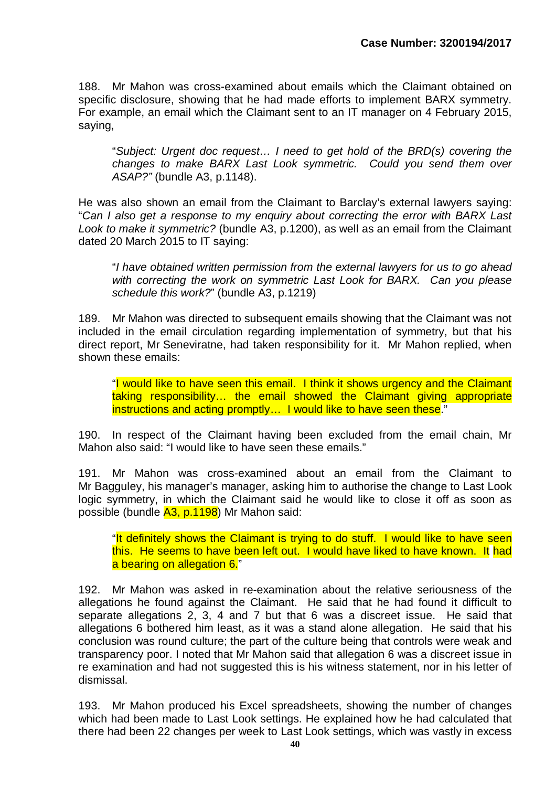188. Mr Mahon was cross-examined about emails which the Claimant obtained on specific disclosure, showing that he had made efforts to implement BARX symmetry. For example, an email which the Claimant sent to an IT manager on 4 February 2015, saying,

"*Subject: Urgent doc request… I need to get hold of the BRD(s) covering the changes to make BARX Last Look symmetric. Could you send them over ASAP?"* (bundle A3, p.1148).

He was also shown an email from the Claimant to Barclay's external lawyers saying: "*Can I also get a response to my enquiry about correcting the error with BARX Last Look to make it symmetric?* (bundle A3, p.1200), as well as an email from the Claimant dated 20 March 2015 to IT saying:

"*I have obtained written permission from the external lawyers for us to go ahead with correcting the work on symmetric Last Look for BARX. Can you please schedule this work?*" (bundle A3, p.1219)

189. Mr Mahon was directed to subsequent emails showing that the Claimant was not included in the email circulation regarding implementation of symmetry, but that his direct report, Mr Seneviratne, had taken responsibility for it. Mr Mahon replied, when shown these emails:

"I would like to have seen this email. I think it shows urgency and the Claimant taking responsibility… the email showed the Claimant giving appropriate instructions and acting promptly… I would like to have seen these."

190. In respect of the Claimant having been excluded from the email chain, Mr Mahon also said: "I would like to have seen these emails."

191. Mr Mahon was cross-examined about an email from the Claimant to Mr Bagguley, his manager's manager, asking him to authorise the change to Last Look logic symmetry, in which the Claimant said he would like to close it off as soon as possible (bundle A3, p.1198) Mr Mahon said:

"It definitely shows the Claimant is trying to do stuff. I would like to have seen this. He seems to have been left out. I would have liked to have known. It had a bearing on allegation 6."

192. Mr Mahon was asked in re-examination about the relative seriousness of the allegations he found against the Claimant. He said that he had found it difficult to separate allegations 2, 3, 4 and 7 but that 6 was a discreet issue. He said that allegations 6 bothered him least, as it was a stand alone allegation. He said that his conclusion was round culture; the part of the culture being that controls were weak and transparency poor. I noted that Mr Mahon said that allegation 6 was a discreet issue in re examination and had not suggested this is his witness statement, nor in his letter of dismissal.

193. Mr Mahon produced his Excel spreadsheets, showing the number of changes which had been made to Last Look settings. He explained how he had calculated that there had been 22 changes per week to Last Look settings, which was vastly in excess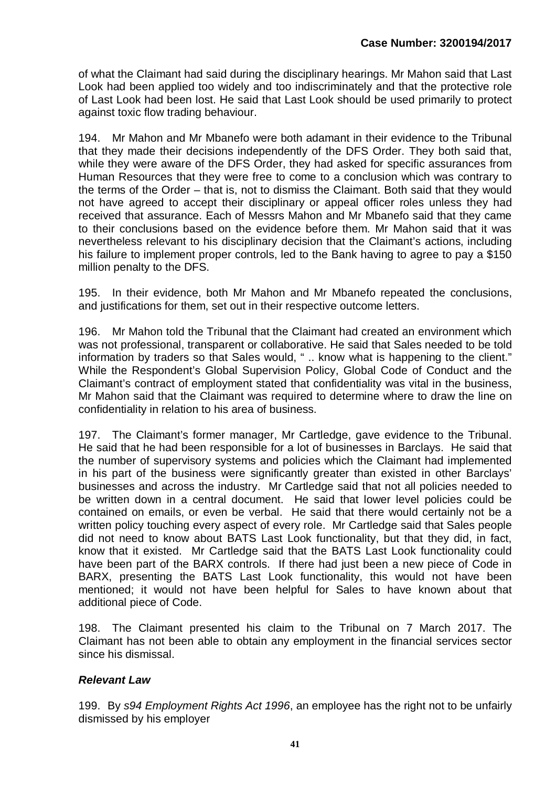of what the Claimant had said during the disciplinary hearings. Mr Mahon said that Last Look had been applied too widely and too indiscriminately and that the protective role of Last Look had been lost. He said that Last Look should be used primarily to protect against toxic flow trading behaviour.

194. Mr Mahon and Mr Mbanefo were both adamant in their evidence to the Tribunal that they made their decisions independently of the DFS Order. They both said that, while they were aware of the DFS Order, they had asked for specific assurances from Human Resources that they were free to come to a conclusion which was contrary to the terms of the Order – that is, not to dismiss the Claimant. Both said that they would not have agreed to accept their disciplinary or appeal officer roles unless they had received that assurance. Each of Messrs Mahon and Mr Mbanefo said that they came to their conclusions based on the evidence before them. Mr Mahon said that it was nevertheless relevant to his disciplinary decision that the Claimant's actions, including his failure to implement proper controls, led to the Bank having to agree to pay a \$150 million penalty to the DFS.

195. In their evidence, both Mr Mahon and Mr Mbanefo repeated the conclusions, and justifications for them, set out in their respective outcome letters.

196. Mr Mahon told the Tribunal that the Claimant had created an environment which was not professional, transparent or collaborative. He said that Sales needed to be told information by traders so that Sales would, " .. know what is happening to the client." While the Respondent's Global Supervision Policy, Global Code of Conduct and the Claimant's contract of employment stated that confidentiality was vital in the business, Mr Mahon said that the Claimant was required to determine where to draw the line on confidentiality in relation to his area of business.

197. The Claimant's former manager, Mr Cartledge, gave evidence to the Tribunal. He said that he had been responsible for a lot of businesses in Barclays. He said that the number of supervisory systems and policies which the Claimant had implemented in his part of the business were significantly greater than existed in other Barclays' businesses and across the industry. Mr Cartledge said that not all policies needed to be written down in a central document. He said that lower level policies could be contained on emails, or even be verbal. He said that there would certainly not be a written policy touching every aspect of every role. Mr Cartledge said that Sales people did not need to know about BATS Last Look functionality, but that they did, in fact, know that it existed. Mr Cartledge said that the BATS Last Look functionality could have been part of the BARX controls. If there had just been a new piece of Code in BARX, presenting the BATS Last Look functionality, this would not have been mentioned; it would not have been helpful for Sales to have known about that additional piece of Code.

198. The Claimant presented his claim to the Tribunal on 7 March 2017. The Claimant has not been able to obtain any employment in the financial services sector since his dismissal.

## *Relevant Law*

199. By *s94 Employment Rights Act 1996*, an employee has the right not to be unfairly dismissed by his employer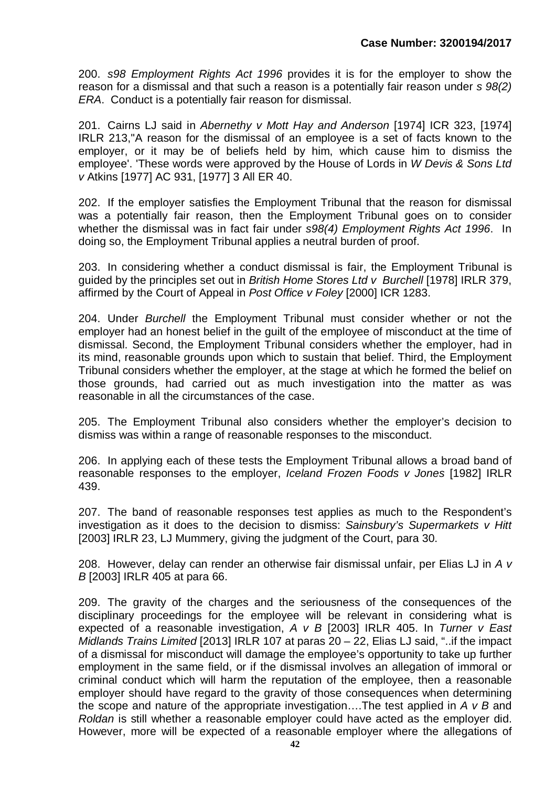200. *s98 Employment Rights Act 1996* provides it is for the employer to show the reason for a dismissal and that such a reason is a potentially fair reason under *s 98(2) ERA*. Conduct is a potentially fair reason for dismissal.

201. Cairns LJ said in *Abernethy v Mott Hay and Anderson* [1974] ICR 323, [1974] IRLR 213,''A reason for the dismissal of an employee is a set of facts known to the employer, or it may be of beliefs held by him, which cause him to dismiss the employee'. 'These words were approved by the House of Lords in *W Devis & Sons Ltd v* Atkins [1977] AC 931, [1977] 3 All ER 40.

202. If the employer satisfies the Employment Tribunal that the reason for dismissal was a potentially fair reason, then the Employment Tribunal goes on to consider whether the dismissal was in fact fair under *s98(4) Employment Rights Act 1996*. In doing so, the Employment Tribunal applies a neutral burden of proof.

203. In considering whether a conduct dismissal is fair, the Employment Tribunal is guided by the principles set out in *British Home Stores Ltd v Burchell* [1978] IRLR 379, affirmed by the Court of Appeal in *Post Office v Foley* [2000] ICR 1283.

204. Under *Burchell* the Employment Tribunal must consider whether or not the employer had an honest belief in the guilt of the employee of misconduct at the time of dismissal. Second, the Employment Tribunal considers whether the employer, had in its mind, reasonable grounds upon which to sustain that belief. Third, the Employment Tribunal considers whether the employer, at the stage at which he formed the belief on those grounds, had carried out as much investigation into the matter as was reasonable in all the circumstances of the case.

205. The Employment Tribunal also considers whether the employer's decision to dismiss was within a range of reasonable responses to the misconduct.

206. In applying each of these tests the Employment Tribunal allows a broad band of reasonable responses to the employer, *Iceland Frozen Foods v Jones* [1982] IRLR 439.

207. The band of reasonable responses test applies as much to the Respondent's investigation as it does to the decision to dismiss: *Sainsbury's Supermarkets v Hitt* [2003] IRLR 23, LJ Mummery, giving the judgment of the Court, para 30.

208. However, delay can render an otherwise fair dismissal unfair, per Elias LJ in *A v B* [2003] IRLR 405 at para 66.

209. The gravity of the charges and the seriousness of the consequences of the disciplinary proceedings for the employee will be relevant in considering what is expected of a reasonable investigation, *A v B* [2003] IRLR 405. In *Turner v East Midlands Trains Limited* [2013] IRLR 107 at paras 20 – 22, Elias LJ said, "..if the impact of a dismissal for misconduct will damage the employee's opportunity to take up further employment in the same field, or if the dismissal involves an allegation of immoral or criminal conduct which will harm the reputation of the employee, then a reasonable employer should have regard to the gravity of those consequences when determining the scope and nature of the appropriate investigation….The test applied in *A v B* and *Roldan* is still whether a reasonable employer could have acted as the employer did. However, more will be expected of a reasonable employer where the allegations of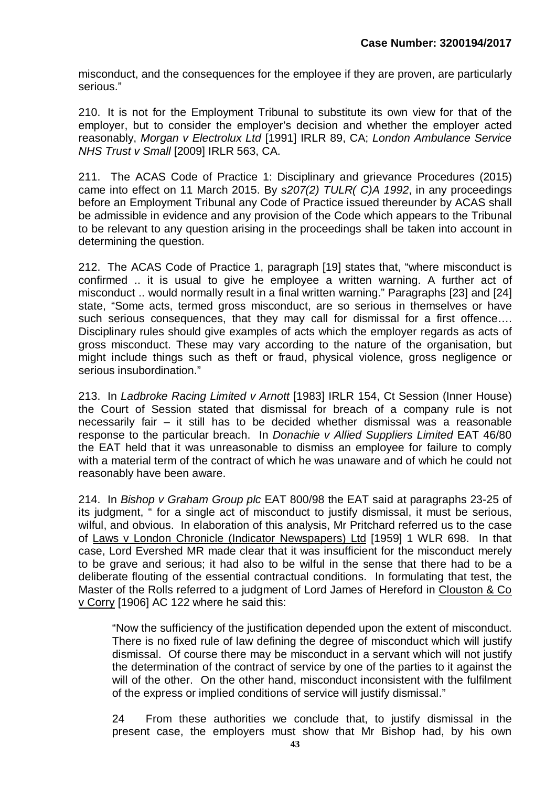misconduct, and the consequences for the employee if they are proven, are particularly serious."

210. It is not for the Employment Tribunal to substitute its own view for that of the employer, but to consider the employer's decision and whether the employer acted reasonably, *Morgan v Electrolux Ltd* [1991] IRLR 89, CA; *London Ambulance Service NHS Trust v Small* [2009] IRLR 563, CA.

211. The ACAS Code of Practice 1: Disciplinary and grievance Procedures (2015) came into effect on 11 March 2015. By *s207(2) TULR( C)A 1992*, in any proceedings before an Employment Tribunal any Code of Practice issued thereunder by ACAS shall be admissible in evidence and any provision of the Code which appears to the Tribunal to be relevant to any question arising in the proceedings shall be taken into account in determining the question.

212. The ACAS Code of Practice 1, paragraph [19] states that, "where misconduct is confirmed .. it is usual to give he employee a written warning. A further act of misconduct .. would normally result in a final written warning." Paragraphs [23] and [24] state, "Some acts, termed gross misconduct, are so serious in themselves or have such serious consequences, that they may call for dismissal for a first offence.... Disciplinary rules should give examples of acts which the employer regards as acts of gross misconduct. These may vary according to the nature of the organisation, but might include things such as theft or fraud, physical violence, gross negligence or serious insubordination."

213. In *Ladbroke Racing Limited v Arnott* [1983] IRLR 154, Ct Session (Inner House) the Court of Session stated that dismissal for breach of a company rule is not necessarily fair – it still has to be decided whether dismissal was a reasonable response to the particular breach. In *Donachie v Allied Suppliers Limited* EAT 46/80 the EAT held that it was unreasonable to dismiss an employee for failure to comply with a material term of the contract of which he was unaware and of which he could not reasonably have been aware.

214. In *Bishop v Graham Group plc* EAT 800/98 the EAT said at paragraphs 23-25 of its judgment, " for a single act of misconduct to justify dismissal, it must be serious, wilful, and obvious. In elaboration of this analysis, Mr Pritchard referred us to the case of Laws v London Chronicle (Indicator Newspapers) Ltd [1959] 1 WLR 698. In that case, Lord Evershed MR made clear that it was insufficient for the misconduct merely to be grave and serious; it had also to be wilful in the sense that there had to be a deliberate flouting of the essential contractual conditions. In formulating that test, the Master of the Rolls referred to a judgment of Lord James of Hereford in Clouston & Co v Corry [1906] AC 122 where he said this:

"Now the sufficiency of the justification depended upon the extent of misconduct. There is no fixed rule of law defining the degree of misconduct which will justify dismissal. Of course there may be misconduct in a servant which will not justify the determination of the contract of service by one of the parties to it against the will of the other. On the other hand, misconduct inconsistent with the fulfilment of the express or implied conditions of service will justify dismissal."

24 From these authorities we conclude that, to justify dismissal in the present case, the employers must show that Mr Bishop had, by his own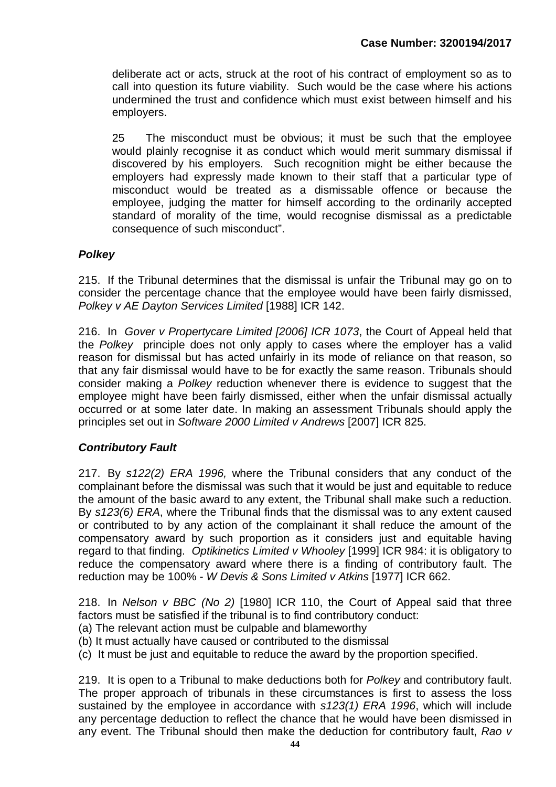deliberate act or acts, struck at the root of his contract of employment so as to call into question its future viability. Such would be the case where his actions undermined the trust and confidence which must exist between himself and his employers.

25 The misconduct must be obvious; it must be such that the employee would plainly recognise it as conduct which would merit summary dismissal if discovered by his employers. Such recognition might be either because the employers had expressly made known to their staff that a particular type of misconduct would be treated as a dismissable offence or because the employee, judging the matter for himself according to the ordinarily accepted standard of morality of the time, would recognise dismissal as a predictable consequence of such misconduct".

# *Polkey*

215. If the Tribunal determines that the dismissal is unfair the Tribunal may go on to consider the percentage chance that the employee would have been fairly dismissed, *Polkey v AE Dayton Services Limited* [1988] ICR 142.

216. In *Gover v Propertycare Limited [2006] ICR 1073*, the Court of Appeal held that the *Polkey* principle does not only apply to cases where the employer has a valid reason for dismissal but has acted unfairly in its mode of reliance on that reason, so that any fair dismissal would have to be for exactly the same reason. Tribunals should consider making a *Polkey* reduction whenever there is evidence to suggest that the employee might have been fairly dismissed, either when the unfair dismissal actually occurred or at some later date. In making an assessment Tribunals should apply the principles set out in *Software 2000 Limited v Andrews* [2007] ICR 825.

# *Contributory Fault*

217. By *s122(2) ERA 1996,* where the Tribunal considers that any conduct of the complainant before the dismissal was such that it would be just and equitable to reduce the amount of the basic award to any extent, the Tribunal shall make such a reduction. By *s123(6) ERA*, where the Tribunal finds that the dismissal was to any extent caused or contributed to by any action of the complainant it shall reduce the amount of the compensatory award by such proportion as it considers just and equitable having regard to that finding. *Optikinetics Limited v Whooley* [1999] ICR 984: it is obligatory to reduce the compensatory award where there is a finding of contributory fault. The reduction may be 100% - *W Devis & Sons Limited v Atkins* [1977] ICR 662.

218. In *Nelson v BBC (No 2)* [1980] ICR 110, the Court of Appeal said that three factors must be satisfied if the tribunal is to find contributory conduct:

- (a) The relevant action must be culpable and blameworthy
- (b) It must actually have caused or contributed to the dismissal
- (c) It must be just and equitable to reduce the award by the proportion specified.

219. It is open to a Tribunal to make deductions both for *Polkey* and contributory fault. The proper approach of tribunals in these circumstances is first to assess the loss sustained by the employee in accordance with *s123(1) ERA 1996*, which will include any percentage deduction to reflect the chance that he would have been dismissed in any event. The Tribunal should then make the deduction for contributory fault, *Rao v*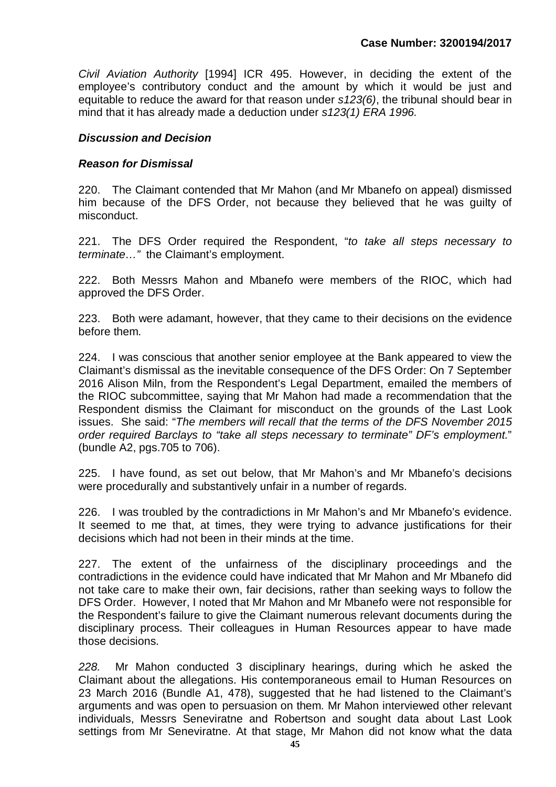*Civil Aviation Authority* [1994] ICR 495. However, in deciding the extent of the employee's contributory conduct and the amount by which it would be just and equitable to reduce the award for that reason under *s123(6)*, the tribunal should bear in mind that it has already made a deduction under *s123(1) ERA 1996.*

## *Discussion and Decision*

#### *Reason for Dismissal*

220. The Claimant contended that Mr Mahon (and Mr Mbanefo on appeal) dismissed him because of the DFS Order, not because they believed that he was guilty of misconduct.

221. The DFS Order required the Respondent, "*to take all steps necessary to terminate…"* the Claimant's employment.

222. Both Messrs Mahon and Mbanefo were members of the RIOC, which had approved the DFS Order.

223. Both were adamant, however, that they came to their decisions on the evidence before them.

224. I was conscious that another senior employee at the Bank appeared to view the Claimant's dismissal as the inevitable consequence of the DFS Order: On 7 September 2016 Alison Miln, from the Respondent's Legal Department, emailed the members of the RIOC subcommittee, saying that Mr Mahon had made a recommendation that the Respondent dismiss the Claimant for misconduct on the grounds of the Last Look issues. She said: "*The members will recall that the terms of the DFS November 2015 order required Barclays to "take all steps necessary to terminate" DF's employment.*" (bundle A2, pgs.705 to 706).

225. I have found, as set out below, that Mr Mahon's and Mr Mbanefo's decisions were procedurally and substantively unfair in a number of regards.

226. I was troubled by the contradictions in Mr Mahon's and Mr Mbanefo's evidence. It seemed to me that, at times, they were trying to advance justifications for their decisions which had not been in their minds at the time.

227. The extent of the unfairness of the disciplinary proceedings and the contradictions in the evidence could have indicated that Mr Mahon and Mr Mbanefo did not take care to make their own, fair decisions, rather than seeking ways to follow the DFS Order. However, I noted that Mr Mahon and Mr Mbanefo were not responsible for the Respondent's failure to give the Claimant numerous relevant documents during the disciplinary process. Their colleagues in Human Resources appear to have made those decisions.

*228.* Mr Mahon conducted 3 disciplinary hearings, during which he asked the Claimant about the allegations. His contemporaneous email to Human Resources on 23 March 2016 (Bundle A1, 478), suggested that he had listened to the Claimant's arguments and was open to persuasion on them. Mr Mahon interviewed other relevant individuals, Messrs Seneviratne and Robertson and sought data about Last Look settings from Mr Seneviratne. At that stage, Mr Mahon did not know what the data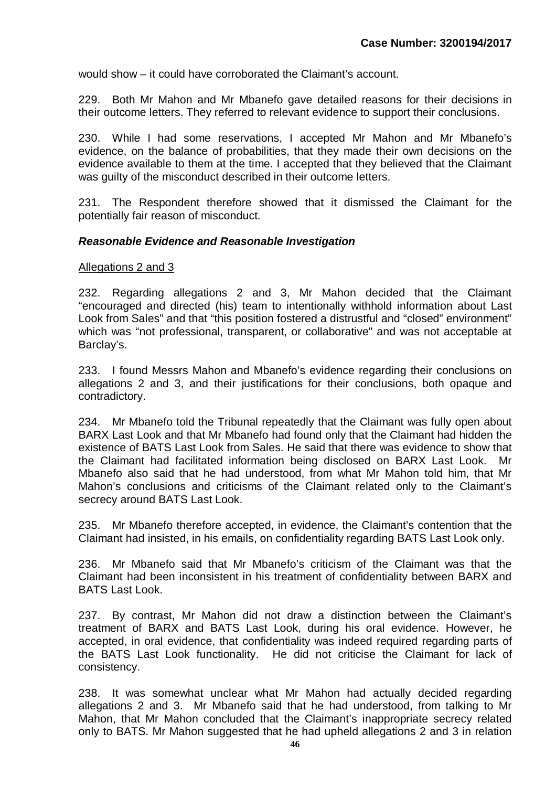would show – it could have corroborated the Claimant's account.

229. Both Mr Mahon and Mr Mbanefo gave detailed reasons for their decisions in their outcome letters. They referred to relevant evidence to support their conclusions.

230. While I had some reservations, I accepted Mr Mahon and Mr Mbanefo's evidence, on the balance of probabilities, that they made their own decisions on the evidence available to them at the time. I accepted that they believed that the Claimant was guilty of the misconduct described in their outcome letters.

231. The Respondent therefore showed that it dismissed the Claimant for the potentially fair reason of misconduct.

#### *Reasonable Evidence and Reasonable Investigation*

#### Allegations 2 and 3

232. Regarding allegations 2 and 3, Mr Mahon decided that the Claimant "encouraged and directed (his) team to intentionally withhold information about Last Look from Sales" and that "this position fostered a distrustful and "closed" environment" which was "not professional, transparent, or collaborative" and was not acceptable at Barclay's.

233. I found Messrs Mahon and Mbanefo's evidence regarding their conclusions on allegations 2 and 3, and their justifications for their conclusions, both opaque and contradictory.

234. Mr Mbanefo told the Tribunal repeatedly that the Claimant was fully open about BARX Last Look and that Mr Mbanefo had found only that the Claimant had hidden the existence of BATS Last Look from Sales. He said that there was evidence to show that the Claimant had facilitated information being disclosed on BARX Last Look. Mr Mbanefo also said that he had understood, from what Mr Mahon told him, that Mr Mahon's conclusions and criticisms of the Claimant related only to the Claimant's secrecy around BATS Last Look.

235. Mr Mbanefo therefore accepted, in evidence, the Claimant's contention that the Claimant had insisted, in his emails, on confidentiality regarding BATS Last Look only.

236. Mr Mbanefo said that Mr Mbanefo's criticism of the Claimant was that the Claimant had been inconsistent in his treatment of confidentiality between BARX and BATS Last Look.

237. By contrast, Mr Mahon did not draw a distinction between the Claimant's treatment of BARX and BATS Last Look, during his oral evidence. However, he accepted, in oral evidence, that confidentiality was indeed required regarding parts of the BATS Last Look functionality. He did not criticise the Claimant for lack of consistency.

238. It was somewhat unclear what Mr Mahon had actually decided regarding allegations 2 and 3. Mr Mbanefo said that he had understood, from talking to Mr Mahon, that Mr Mahon concluded that the Claimant's inappropriate secrecy related only to BATS. Mr Mahon suggested that he had upheld allegations 2 and 3 in relation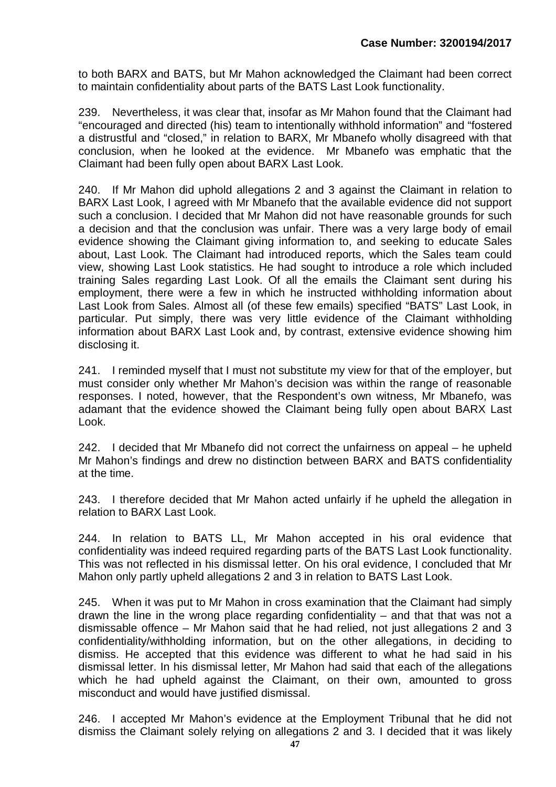to both BARX and BATS, but Mr Mahon acknowledged the Claimant had been correct to maintain confidentiality about parts of the BATS Last Look functionality.

239. Nevertheless, it was clear that, insofar as Mr Mahon found that the Claimant had "encouraged and directed (his) team to intentionally withhold information" and "fostered a distrustful and "closed," in relation to BARX, Mr Mbanefo wholly disagreed with that conclusion, when he looked at the evidence. Mr Mbanefo was emphatic that the Claimant had been fully open about BARX Last Look.

240. If Mr Mahon did uphold allegations 2 and 3 against the Claimant in relation to BARX Last Look, I agreed with Mr Mbanefo that the available evidence did not support such a conclusion. I decided that Mr Mahon did not have reasonable grounds for such a decision and that the conclusion was unfair. There was a very large body of email evidence showing the Claimant giving information to, and seeking to educate Sales about, Last Look. The Claimant had introduced reports, which the Sales team could view, showing Last Look statistics. He had sought to introduce a role which included training Sales regarding Last Look. Of all the emails the Claimant sent during his employment, there were a few in which he instructed withholding information about Last Look from Sales. Almost all (of these few emails) specified "BATS" Last Look, in particular. Put simply, there was very little evidence of the Claimant withholding information about BARX Last Look and, by contrast, extensive evidence showing him disclosing it.

241. I reminded myself that I must not substitute my view for that of the employer, but must consider only whether Mr Mahon's decision was within the range of reasonable responses. I noted, however, that the Respondent's own witness, Mr Mbanefo, was adamant that the evidence showed the Claimant being fully open about BARX Last Look.

242. I decided that Mr Mbanefo did not correct the unfairness on appeal – he upheld Mr Mahon's findings and drew no distinction between BARX and BATS confidentiality at the time.

243. I therefore decided that Mr Mahon acted unfairly if he upheld the allegation in relation to BARX Last Look.

244. In relation to BATS LL, Mr Mahon accepted in his oral evidence that confidentiality was indeed required regarding parts of the BATS Last Look functionality. This was not reflected in his dismissal letter. On his oral evidence, I concluded that Mr Mahon only partly upheld allegations 2 and 3 in relation to BATS Last Look.

245. When it was put to Mr Mahon in cross examination that the Claimant had simply drawn the line in the wrong place regarding confidentiality  $-$  and that that was not a dismissable offence – Mr Mahon said that he had relied, not just allegations 2 and 3 confidentiality/withholding information, but on the other allegations, in deciding to dismiss. He accepted that this evidence was different to what he had said in his dismissal letter. In his dismissal letter, Mr Mahon had said that each of the allegations which he had upheld against the Claimant, on their own, amounted to gross misconduct and would have justified dismissal.

246. I accepted Mr Mahon's evidence at the Employment Tribunal that he did not dismiss the Claimant solely relying on allegations 2 and 3. I decided that it was likely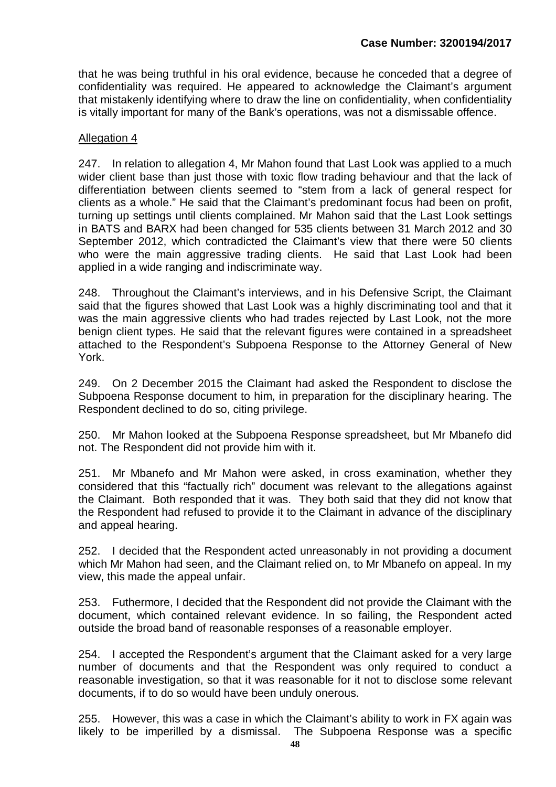that he was being truthful in his oral evidence, because he conceded that a degree of confidentiality was required. He appeared to acknowledge the Claimant's argument that mistakenly identifying where to draw the line on confidentiality, when confidentiality is vitally important for many of the Bank's operations, was not a dismissable offence.

#### Allegation 4

247. In relation to allegation 4, Mr Mahon found that Last Look was applied to a much wider client base than just those with toxic flow trading behaviour and that the lack of differentiation between clients seemed to "stem from a lack of general respect for clients as a whole." He said that the Claimant's predominant focus had been on profit, turning up settings until clients complained. Mr Mahon said that the Last Look settings in BATS and BARX had been changed for 535 clients between 31 March 2012 and 30 September 2012, which contradicted the Claimant's view that there were 50 clients who were the main aggressive trading clients. He said that Last Look had been applied in a wide ranging and indiscriminate way.

248. Throughout the Claimant's interviews, and in his Defensive Script, the Claimant said that the figures showed that Last Look was a highly discriminating tool and that it was the main aggressive clients who had trades rejected by Last Look, not the more benign client types. He said that the relevant figures were contained in a spreadsheet attached to the Respondent's Subpoena Response to the Attorney General of New York.

249. On 2 December 2015 the Claimant had asked the Respondent to disclose the Subpoena Response document to him, in preparation for the disciplinary hearing. The Respondent declined to do so, citing privilege.

250. Mr Mahon looked at the Subpoena Response spreadsheet, but Mr Mbanefo did not. The Respondent did not provide him with it.

251. Mr Mbanefo and Mr Mahon were asked, in cross examination, whether they considered that this "factually rich" document was relevant to the allegations against the Claimant. Both responded that it was. They both said that they did not know that the Respondent had refused to provide it to the Claimant in advance of the disciplinary and appeal hearing.

252. I decided that the Respondent acted unreasonably in not providing a document which Mr Mahon had seen, and the Claimant relied on, to Mr Mbanefo on appeal. In my view, this made the appeal unfair.

253. Futhermore, I decided that the Respondent did not provide the Claimant with the document, which contained relevant evidence. In so failing, the Respondent acted outside the broad band of reasonable responses of a reasonable employer.

254. I accepted the Respondent's argument that the Claimant asked for a very large number of documents and that the Respondent was only required to conduct a reasonable investigation, so that it was reasonable for it not to disclose some relevant documents, if to do so would have been unduly onerous.

255. However, this was a case in which the Claimant's ability to work in FX again was likely to be imperilled by a dismissal. The Subpoena Response was a specific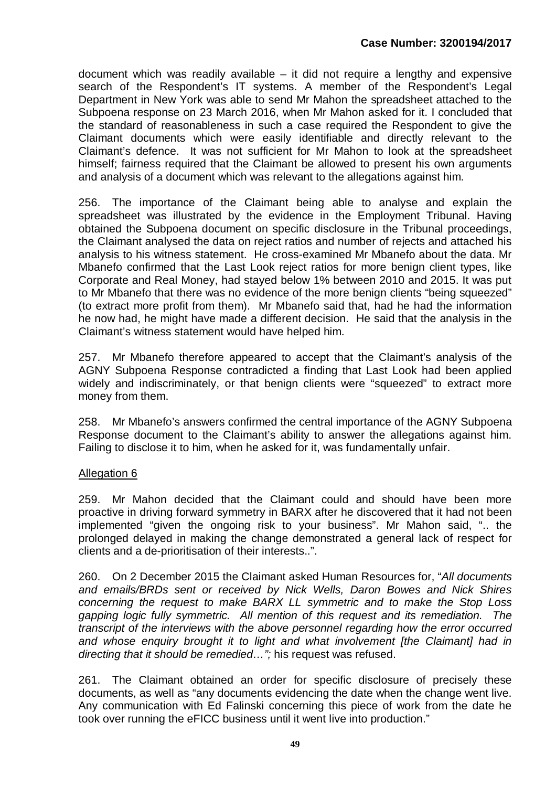document which was readily available – it did not require a lengthy and expensive search of the Respondent's IT systems. A member of the Respondent's Legal Department in New York was able to send Mr Mahon the spreadsheet attached to the Subpoena response on 23 March 2016, when Mr Mahon asked for it. I concluded that the standard of reasonableness in such a case required the Respondent to give the Claimant documents which were easily identifiable and directly relevant to the Claimant's defence. It was not sufficient for Mr Mahon to look at the spreadsheet himself; fairness required that the Claimant be allowed to present his own arguments and analysis of a document which was relevant to the allegations against him.

256. The importance of the Claimant being able to analyse and explain the spreadsheet was illustrated by the evidence in the Employment Tribunal. Having obtained the Subpoena document on specific disclosure in the Tribunal proceedings, the Claimant analysed the data on reject ratios and number of rejects and attached his analysis to his witness statement. He cross-examined Mr Mbanefo about the data. Mr Mbanefo confirmed that the Last Look reject ratios for more benign client types, like Corporate and Real Money, had stayed below 1% between 2010 and 2015. It was put to Mr Mbanefo that there was no evidence of the more benign clients "being squeezed" (to extract more profit from them). Mr Mbanefo said that, had he had the information he now had, he might have made a different decision. He said that the analysis in the Claimant's witness statement would have helped him.

257. Mr Mbanefo therefore appeared to accept that the Claimant's analysis of the AGNY Subpoena Response contradicted a finding that Last Look had been applied widely and indiscriminately, or that benign clients were "squeezed" to extract more money from them.

258. Mr Mbanefo's answers confirmed the central importance of the AGNY Subpoena Response document to the Claimant's ability to answer the allegations against him. Failing to disclose it to him, when he asked for it, was fundamentally unfair.

# Allegation 6

259. Mr Mahon decided that the Claimant could and should have been more proactive in driving forward symmetry in BARX after he discovered that it had not been implemented "given the ongoing risk to your business". Mr Mahon said, ".. the prolonged delayed in making the change demonstrated a general lack of respect for clients and a de-prioritisation of their interests..".

260. On 2 December 2015 the Claimant asked Human Resources for, "*All documents and emails/BRDs sent or received by Nick Wells, Daron Bowes and Nick Shires concerning the request to make BARX LL symmetric and to make the Stop Loss gapping logic fully symmetric. All mention of this request and its remediation. The transcript of the interviews with the above personnel regarding how the error occurred and whose enquiry brought it to light and what involvement [the Claimant] had in directing that it should be remedied…";* his request was refused.

261. The Claimant obtained an order for specific disclosure of precisely these documents, as well as "any documents evidencing the date when the change went live. Any communication with Ed Falinski concerning this piece of work from the date he took over running the eFICC business until it went live into production."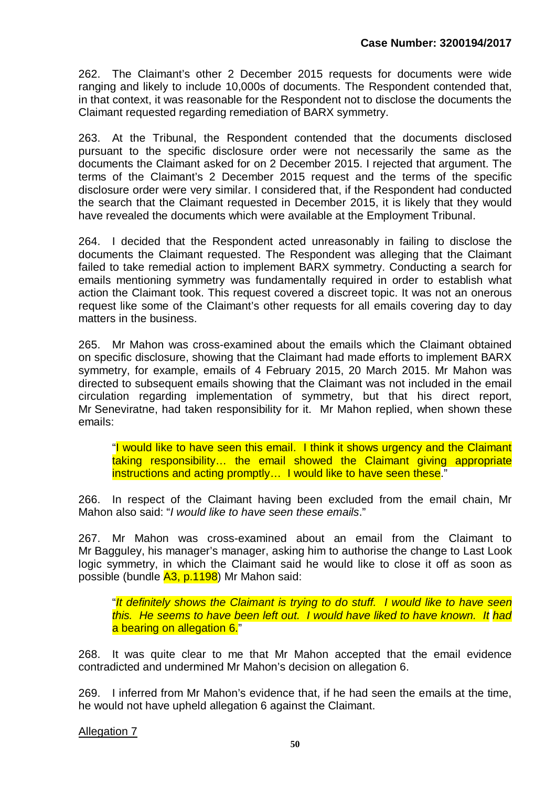262. The Claimant's other 2 December 2015 requests for documents were wide ranging and likely to include 10,000s of documents. The Respondent contended that, in that context, it was reasonable for the Respondent not to disclose the documents the Claimant requested regarding remediation of BARX symmetry.

263. At the Tribunal, the Respondent contended that the documents disclosed pursuant to the specific disclosure order were not necessarily the same as the documents the Claimant asked for on 2 December 2015. I rejected that argument. The terms of the Claimant's 2 December 2015 request and the terms of the specific disclosure order were very similar. I considered that, if the Respondent had conducted the search that the Claimant requested in December 2015, it is likely that they would have revealed the documents which were available at the Employment Tribunal.

264. I decided that the Respondent acted unreasonably in failing to disclose the documents the Claimant requested. The Respondent was alleging that the Claimant failed to take remedial action to implement BARX symmetry. Conducting a search for emails mentioning symmetry was fundamentally required in order to establish what action the Claimant took. This request covered a discreet topic. It was not an onerous request like some of the Claimant's other requests for all emails covering day to day matters in the business.

265. Mr Mahon was cross-examined about the emails which the Claimant obtained on specific disclosure, showing that the Claimant had made efforts to implement BARX symmetry, for example, emails of 4 February 2015, 20 March 2015. Mr Mahon was directed to subsequent emails showing that the Claimant was not included in the email circulation regarding implementation of symmetry, but that his direct report, Mr Seneviratne, had taken responsibility for it. Mr Mahon replied, when shown these emails:

"I would like to have seen this email. I think it shows urgency and the Claimant taking responsibility… the email showed the Claimant giving appropriate instructions and acting promptly… I would like to have seen these."

266. In respect of the Claimant having been excluded from the email chain, Mr Mahon also said: "*I would like to have seen these emails*."

267. Mr Mahon was cross-examined about an email from the Claimant to Mr Bagguley, his manager's manager, asking him to authorise the change to Last Look logic symmetry, in which the Claimant said he would like to close it off as soon as possible (bundle A3, p.1198) Mr Mahon said:

"*It definitely shows the Claimant is trying to do stuff. I would like to have seen this. He seems to have been left out. I would have liked to have known. It had*  a bearing on allegation 6."

268. It was quite clear to me that Mr Mahon accepted that the email evidence contradicted and undermined Mr Mahon's decision on allegation 6.

269. I inferred from Mr Mahon's evidence that, if he had seen the emails at the time, he would not have upheld allegation 6 against the Claimant.

Allegation 7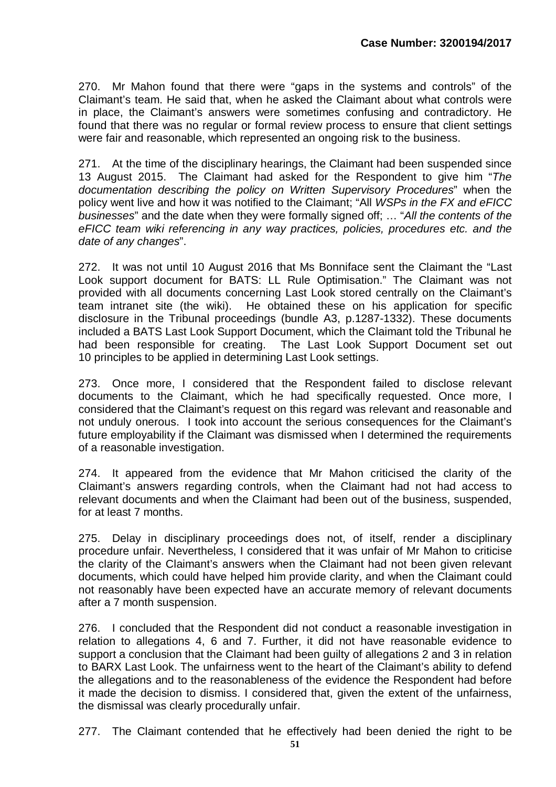270. Mr Mahon found that there were "gaps in the systems and controls" of the Claimant's team. He said that, when he asked the Claimant about what controls were in place, the Claimant's answers were sometimes confusing and contradictory. He found that there was no regular or formal review process to ensure that client settings were fair and reasonable, which represented an ongoing risk to the business.

271. At the time of the disciplinary hearings, the Claimant had been suspended since 13 August 2015. The Claimant had asked for the Respondent to give him "*The documentation describing the policy on Written Supervisory Procedures*" when the policy went live and how it was notified to the Claimant; "All *WSPs in the FX and eFICC businesses*" and the date when they were formally signed off; … "*All the contents of the eFICC team wiki referencing in any way practices, policies, procedures etc. and the date of any changes*".

272. It was not until 10 August 2016 that Ms Bonniface sent the Claimant the "Last Look support document for BATS: LL Rule Optimisation." The Claimant was not provided with all documents concerning Last Look stored centrally on the Claimant's team intranet site (the wiki). He obtained these on his application for specific disclosure in the Tribunal proceedings (bundle A3, p.1287-1332). These documents included a BATS Last Look Support Document, which the Claimant told the Tribunal he had been responsible for creating. The Last Look Support Document set out 10 principles to be applied in determining Last Look settings.

273. Once more, I considered that the Respondent failed to disclose relevant documents to the Claimant, which he had specifically requested. Once more, I considered that the Claimant's request on this regard was relevant and reasonable and not unduly onerous. I took into account the serious consequences for the Claimant's future employability if the Claimant was dismissed when I determined the requirements of a reasonable investigation.

274. It appeared from the evidence that Mr Mahon criticised the clarity of the Claimant's answers regarding controls, when the Claimant had not had access to relevant documents and when the Claimant had been out of the business, suspended, for at least 7 months.

275. Delay in disciplinary proceedings does not, of itself, render a disciplinary procedure unfair. Nevertheless, I considered that it was unfair of Mr Mahon to criticise the clarity of the Claimant's answers when the Claimant had not been given relevant documents, which could have helped him provide clarity, and when the Claimant could not reasonably have been expected have an accurate memory of relevant documents after a 7 month suspension.

276. I concluded that the Respondent did not conduct a reasonable investigation in relation to allegations 4, 6 and 7. Further, it did not have reasonable evidence to support a conclusion that the Claimant had been guilty of allegations 2 and 3 in relation to BARX Last Look. The unfairness went to the heart of the Claimant's ability to defend the allegations and to the reasonableness of the evidence the Respondent had before it made the decision to dismiss. I considered that, given the extent of the unfairness, the dismissal was clearly procedurally unfair.

277. The Claimant contended that he effectively had been denied the right to be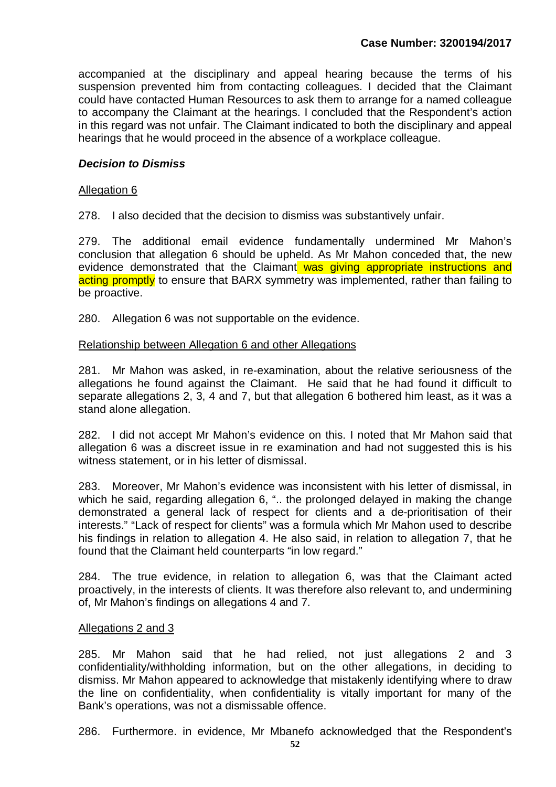accompanied at the disciplinary and appeal hearing because the terms of his suspension prevented him from contacting colleagues. I decided that the Claimant could have contacted Human Resources to ask them to arrange for a named colleague to accompany the Claimant at the hearings. I concluded that the Respondent's action in this regard was not unfair. The Claimant indicated to both the disciplinary and appeal hearings that he would proceed in the absence of a workplace colleague.

## *Decision to Dismiss*

## Allegation 6

278. I also decided that the decision to dismiss was substantively unfair.

279. The additional email evidence fundamentally undermined Mr Mahon's conclusion that allegation 6 should be upheld. As Mr Mahon conceded that, the new evidence demonstrated that the Claimant was giving appropriate instructions and acting promptly to ensure that BARX symmetry was implemented, rather than failing to be proactive.

280. Allegation 6 was not supportable on the evidence.

#### Relationship between Allegation 6 and other Allegations

281. Mr Mahon was asked, in re-examination, about the relative seriousness of the allegations he found against the Claimant. He said that he had found it difficult to separate allegations 2, 3, 4 and 7, but that allegation 6 bothered him least, as it was a stand alone allegation.

282. I did not accept Mr Mahon's evidence on this. I noted that Mr Mahon said that allegation 6 was a discreet issue in re examination and had not suggested this is his witness statement, or in his letter of dismissal.

283. Moreover, Mr Mahon's evidence was inconsistent with his letter of dismissal, in which he said, regarding allegation 6, ".. the prolonged delayed in making the change demonstrated a general lack of respect for clients and a de-prioritisation of their interests." "Lack of respect for clients" was a formula which Mr Mahon used to describe his findings in relation to allegation 4. He also said, in relation to allegation 7, that he found that the Claimant held counterparts "in low regard."

284. The true evidence, in relation to allegation 6, was that the Claimant acted proactively, in the interests of clients. It was therefore also relevant to, and undermining of, Mr Mahon's findings on allegations 4 and 7.

#### Allegations 2 and 3

285. Mr Mahon said that he had relied, not just allegations 2 and 3 confidentiality/withholding information, but on the other allegations, in deciding to dismiss. Mr Mahon appeared to acknowledge that mistakenly identifying where to draw the line on confidentiality, when confidentiality is vitally important for many of the Bank's operations, was not a dismissable offence.

286. Furthermore. in evidence, Mr Mbanefo acknowledged that the Respondent's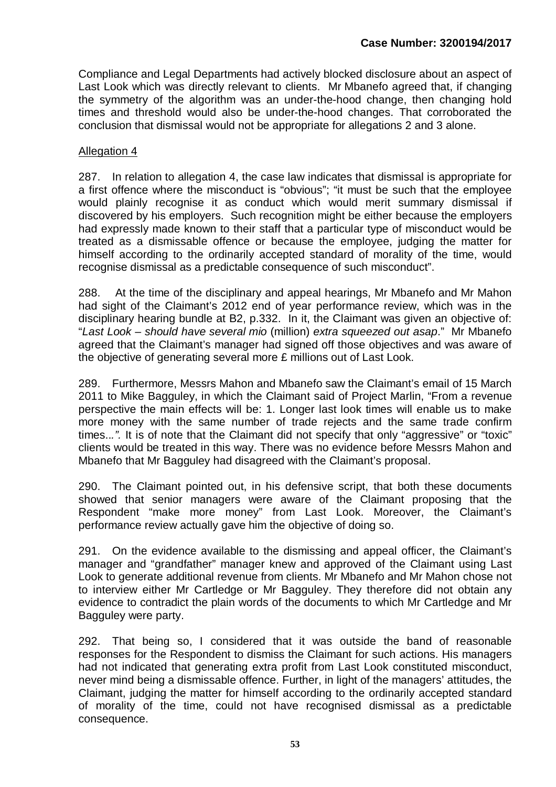Compliance and Legal Departments had actively blocked disclosure about an aspect of Last Look which was directly relevant to clients. Mr Mbanefo agreed that, if changing the symmetry of the algorithm was an under-the-hood change, then changing hold times and threshold would also be under-the-hood changes. That corroborated the conclusion that dismissal would not be appropriate for allegations 2 and 3 alone.

## Allegation 4

287. In relation to allegation 4, the case law indicates that dismissal is appropriate for a first offence where the misconduct is "obvious"; "it must be such that the employee would plainly recognise it as conduct which would merit summary dismissal if discovered by his employers. Such recognition might be either because the employers had expressly made known to their staff that a particular type of misconduct would be treated as a dismissable offence or because the employee, judging the matter for himself according to the ordinarily accepted standard of morality of the time, would recognise dismissal as a predictable consequence of such misconduct".

288. At the time of the disciplinary and appeal hearings, Mr Mbanefo and Mr Mahon had sight of the Claimant's 2012 end of year performance review, which was in the disciplinary hearing bundle at B2, p.332. In it, the Claimant was given an objective of: "*Last Look – should have several mio* (million) *extra squeezed out asap*." Mr Mbanefo agreed that the Claimant's manager had signed off those objectives and was aware of the objective of generating several more £ millions out of Last Look.

289. Furthermore, Messrs Mahon and Mbanefo saw the Claimant's email of 15 March 2011 to Mike Bagguley, in which the Claimant said of Project Marlin, "From a revenue perspective the main effects will be: 1. Longer last look times will enable us to make more money with the same number of trade rejects and the same trade confirm times..*.".* It is of note that the Claimant did not specify that only "aggressive" or "toxic" clients would be treated in this way. There was no evidence before Messrs Mahon and Mbanefo that Mr Bagguley had disagreed with the Claimant's proposal.

290. The Claimant pointed out, in his defensive script, that both these documents showed that senior managers were aware of the Claimant proposing that the Respondent "make more money" from Last Look. Moreover, the Claimant's performance review actually gave him the objective of doing so.

291. On the evidence available to the dismissing and appeal officer, the Claimant's manager and "grandfather" manager knew and approved of the Claimant using Last Look to generate additional revenue from clients. Mr Mbanefo and Mr Mahon chose not to interview either Mr Cartledge or Mr Bagguley. They therefore did not obtain any evidence to contradict the plain words of the documents to which Mr Cartledge and Mr Bagguley were party.

292. That being so, I considered that it was outside the band of reasonable responses for the Respondent to dismiss the Claimant for such actions. His managers had not indicated that generating extra profit from Last Look constituted misconduct, never mind being a dismissable offence. Further, in light of the managers' attitudes, the Claimant, judging the matter for himself according to the ordinarily accepted standard of morality of the time, could not have recognised dismissal as a predictable consequence.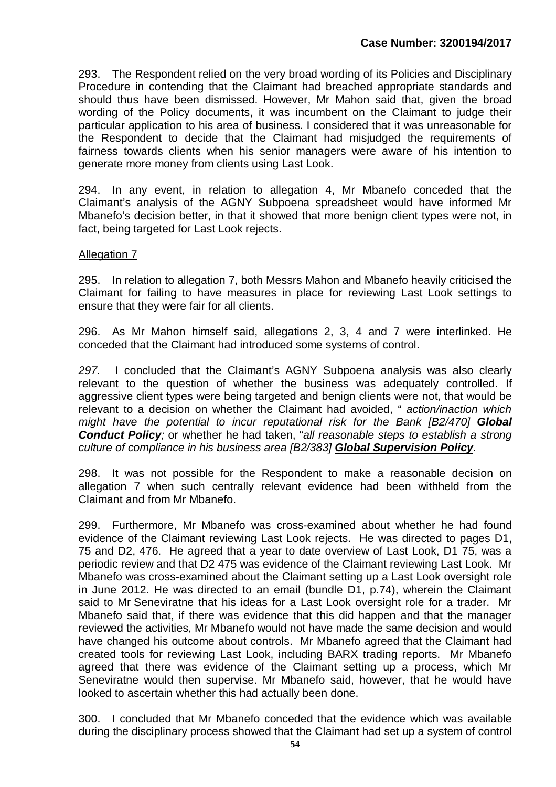293. The Respondent relied on the very broad wording of its Policies and Disciplinary Procedure in contending that the Claimant had breached appropriate standards and should thus have been dismissed. However, Mr Mahon said that, given the broad wording of the Policy documents, it was incumbent on the Claimant to judge their particular application to his area of business. I considered that it was unreasonable for the Respondent to decide that the Claimant had misjudged the requirements of fairness towards clients when his senior managers were aware of his intention to generate more money from clients using Last Look.

294. In any event, in relation to allegation 4, Mr Mbanefo conceded that the Claimant's analysis of the AGNY Subpoena spreadsheet would have informed Mr Mbanefo's decision better, in that it showed that more benign client types were not, in fact, being targeted for Last Look rejects.

#### Allegation 7

295. In relation to allegation 7, both Messrs Mahon and Mbanefo heavily criticised the Claimant for failing to have measures in place for reviewing Last Look settings to ensure that they were fair for all clients.

296. As Mr Mahon himself said, allegations 2, 3, 4 and 7 were interlinked. He conceded that the Claimant had introduced some systems of control.

*297.* I concluded that the Claimant's AGNY Subpoena analysis was also clearly relevant to the question of whether the business was adequately controlled. If aggressive client types were being targeted and benign clients were not, that would be relevant to a decision on whether the Claimant had avoided, " *action/inaction which might have the potential to incur reputational risk for the Bank [B2/470] Global Conduct Policy;* or whether he had taken, "*all reasonable steps to establish a strong culture of compliance in his business area [B2/383] Global Supervision Policy.*

298. It was not possible for the Respondent to make a reasonable decision on allegation 7 when such centrally relevant evidence had been withheld from the Claimant and from Mr Mbanefo.

299. Furthermore, Mr Mbanefo was cross-examined about whether he had found evidence of the Claimant reviewing Last Look rejects. He was directed to pages D1, 75 and D2, 476. He agreed that a year to date overview of Last Look, D1 75, was a periodic review and that D2 475 was evidence of the Claimant reviewing Last Look. Mr Mbanefo was cross-examined about the Claimant setting up a Last Look oversight role in June 2012. He was directed to an email (bundle D1, p.74), wherein the Claimant said to Mr Seneviratne that his ideas for a Last Look oversight role for a trader. Mr Mbanefo said that, if there was evidence that this did happen and that the manager reviewed the activities, Mr Mbanefo would not have made the same decision and would have changed his outcome about controls. Mr Mbanefo agreed that the Claimant had created tools for reviewing Last Look, including BARX trading reports. Mr Mbanefo agreed that there was evidence of the Claimant setting up a process, which Mr Seneviratne would then supervise. Mr Mbanefo said, however, that he would have looked to ascertain whether this had actually been done.

300. I concluded that Mr Mbanefo conceded that the evidence which was available during the disciplinary process showed that the Claimant had set up a system of control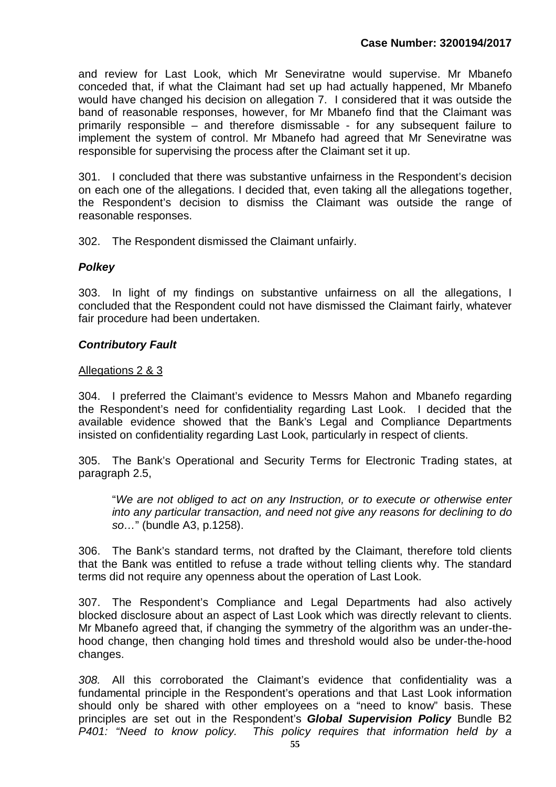and review for Last Look, which Mr Seneviratne would supervise. Mr Mbanefo conceded that, if what the Claimant had set up had actually happened, Mr Mbanefo would have changed his decision on allegation 7. I considered that it was outside the band of reasonable responses, however, for Mr Mbanefo find that the Claimant was primarily responsible – and therefore dismissable - for any subsequent failure to implement the system of control. Mr Mbanefo had agreed that Mr Seneviratne was responsible for supervising the process after the Claimant set it up.

301. I concluded that there was substantive unfairness in the Respondent's decision on each one of the allegations. I decided that, even taking all the allegations together, the Respondent's decision to dismiss the Claimant was outside the range of reasonable responses.

302. The Respondent dismissed the Claimant unfairly.

## *Polkey*

303. In light of my findings on substantive unfairness on all the allegations, I concluded that the Respondent could not have dismissed the Claimant fairly, whatever fair procedure had been undertaken.

#### *Contributory Fault*

#### Allegations 2 & 3

304. I preferred the Claimant's evidence to Messrs Mahon and Mbanefo regarding the Respondent's need for confidentiality regarding Last Look. I decided that the available evidence showed that the Bank's Legal and Compliance Departments insisted on confidentiality regarding Last Look, particularly in respect of clients.

305. The Bank's Operational and Security Terms for Electronic Trading states, at paragraph 2.5,

"*We are not obliged to act on any Instruction, or to execute or otherwise enter into any particular transaction, and need not give any reasons for declining to do so…*" (bundle A3, p.1258).

306. The Bank's standard terms, not drafted by the Claimant, therefore told clients that the Bank was entitled to refuse a trade without telling clients why. The standard terms did not require any openness about the operation of Last Look.

307. The Respondent's Compliance and Legal Departments had also actively blocked disclosure about an aspect of Last Look which was directly relevant to clients. Mr Mbanefo agreed that, if changing the symmetry of the algorithm was an under-thehood change, then changing hold times and threshold would also be under-the-hood changes.

*308.* All this corroborated the Claimant's evidence that confidentiality was a fundamental principle in the Respondent's operations and that Last Look information should only be shared with other employees on a "need to know" basis. These principles are set out in the Respondent's *Global Supervision Policy* Bundle B2 *P401: "Need to know policy. This policy requires that information held by a*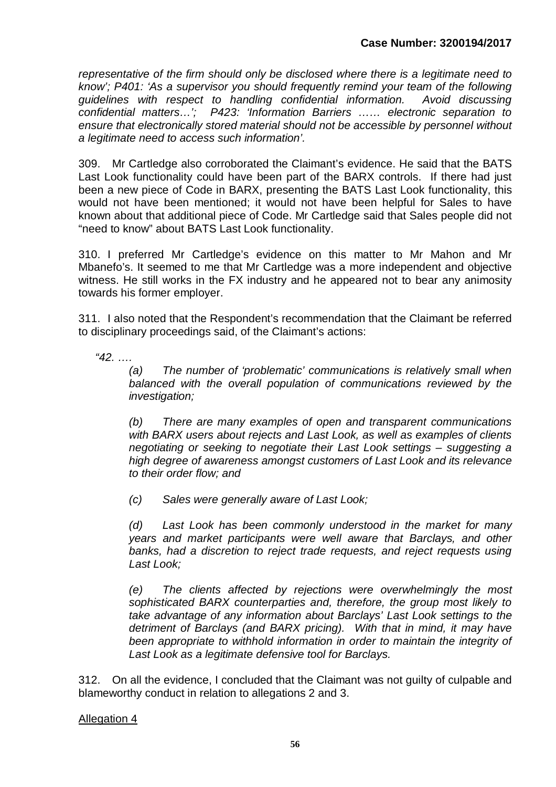*representative of the firm should only be disclosed where there is a legitimate need to know'; P401: 'As a supervisor you should frequently remind your team of the following guidelines with respect to handling confidential information. Avoid discussing confidential matters…'; P423: 'Information Barriers …… electronic separation to ensure that electronically stored material should not be accessible by personnel without a legitimate need to access such information'.*

309. Mr Cartledge also corroborated the Claimant's evidence. He said that the BATS Last Look functionality could have been part of the BARX controls. If there had just been a new piece of Code in BARX, presenting the BATS Last Look functionality, this would not have been mentioned; it would not have been helpful for Sales to have known about that additional piece of Code. Mr Cartledge said that Sales people did not "need to know" about BATS Last Look functionality.

310. I preferred Mr Cartledge's evidence on this matter to Mr Mahon and Mr Mbanefo's. It seemed to me that Mr Cartledge was a more independent and objective witness. He still works in the FX industry and he appeared not to bear any animosity towards his former employer.

311. I also noted that the Respondent's recommendation that the Claimant be referred to disciplinary proceedings said, of the Claimant's actions:

*"42. ….* 

*(a) The number of 'problematic' communications is relatively small when balanced with the overall population of communications reviewed by the investigation;*

*(b) There are many examples of open and transparent communications with BARX users about rejects and Last Look, as well as examples of clients negotiating or seeking to negotiate their Last Look settings – suggesting a high degree of awareness amongst customers of Last Look and its relevance to their order flow; and*

*(c) Sales were generally aware of Last Look;*

*(d) Last Look has been commonly understood in the market for many years and market participants were well aware that Barclays, and other banks, had a discretion to reject trade requests, and reject requests using Last Look;*

*(e) The clients affected by rejections were overwhelmingly the most sophisticated BARX counterparties and, therefore, the group most likely to take advantage of any information about Barclays' Last Look settings to the detriment of Barclays (and BARX pricing). With that in mind, it may have been appropriate to withhold information in order to maintain the integrity of Last Look as a legitimate defensive tool for Barclays.* 

312. On all the evidence, I concluded that the Claimant was not guilty of culpable and blameworthy conduct in relation to allegations 2 and 3.

## Allegation 4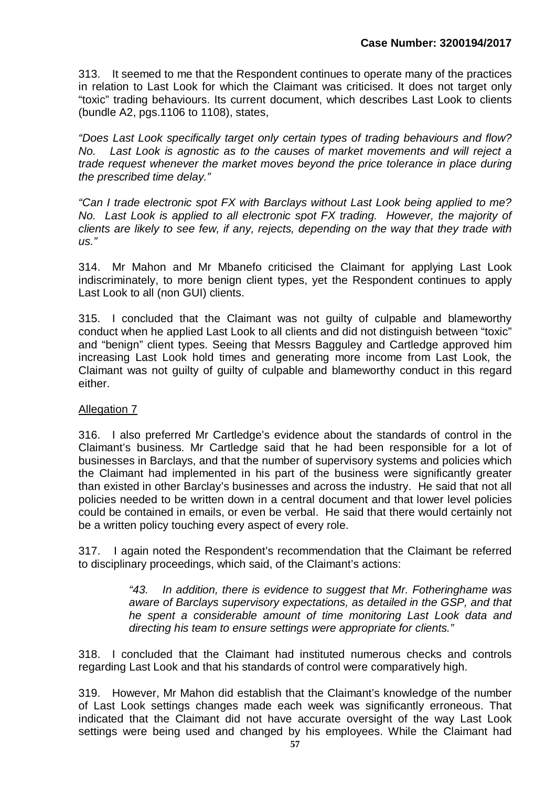313. It seemed to me that the Respondent continues to operate many of the practices in relation to Last Look for which the Claimant was criticised. It does not target only "toxic" trading behaviours. Its current document, which describes Last Look to clients (bundle A2, pgs.1106 to 1108), states,

*"Does Last Look specifically target only certain types of trading behaviours and flow? No. Last Look is agnostic as to the causes of market movements and will reject a trade request whenever the market moves beyond the price tolerance in place during the prescribed time delay."*

*"Can I trade electronic spot FX with Barclays without Last Look being applied to me? No. Last Look is applied to all electronic spot FX trading. However, the majority of clients are likely to see few, if any, rejects, depending on the way that they trade with us."*

314. Mr Mahon and Mr Mbanefo criticised the Claimant for applying Last Look indiscriminately, to more benign client types, yet the Respondent continues to apply Last Look to all (non GUI) clients.

315. I concluded that the Claimant was not guilty of culpable and blameworthy conduct when he applied Last Look to all clients and did not distinguish between "toxic" and "benign" client types. Seeing that Messrs Bagguley and Cartledge approved him increasing Last Look hold times and generating more income from Last Look, the Claimant was not guilty of guilty of culpable and blameworthy conduct in this regard either.

## Allegation 7

316. I also preferred Mr Cartledge's evidence about the standards of control in the Claimant's business. Mr Cartledge said that he had been responsible for a lot of businesses in Barclays, and that the number of supervisory systems and policies which the Claimant had implemented in his part of the business were significantly greater than existed in other Barclay's businesses and across the industry. He said that not all policies needed to be written down in a central document and that lower level policies could be contained in emails, or even be verbal. He said that there would certainly not be a written policy touching every aspect of every role.

317. I again noted the Respondent's recommendation that the Claimant be referred to disciplinary proceedings, which said, of the Claimant's actions:

> *"43. In addition, there is evidence to suggest that Mr. Fotheringhame was aware of Barclays supervisory expectations, as detailed in the GSP, and that he spent a considerable amount of time monitoring Last Look data and directing his team to ensure settings were appropriate for clients."*

318. I concluded that the Claimant had instituted numerous checks and controls regarding Last Look and that his standards of control were comparatively high.

319. However, Mr Mahon did establish that the Claimant's knowledge of the number of Last Look settings changes made each week was significantly erroneous. That indicated that the Claimant did not have accurate oversight of the way Last Look settings were being used and changed by his employees. While the Claimant had